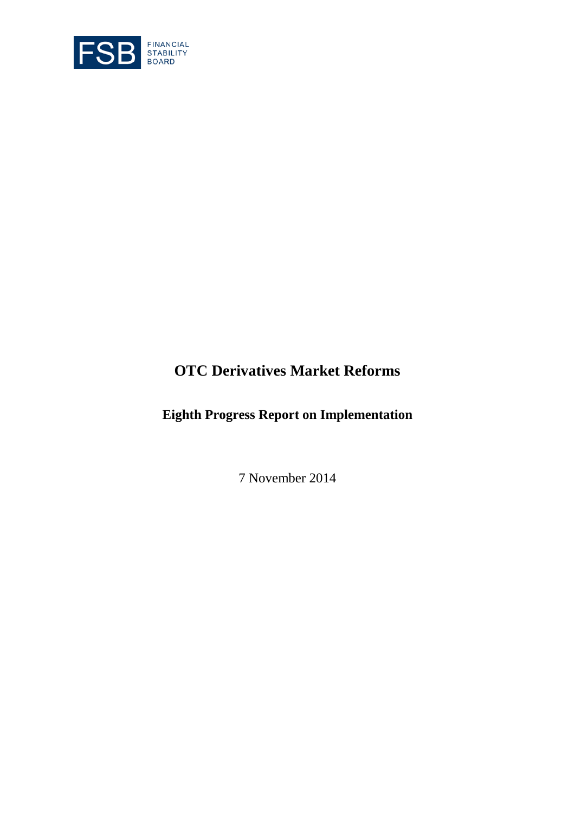

# **OTC Derivatives Market Reforms**

**Eighth Progress Report on Implementation**

7 November 2014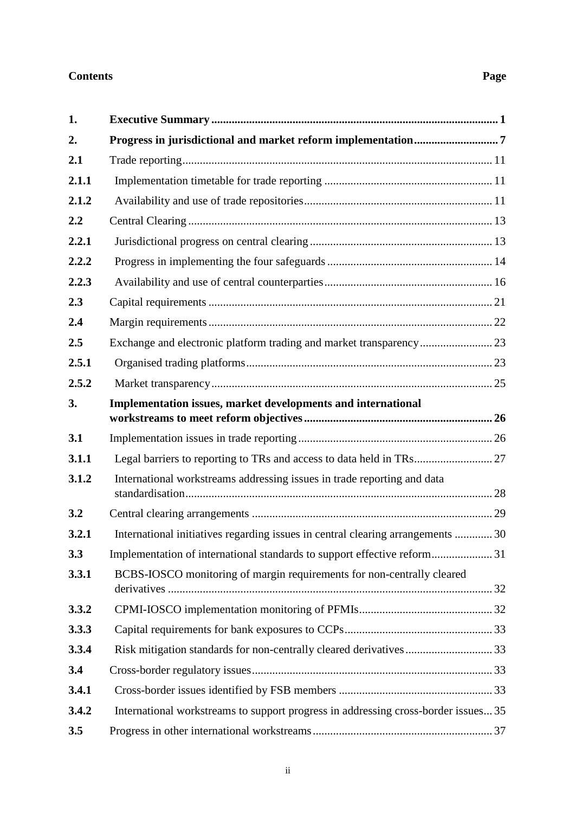### **Contents Page**

| 1.    |                                                                                   |  |
|-------|-----------------------------------------------------------------------------------|--|
| 2.    |                                                                                   |  |
| 2.1   |                                                                                   |  |
| 2.1.1 |                                                                                   |  |
| 2.1.2 |                                                                                   |  |
| 2.2   |                                                                                   |  |
| 2.2.1 |                                                                                   |  |
| 2.2.2 |                                                                                   |  |
| 2.2.3 |                                                                                   |  |
| 2.3   |                                                                                   |  |
| 2.4   |                                                                                   |  |
| 2.5   | Exchange and electronic platform trading and market transparency 23               |  |
| 2.5.1 |                                                                                   |  |
| 2.5.2 |                                                                                   |  |
| 3.    | Implementation issues, market developments and international                      |  |
| 3.1   |                                                                                   |  |
| 3.1.1 |                                                                                   |  |
| 3.1.2 | International workstreams addressing issues in trade reporting and data           |  |
| 3.2   |                                                                                   |  |
| 3.2.1 | International initiatives regarding issues in central clearing arrangements  30   |  |
| 3.3   | Implementation of international standards to support effective reform31           |  |
| 3.3.1 | BCBS-IOSCO monitoring of margin requirements for non-centrally cleared            |  |
| 3.3.2 |                                                                                   |  |
| 3.3.3 |                                                                                   |  |
| 3.3.4 |                                                                                   |  |
| 3.4   |                                                                                   |  |
| 3.4.1 |                                                                                   |  |
| 3.4.2 | International workstreams to support progress in addressing cross-border issues35 |  |
| 3.5   |                                                                                   |  |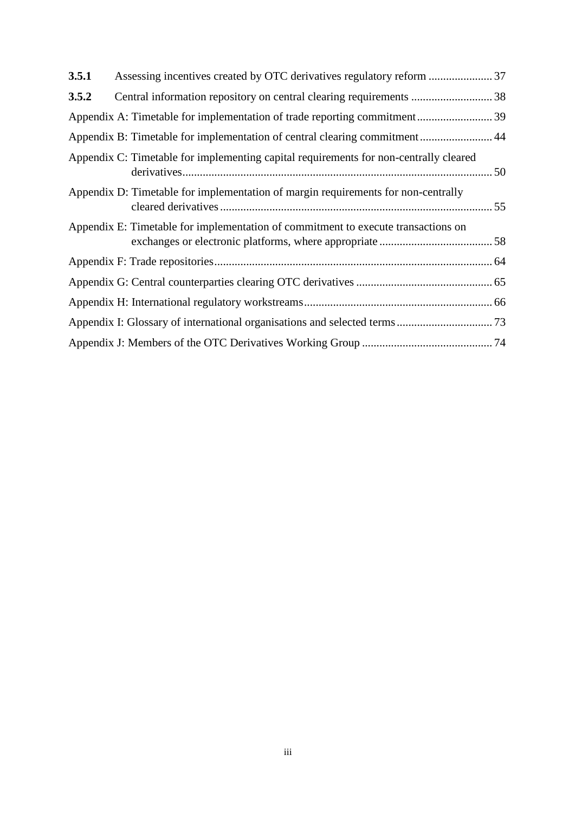| 3.5.1 |                                                                                       |  |
|-------|---------------------------------------------------------------------------------------|--|
| 3.5.2 |                                                                                       |  |
|       | Appendix A: Timetable for implementation of trade reporting commitment 39             |  |
|       | Appendix B: Timetable for implementation of central clearing commitment 44            |  |
|       | Appendix C: Timetable for implementing capital requirements for non-centrally cleared |  |
|       | Appendix D: Timetable for implementation of margin requirements for non-centrally     |  |
|       | Appendix E: Timetable for implementation of commitment to execute transactions on     |  |
|       |                                                                                       |  |
|       |                                                                                       |  |
|       |                                                                                       |  |
|       |                                                                                       |  |
|       |                                                                                       |  |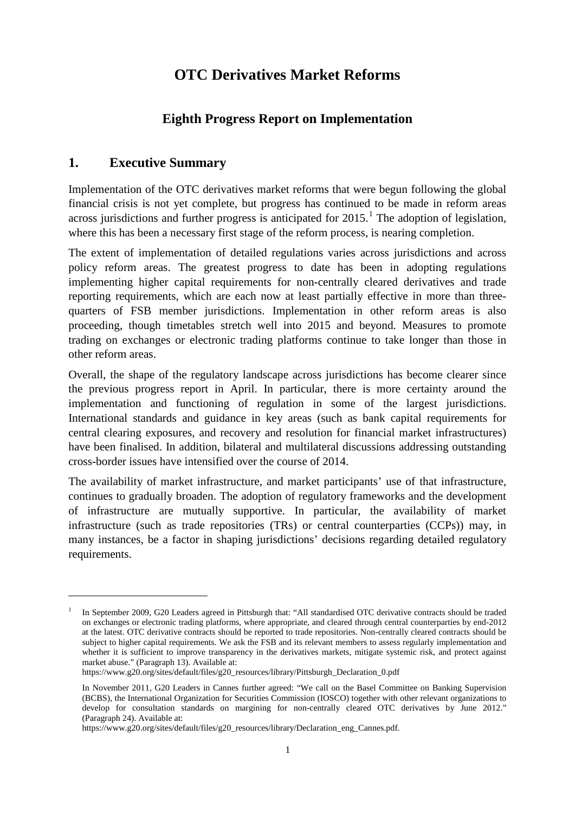## **OTC Derivatives Market Reforms**

### **Eighth Progress Report on Implementation**

### <span id="page-3-0"></span>**1. Executive Summary**

-

Implementation of the OTC derivatives market reforms that were begun following the global financial crisis is not yet complete, but progress has continued to be made in reform areas across jurisdictions and further progress is anticipated for 20[1](#page-3-1)5.<sup>1</sup> The adoption of legislation, where this has been a necessary first stage of the reform process, is nearing completion.

The extent of implementation of detailed regulations varies across jurisdictions and across policy reform areas. The greatest progress to date has been in adopting regulations implementing higher capital requirements for non-centrally cleared derivatives and trade reporting requirements, which are each now at least partially effective in more than threequarters of FSB member jurisdictions. Implementation in other reform areas is also proceeding, though timetables stretch well into 2015 and beyond. Measures to promote trading on exchanges or electronic trading platforms continue to take longer than those in other reform areas.

Overall, the shape of the regulatory landscape across jurisdictions has become clearer since the previous progress report in April. In particular, there is more certainty around the implementation and functioning of regulation in some of the largest jurisdictions. International standards and guidance in key areas (such as bank capital requirements for central clearing exposures, and recovery and resolution for financial market infrastructures) have been finalised. In addition, bilateral and multilateral discussions addressing outstanding cross-border issues have intensified over the course of 2014.

The availability of market infrastructure, and market participants' use of that infrastructure, continues to gradually broaden. The adoption of regulatory frameworks and the development of infrastructure are mutually supportive. In particular, the availability of market infrastructure (such as trade repositories (TRs) or central counterparties (CCPs)) may, in many instances, be a factor in shaping jurisdictions' decisions regarding detailed regulatory requirements.

<span id="page-3-1"></span><sup>1</sup> In September 2009, G20 Leaders agreed in Pittsburgh that: "All standardised OTC derivative contracts should be traded on exchanges or electronic trading platforms, where appropriate, and cleared through central counterparties by end-2012 at the latest. OTC derivative contracts should be reported to trade repositories. Non-centrally cleared contracts should be subject to higher capital requirements. We ask the FSB and its relevant members to assess regularly implementation and whether it is sufficient to improve transparency in the derivatives markets, mitigate systemic risk, and protect against market abuse." (Paragraph 13). Available at:

[https://www.g20.org/sites/default/files/g20\\_resources/library/Pittsburgh\\_Declaration\\_0.pdf](https://www.g20.org/sites/default/files/g20_resources/library/Pittsburgh_Declaration_0.pdf)

In November 2011, G20 Leaders in Cannes further agreed: "We call on the Basel Committee on Banking Supervision (BCBS), the International Organization for Securities Commission (IOSCO) together with other relevant organizations to develop for consultation standards on margining for non-centrally cleared OTC derivatives by June 2012." (Paragraph 24). Available at:

[https://www.g20.org/sites/default/files/g20\\_resources/library/Declaration\\_eng\\_Cannes.pdf.](https://www.g20.org/sites/default/files/g20_resources/library/Declaration_eng_Cannes.pdf)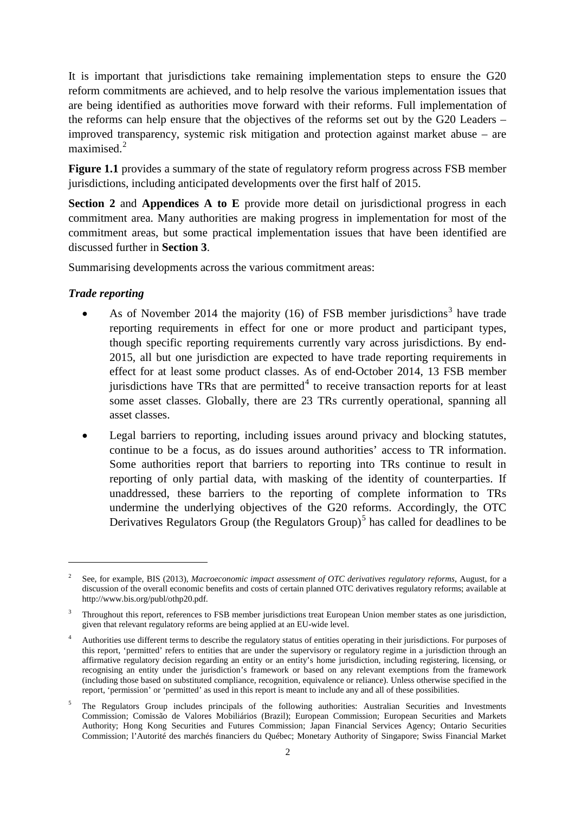It is important that jurisdictions take remaining implementation steps to ensure the G20 reform commitments are achieved, and to help resolve the various implementation issues that are being identified as authorities move forward with their reforms. Full implementation of the reforms can help ensure that the objectives of the reforms set out by the G20 Leaders – improved transparency, systemic risk mitigation and protection against market abuse – are maximised. $2$ 

**Figure 1.1** provides a summary of the state of regulatory reform progress across FSB member jurisdictions, including anticipated developments over the first half of 2015.

**Section 2** and **Appendices A to E** provide more detail on jurisdictional progress in each commitment area. Many authorities are making progress in implementation for most of the commitment areas, but some practical implementation issues that have been identified are discussed further in **Section 3**.

Summarising developments across the various commitment areas:

### *Trade reporting*

- As of November 2014 the majority  $(16)$  of FSB member jurisdictions<sup>[3](#page-4-1)</sup> have trade reporting requirements in effect for one or more product and participant types, though specific reporting requirements currently vary across jurisdictions. By end-2015, all but one jurisdiction are expected to have trade reporting requirements in effect for at least some product classes. As of end-October 2014, 13 FSB member jurisdictions have TRs that are permitted<sup>[4](#page-4-2)</sup> to receive transaction reports for at least some asset classes. Globally, there are 23 TRs currently operational, spanning all asset classes.
- Legal barriers to reporting, including issues around privacy and blocking statutes, continue to be a focus, as do issues around authorities' access to TR information. Some authorities report that barriers to reporting into TRs continue to result in reporting of only partial data, with masking of the identity of counterparties. If unaddressed, these barriers to the reporting of complete information to TRs undermine the underlying objectives of the G20 reforms. Accordingly, the OTC Derivatives Regulators Group (the Regulators Group)<sup>[5](#page-4-3)</sup> has called for deadlines to be

<span id="page-4-0"></span><sup>2</sup> See, for example, BIS (2013), *Macroeconomic impact assessment of OTC derivatives regulatory reforms*, August, for a discussion of the overall economic benefits and costs of certain planned OTC derivatives regulatory reforms; available at [http://www.bis.org/publ/othp20.pdf.](http://www.bis.org/publ/othp20.pdf)

<span id="page-4-1"></span><sup>3</sup> Throughout this report, references to FSB member jurisdictions treat European Union member states as one jurisdiction, given that relevant regulatory reforms are being applied at an EU-wide level.

<span id="page-4-2"></span><sup>4</sup> Authorities use different terms to describe the regulatory status of entities operating in their jurisdictions. For purposes of this report, 'permitted' refers to entities that are under the supervisory or regulatory regime in a jurisdiction through an affirmative regulatory decision regarding an entity or an entity's home jurisdiction, including registering, licensing, or recognising an entity under the jurisdiction's framework or based on any relevant exemptions from the framework (including those based on substituted compliance, recognition, equivalence or reliance). Unless otherwise specified in the report, 'permission' or 'permitted' as used in this report is meant to include any and all of these possibilities.

<span id="page-4-3"></span><sup>5</sup> The Regulators Group includes principals of the following authorities: Australian Securities and Investments Commission; Comissão de Valores Mobiliários (Brazil); European Commission; European Securities and Markets Authority; Hong Kong Securities and Futures Commission; Japan Financial Services Agency; Ontario Securities Commission; l'Autorité des marchés financiers du Québec; Monetary Authority of Singapore; Swiss Financial Market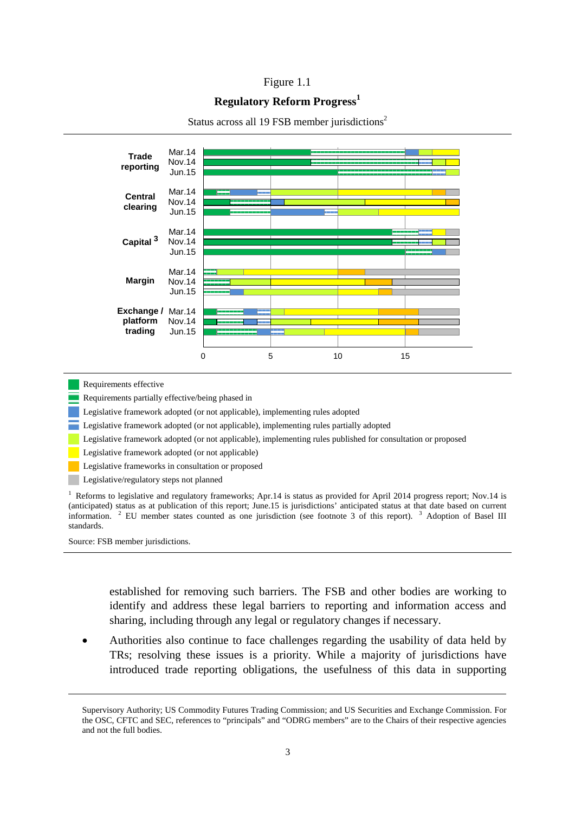#### Figure 1.1

#### **Regulatory Reform Progress<sup>1</sup>**



#### Status across all 19 FSB member jurisdictions<sup>2</sup>

Requirements effective

Requirements partially effective/being phased in

Legislative framework adopted (or not applicable), implementing rules adopted

Legislative framework adopted (or not applicable), implementing rules partially adopted

Legislative framework adopted (or not applicable), implementing rules published for consultation or proposed

Legislative framework adopted (or not applicable)

Legislative frameworks in consultation or proposed

Legislative/regulatory steps not planned

<sup>1</sup> Reforms to legislative and regulatory frameworks; Apr.14 is status as provided for April 2014 progress report; Nov.14 is (anticipated) status as at publication of this report; June.15 is jurisdictions' anticipated status at that date based on current information. <sup>2</sup> EU member states counted as one jurisdiction (see footnote 3 of this report). <sup>3</sup> Adoption of Basel III standards.

Source: FSB member jurisdictions.

-

established for removing such barriers. The FSB and other bodies are working to identify and address these legal barriers to reporting and information access and sharing, including through any legal or regulatory changes if necessary.

• Authorities also continue to face challenges regarding the usability of data held by TRs; resolving these issues is a priority. While a majority of jurisdictions have introduced trade reporting obligations, the usefulness of this data in supporting

Supervisory Authority; US Commodity Futures Trading Commission; and US Securities and Exchange Commission. For the OSC, CFTC and SEC, references to "principals" and "ODRG members" are to the Chairs of their respective agencies and not the full bodies.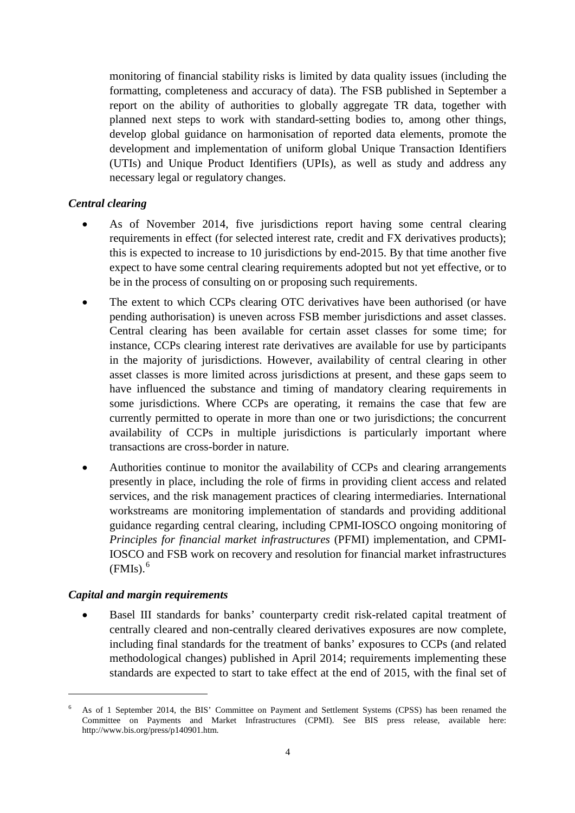monitoring of financial stability risks is limited by data quality issues (including the formatting, completeness and accuracy of data). The FSB published in September a report on the ability of authorities to globally aggregate TR data, together with planned next steps to work with standard-setting bodies to, among other things, develop global guidance on harmonisation of reported data elements, promote the development and implementation of uniform global Unique Transaction Identifiers (UTIs) and Unique Product Identifiers (UPIs), as well as study and address any necessary legal or regulatory changes.

### *Central clearing*

- As of November 2014, five jurisdictions report having some central clearing requirements in effect (for selected interest rate, credit and FX derivatives products); this is expected to increase to 10 jurisdictions by end-2015. By that time another five expect to have some central clearing requirements adopted but not yet effective, or to be in the process of consulting on or proposing such requirements.
- The extent to which CCPs clearing OTC derivatives have been authorised (or have pending authorisation) is uneven across FSB member jurisdictions and asset classes. Central clearing has been available for certain asset classes for some time; for instance, CCPs clearing interest rate derivatives are available for use by participants in the majority of jurisdictions. However, availability of central clearing in other asset classes is more limited across jurisdictions at present, and these gaps seem to have influenced the substance and timing of mandatory clearing requirements in some jurisdictions. Where CCPs are operating, it remains the case that few are currently permitted to operate in more than one or two jurisdictions; the concurrent availability of CCPs in multiple jurisdictions is particularly important where transactions are cross-border in nature.
- Authorities continue to monitor the availability of CCPs and clearing arrangements presently in place, including the role of firms in providing client access and related services, and the risk management practices of clearing intermediaries. International workstreams are monitoring implementation of standards and providing additional guidance regarding central clearing, including CPMI-IOSCO ongoing monitoring of *Principles for financial market infrastructures* (PFMI) implementation, and CPMI-IOSCO and FSB work on recovery and resolution for financial market infrastructures  $(FMIs).<sup>6</sup>$  $(FMIs).<sup>6</sup>$  $(FMIs).<sup>6</sup>$

#### *Capital and margin requirements*

-

Basel III standards for banks' counterparty credit risk-related capital treatment of centrally cleared and non-centrally cleared derivatives exposures are now complete, including final standards for the treatment of banks' exposures to CCPs (and related methodological changes) published in April 2014; requirements implementing these standards are expected to start to take effect at the end of 2015, with the final set of

<span id="page-6-0"></span><sup>6</sup> As of 1 September 2014, the BIS' Committee on Payment and Settlement Systems (CPSS) has been renamed the Committee on Payments and Market Infrastructures (CPMI). See BIS press release, available here: [http://www.bis.org/press/p140901.htm.](http://www.bis.org/press/p140901.htm)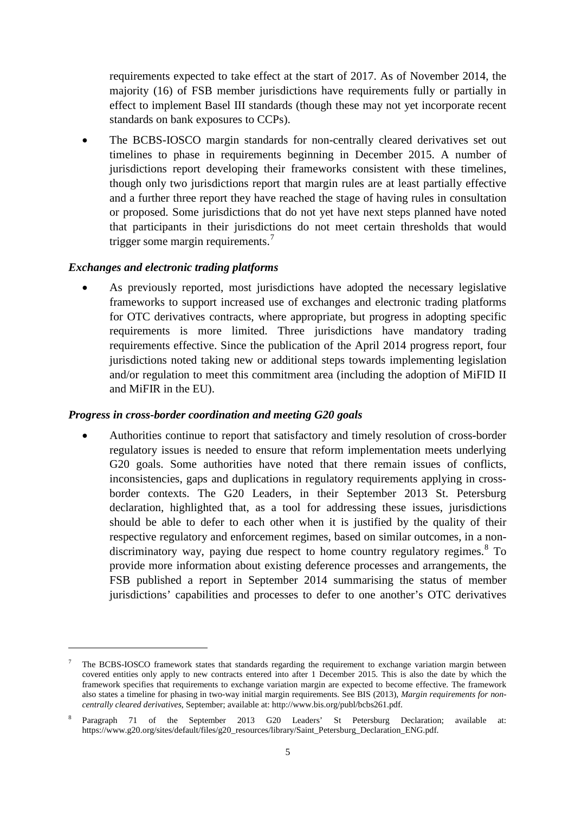requirements expected to take effect at the start of 2017. As of November 2014, the majority (16) of FSB member jurisdictions have requirements fully or partially in effect to implement Basel III standards (though these may not yet incorporate recent standards on bank exposures to CCPs).

The BCBS-IOSCO margin standards for non-centrally cleared derivatives set out timelines to phase in requirements beginning in December 2015. A number of jurisdictions report developing their frameworks consistent with these timelines, though only two jurisdictions report that margin rules are at least partially effective and a further three report they have reached the stage of having rules in consultation or proposed. Some jurisdictions that do not yet have next steps planned have noted that participants in their jurisdictions do not meet certain thresholds that would trigger some margin requirements.<sup>[7](#page-7-0)</sup>

### *Exchanges and electronic trading platforms*

-

As previously reported, most jurisdictions have adopted the necessary legislative frameworks to support increased use of exchanges and electronic trading platforms for OTC derivatives contracts, where appropriate, but progress in adopting specific requirements is more limited. Three jurisdictions have mandatory trading requirements effective. Since the publication of the April 2014 progress report, four jurisdictions noted taking new or additional steps towards implementing legislation and/or regulation to meet this commitment area (including the adoption of MiFID II and MiFIR in the EU).

### *Progress in cross-border coordination and meeting G20 goals*

• Authorities continue to report that satisfactory and timely resolution of cross-border regulatory issues is needed to ensure that reform implementation meets underlying G20 goals. Some authorities have noted that there remain issues of conflicts, inconsistencies, gaps and duplications in regulatory requirements applying in crossborder contexts. The G20 Leaders, in their September 2013 St. Petersburg declaration, highlighted that, as a tool for addressing these issues, jurisdictions should be able to defer to each other when it is justified by the quality of their respective regulatory and enforcement regimes, based on similar outcomes, in a nondiscriminatory way, paying due respect to home country regulatory regimes. [8](#page-7-1) To provide more information about existing deference processes and arrangements, the FSB published a report in September 2014 summarising the status of member jurisdictions' capabilities and processes to defer to one another's OTC derivatives

<span id="page-7-0"></span><sup>7</sup> The BCBS-IOSCO framework states that standards regarding the requirement to exchange variation margin between covered entities only apply to new contracts entered into after 1 December 2015. This is also the date by which the framework specifies that requirements to exchange variation margin are expected to become effective. The framework also states a timeline for phasing in two-way initial margin requirements. See BIS (2013), *Margin requirements for noncentrally cleared derivatives*, September; available at: [http://www.bis.org/publ/bcbs261.pdf.](http://www.bis.org/publ/bcbs261.pdf)

<span id="page-7-1"></span><sup>8</sup> Paragraph 71 of the September 2013 G20 Leaders' St Petersburg Declaration; available at: [https://www.g20.org/sites/default/files/g20\\_resources/library/Saint\\_Petersburg\\_Declaration\\_ENG.pdf.](https://www.g20.org/sites/default/files/g20_resources/library/Saint_Petersburg_Declaration_ENG.pdf)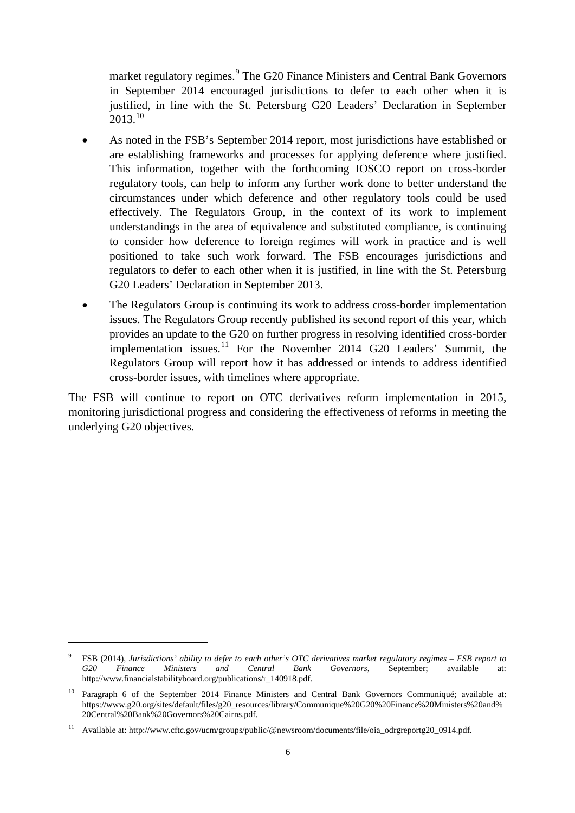market regulatory regimes.<sup>[9](#page-8-0)</sup> The G20 Finance Ministers and Central Bank Governors in September 2014 encouraged jurisdictions to defer to each other when it is justified, in line with the St. Petersburg G20 Leaders' Declaration in September  $2013.<sup>10</sup>$  $2013.<sup>10</sup>$  $2013.<sup>10</sup>$ 

- As noted in the FSB's September 2014 report, most jurisdictions have established or are establishing frameworks and processes for applying deference where justified. This information, together with the forthcoming IOSCO report on cross-border regulatory tools, can help to inform any further work done to better understand the circumstances under which deference and other regulatory tools could be used effectively. The Regulators Group, in the context of its work to implement understandings in the area of equivalence and substituted compliance, is continuing to consider how deference to foreign regimes will work in practice and is well positioned to take such work forward. The FSB encourages jurisdictions and regulators to defer to each other when it is justified, in line with the St. Petersburg G20 Leaders' Declaration in September 2013.
- The Regulators Group is continuing its work to address cross-border implementation issues. The Regulators Group recently published its second report of this year, which provides an update to the G20 on further progress in resolving identified cross-border implementation issues.<sup>[11](#page-8-2)</sup> For the November 2014 G20 Leaders' Summit, the Regulators Group will report how it has addressed or intends to address identified cross-border issues, with timelines where appropriate.

The FSB will continue to report on OTC derivatives reform implementation in 2015, monitoring jurisdictional progress and considering the effectiveness of reforms in meeting the underlying G20 objectives.

<span id="page-8-0"></span><sup>9</sup> FSB (2014), *Jurisdictions' ability to defer to each other's OTC derivatives market regulatory regimes – FSB report to G20 Finance Ministers and Central Bank Governors*, September; available at: [http://www.financialstabilityboard.org/publications/r\\_140918.pdf.](http://www.financialstabilityboard.org/publications/r_140918.pdf)

<span id="page-8-1"></span><sup>&</sup>lt;sup>10</sup> Paragraph 6 of the September 2014 Finance Ministers and Central Bank Governors Communiqué: available at: [https://www.g20.org/sites/default/files/g20\\_resources/library/Communique%20G20%20Finance%20Ministers%20and%](https://www.g20.org/sites/default/files/g20_resources/library/Communique%20G20%20Finance%20Ministers%20and%20Central%20Bank%20Governors%20Cairns.pdf) [20Central%20Bank%20Governors%20Cairns.pdf.](https://www.g20.org/sites/default/files/g20_resources/library/Communique%20G20%20Finance%20Ministers%20and%20Central%20Bank%20Governors%20Cairns.pdf)

<span id="page-8-2"></span><sup>11</sup> Available at: http://www.cftc.gov/ucm/groups/public/@newsroom/documents/file/oia\_odrgreportg20\_0914.pdf.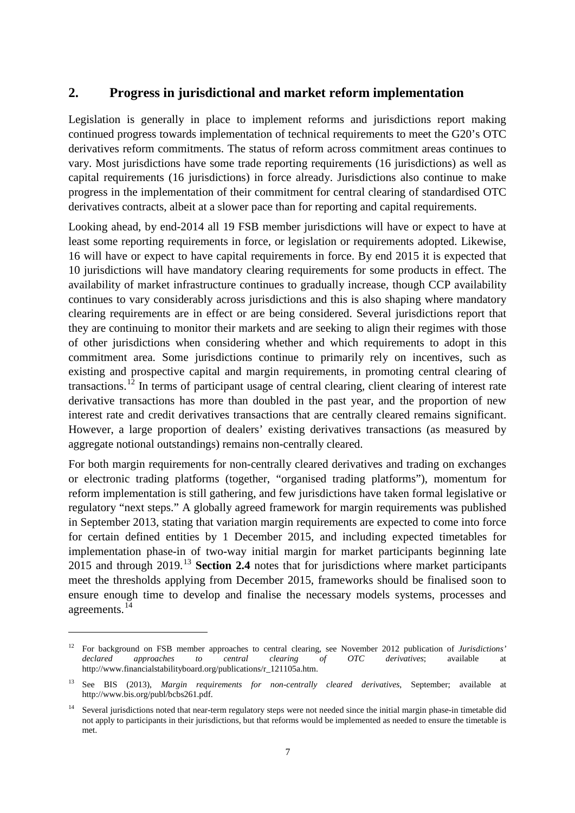### <span id="page-9-0"></span>**2. Progress in jurisdictional and market reform implementation**

Legislation is generally in place to implement reforms and jurisdictions report making continued progress towards implementation of technical requirements to meet the G20's OTC derivatives reform commitments. The status of reform across commitment areas continues to vary. Most jurisdictions have some trade reporting requirements (16 jurisdictions) as well as capital requirements (16 jurisdictions) in force already. Jurisdictions also continue to make progress in the implementation of their commitment for central clearing of standardised OTC derivatives contracts, albeit at a slower pace than for reporting and capital requirements.

Looking ahead, by end-2014 all 19 FSB member jurisdictions will have or expect to have at least some reporting requirements in force, or legislation or requirements adopted. Likewise, 16 will have or expect to have capital requirements in force. By end 2015 it is expected that 10 jurisdictions will have mandatory clearing requirements for some products in effect. The availability of market infrastructure continues to gradually increase, though CCP availability continues to vary considerably across jurisdictions and this is also shaping where mandatory clearing requirements are in effect or are being considered. Several jurisdictions report that they are continuing to monitor their markets and are seeking to align their regimes with those of other jurisdictions when considering whether and which requirements to adopt in this commitment area. Some jurisdictions continue to primarily rely on incentives, such as existing and prospective capital and margin requirements, in promoting central clearing of transactions.<sup>[12](#page-9-1)</sup> In terms of participant usage of central clearing, client clearing of interest rate derivative transactions has more than doubled in the past year, and the proportion of new interest rate and credit derivatives transactions that are centrally cleared remains significant. However, a large proportion of dealers' existing derivatives transactions (as measured by aggregate notional outstandings) remains non-centrally cleared.

For both margin requirements for non-centrally cleared derivatives and trading on exchanges or electronic trading platforms (together, "organised trading platforms"), momentum for reform implementation is still gathering, and few jurisdictions have taken formal legislative or regulatory "next steps." A globally agreed framework for margin requirements was published in September 2013, stating that variation margin requirements are expected to come into force for certain defined entities by 1 December 2015, and including expected timetables for implementation phase-in of two-way initial margin for market participants beginning late 2015 and through 2019. [13](#page-9-2) **Section 2.4** notes that for jurisdictions where market participants meet the thresholds applying from December 2015, frameworks should be finalised soon to ensure enough time to develop and finalise the necessary models systems, processes and agreements.<sup>[14](#page-9-3)</sup>

<span id="page-9-1"></span><sup>&</sup>lt;sup>12</sup> For background on FSB member approaches to central clearing, see November 2012 publication of *Jurisdictions'* declared approaches to central clearing of OTC derivatives; available at *declared approaches to central clearing of OTC derivatives*; available at [http://www.financialstabilityboard.org/publications/r\\_121105a.htm.](http://www.financialstabilityboard.org/publications/r_121105a.htm)

<span id="page-9-2"></span><sup>13</sup> See BIS (2013), *Margin requirements for non-centrally cleared derivatives*, September; available at [http://www.bis.org/publ/bcbs261.pdf.](http://www.bis.org/publ/bcbs261.pdf)

<span id="page-9-3"></span>Several jurisdictions noted that near-term regulatory steps were not needed since the initial margin phase-in timetable did not apply to participants in their jurisdictions, but that reforms would be implemented as needed to ensure the timetable is met.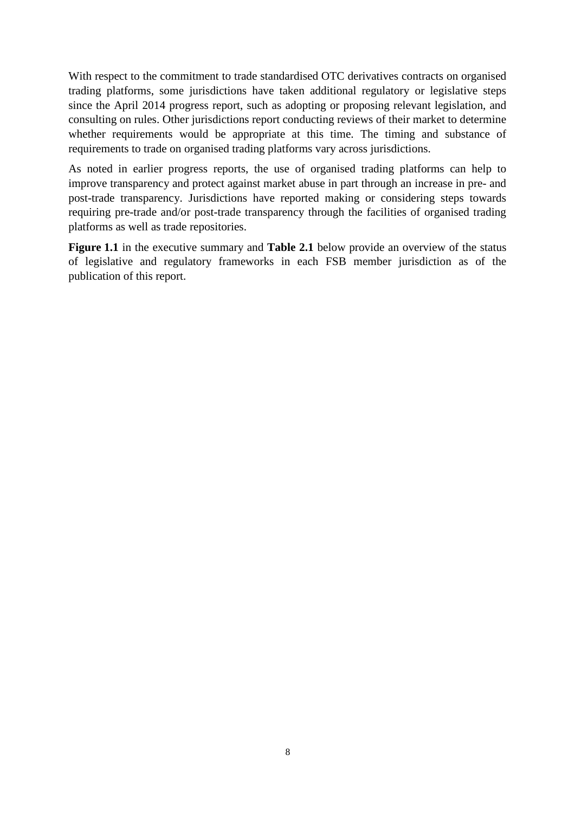With respect to the commitment to trade standardised OTC derivatives contracts on organised trading platforms, some jurisdictions have taken additional regulatory or legislative steps since the April 2014 progress report, such as adopting or proposing relevant legislation, and consulting on rules. Other jurisdictions report conducting reviews of their market to determine whether requirements would be appropriate at this time. The timing and substance of requirements to trade on organised trading platforms vary across jurisdictions.

As noted in earlier progress reports, the use of organised trading platforms can help to improve transparency and protect against market abuse in part through an increase in pre- and post-trade transparency. Jurisdictions have reported making or considering steps towards requiring pre-trade and/or post-trade transparency through the facilities of organised trading platforms as well as trade repositories.

**Figure 1.1** in the executive summary and **Table 2.1** below provide an overview of the status of legislative and regulatory frameworks in each FSB member jurisdiction as of the publication of this report.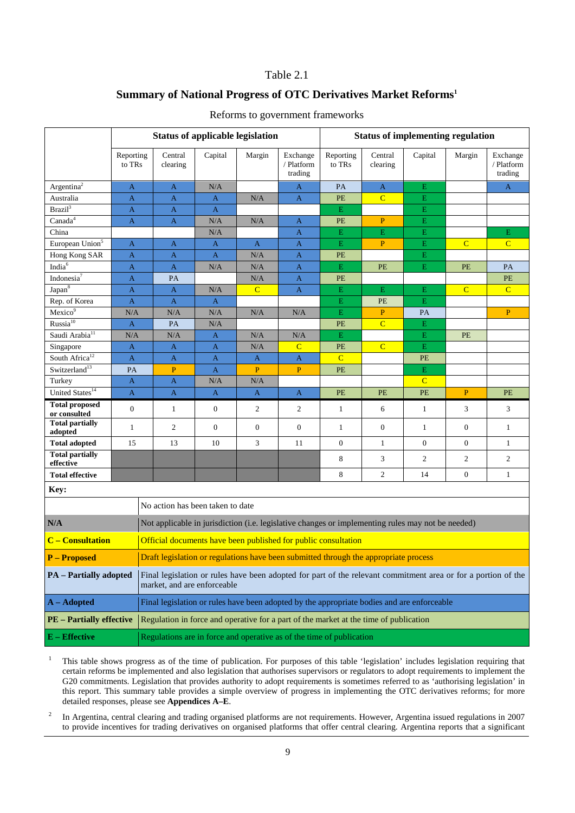### Table 2.1

### **Summary of National Progress of OTC Derivatives Market Reforms1**

|                                                                                                                                                                               |                     |  |                     | <b>Status of applicable legislation</b> |                  |                                                                                                   |                            |                     | <b>Status of implementing regulation</b> |                  |                                   |
|-------------------------------------------------------------------------------------------------------------------------------------------------------------------------------|---------------------|--|---------------------|-----------------------------------------|------------------|---------------------------------------------------------------------------------------------------|----------------------------|---------------------|------------------------------------------|------------------|-----------------------------------|
|                                                                                                                                                                               | Reporting<br>to TRs |  | Central<br>clearing | Capital                                 | Margin           | Exchange<br>/ Platform<br>trading                                                                 | Reporting<br>to TRs        | Central<br>clearing | Capital                                  | Margin           | Exchange<br>/ Platform<br>trading |
| Argentina <sup>2</sup>                                                                                                                                                        | A                   |  | $\mathbf{A}$        | N/A                                     |                  | A                                                                                                 | PA                         | $\mathbf{A}$        | E                                        |                  | A                                 |
| Australia                                                                                                                                                                     | $\mathbf{A}$        |  | $\mathbf{A}$        | A                                       | N/A              | $\mathbf{A}$                                                                                      | PE                         | $\mathbf C$         | E                                        |                  |                                   |
| Brazil <sup>3</sup>                                                                                                                                                           | $\mathbf{A}$        |  | $\mathbf{A}$        | A                                       |                  |                                                                                                   | $\mathbf E$                |                     | E                                        |                  |                                   |
| Canada <sup>4</sup>                                                                                                                                                           | $\mathbf{A}$        |  | A                   | N/A                                     | N/A              | $\mathbf{A}$                                                                                      | $\ensuremath{\mathsf{PE}}$ | $\mathbf{P}$        | $\mathbf E$                              |                  |                                   |
| China                                                                                                                                                                         |                     |  |                     | N/A                                     |                  | $\mathbf{A}$                                                                                      | $\mathbf E$                | $\mathbf E$         | E                                        |                  | E                                 |
| European Union <sup>5</sup>                                                                                                                                                   | A                   |  | $\mathbf{A}$        | A                                       | $\mathbf{A}$     | $\mathbf{A}$                                                                                      | $\bar{\text{E}}$           | $\mathbf{P}$        | E                                        | $\overline{C}$   | $\overline{C}$                    |
| Hong Kong SAR                                                                                                                                                                 | $\mathbf{A}$        |  | $\mathbf{A}$        | $\mathbf{A}$                            | N/A              | $\mathbf{A}$                                                                                      | PE                         |                     | $\mathbf E$                              |                  |                                   |
| India <sup>6</sup>                                                                                                                                                            | $\mathbf{A}$        |  | $\mathbf{A}$        | N/A                                     | N/A              | $\mathbf{A}$                                                                                      | $\mathbf E$                | PE                  | E                                        | PE               | PA                                |
| Indonesia <sup>7</sup>                                                                                                                                                        | $\mathbf{A}$        |  | PA                  |                                         | N/A              | A                                                                                                 | PE                         |                     |                                          |                  | PE                                |
| Japan <sup>8</sup>                                                                                                                                                            | $\mathbf{A}$        |  | $\mathbf{A}$        | N/A                                     | $\overline{C}$   | $\mathbf{A}$                                                                                      | $\mathbf E$                | $\mathbf{E}% _{0}$  | E                                        | $\overline{C}$   | $\overline{C}$                    |
| Rep. of Korea                                                                                                                                                                 | $\mathbf{A}$        |  | $\mathbf{A}$        | A                                       |                  |                                                                                                   | ${\bf E}$                  | PE                  | $\mathbf E$                              |                  |                                   |
| Mexico <sup>9</sup>                                                                                                                                                           | N/A                 |  | N/A                 | N/A                                     | N/A              | N/A                                                                                               | $\overline{\mathbf{E}}$    | $\overline{P}$      | PA                                       |                  | P                                 |
| Russia <sup>10</sup>                                                                                                                                                          | $\mathbf{A}$        |  | PA                  | N/A                                     |                  |                                                                                                   | PE                         | $\overline{C}$      | ${\bf E}$                                |                  |                                   |
| Saudi Arabia <sup>11</sup>                                                                                                                                                    | N/A                 |  | N/A                 | A                                       | N/A              | N/A                                                                                               | $\mathbf E$                |                     | $\mathbf E$                              | <b>PE</b>        |                                   |
| Singapore                                                                                                                                                                     | $\mathbf{A}$        |  | $\mathbf{A}$        | A                                       | N/A              | $\overline{C}$                                                                                    | PE                         | $\overline{C}$      | ${\bf E}$                                |                  |                                   |
| South Africa <sup>12</sup>                                                                                                                                                    | $\mathbf{A}$        |  | $\mathbf{A}$        | $\mathbf{A}$                            | $\mathbf{A}$     | $\mathbf A$                                                                                       | $\overline{C}$             |                     | PE                                       |                  |                                   |
| Switzerland <sup>13</sup>                                                                                                                                                     | PA                  |  | $\overline{P}$      | $\mathbf{A}$                            | $\overline{P}$   | $\overline{P}$                                                                                    | PE                         |                     | $\mathbf E$                              |                  |                                   |
| Turkey                                                                                                                                                                        | $\mathbf{A}$        |  | $\mathbf{A}$        | N/A                                     | $\rm N/A$        |                                                                                                   |                            |                     | $\overline{C}$                           |                  |                                   |
| United States <sup>14</sup>                                                                                                                                                   | $\overline{A}$      |  | $\mathbf{A}$        | A                                       | $\mathbf{A}$     | $\mathbf{A}$                                                                                      | PE                         | PE                  | PE                                       | $\mathbf{P}$     | PE                                |
| <b>Total proposed</b><br>or consulted                                                                                                                                         | $\boldsymbol{0}$    |  | $\mathbf{1}$        | $\mathbf{0}$                            | 2                | $\overline{c}$                                                                                    | $\mathbf{1}$               | 6                   | $\mathbf{1}$                             | 3                | 3                                 |
| <b>Total partially</b><br>adopted                                                                                                                                             | 1                   |  | $\overline{c}$      | $\boldsymbol{0}$                        | $\boldsymbol{0}$ | $\boldsymbol{0}$                                                                                  | $\mathbf{1}$               | $\boldsymbol{0}$    | $\mathbf{1}$                             | $\boldsymbol{0}$ | $\mathbf{1}$                      |
| <b>Total adopted</b>                                                                                                                                                          | 15                  |  | 13                  | 10                                      | 3                | 11                                                                                                | $\mathbf{0}$               | $\mathbf{1}$        | $\boldsymbol{0}$                         | $\overline{0}$   | $\mathbf{1}$                      |
| <b>Total partially</b><br>effective                                                                                                                                           |                     |  |                     |                                         |                  |                                                                                                   | 8                          | 3                   | $\mathfrak{2}$                           | $\overline{2}$   | 2                                 |
| <b>Total effective</b>                                                                                                                                                        |                     |  |                     |                                         |                  |                                                                                                   | 8                          | $\overline{c}$      | 14                                       | $\overline{0}$   | $\mathbf{1}$                      |
| Key:                                                                                                                                                                          |                     |  |                     |                                         |                  |                                                                                                   |                            |                     |                                          |                  |                                   |
|                                                                                                                                                                               |                     |  |                     | No action has been taken to date        |                  |                                                                                                   |                            |                     |                                          |                  |                                   |
| N/A                                                                                                                                                                           |                     |  |                     |                                         |                  | Not applicable in jurisdiction (i.e. legislative changes or implementing rules may not be needed) |                            |                     |                                          |                  |                                   |
| <b>C</b> – Consultation                                                                                                                                                       |                     |  |                     |                                         |                  | Official documents have been published for public consultation                                    |                            |                     |                                          |                  |                                   |
| <b>P</b> – Proposed                                                                                                                                                           |                     |  |                     |                                         |                  | Draft legislation or regulations have been submitted through the appropriate process              |                            |                     |                                          |                  |                                   |
| Final legislation or rules have been adopted for part of the relevant commitment area or for a portion of the<br><b>PA</b> – Partially adopted<br>market, and are enforceable |                     |  |                     |                                         |                  |                                                                                                   |                            |                     |                                          |                  |                                   |
| $A -$ Adopted                                                                                                                                                                 |                     |  |                     |                                         |                  | Final legislation or rules have been adopted by the appropriate bodies and are enforceable        |                            |                     |                                          |                  |                                   |
| <b>PE</b> - Partially effective                                                                                                                                               |                     |  |                     |                                         |                  | Regulation in force and operative for a part of the market at the time of publication             |                            |                     |                                          |                  |                                   |
| $E$ – Effective                                                                                                                                                               |                     |  |                     |                                         |                  | Regulations are in force and operative as of the time of publication                              |                            |                     |                                          |                  |                                   |

#### Reforms to government frameworks

<sup>1</sup> This table shows progress as of the time of publication. For purposes of this table 'legislation' includes legislation requiring that certain reforms be implemented and also legislation that authorises supervisors or regulators to adopt requirements to implement the G20 commitments. Legislation that provides authority to adopt requirements is sometimes referred to as 'authorising legislation' in this report. This summary table provides a simple overview of progress in implementing the OTC derivatives reforms; for more detailed responses, please see **Appendices A–E**.

<sup>2</sup> In Argentina, central clearing and trading organised platforms are not requirements. However, Argentina issued regulations in 2007 to provide incentives for trading derivatives on organised platforms that offer central clearing. Argentina reports that a significant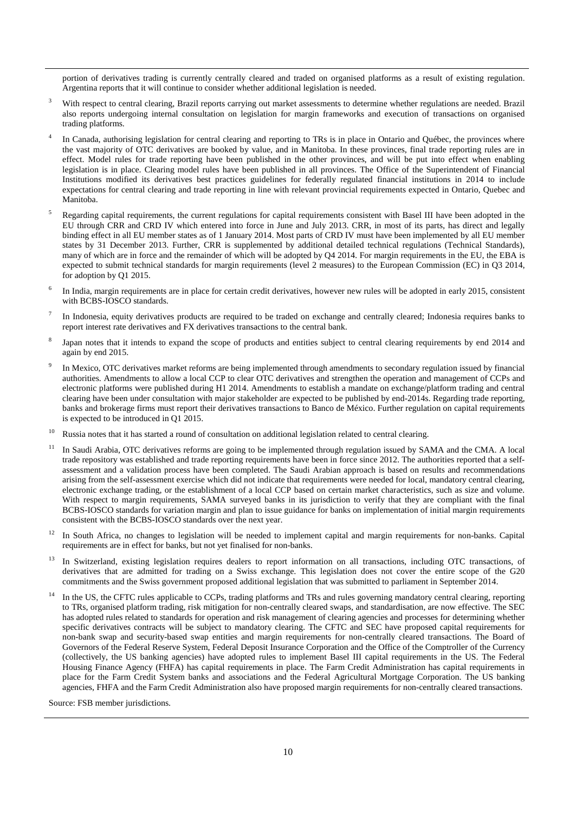portion of derivatives trading is currently centrally cleared and traded on organised platforms as a result of existing regulation. Argentina reports that it will continue to consider whether additional legislation is needed.

- <sup>3</sup> With respect to central clearing, Brazil reports carrying out market assessments to determine whether regulations are needed. Brazil also reports undergoing internal consultation on legislation for margin frameworks and execution of transactions on organised trading platforms.
- In Canada, authorising legislation for central clearing and reporting to TRs is in place in Ontario and Québec, the provinces where the vast majority of OTC derivatives are booked by value, and in Manitoba. In these provinces, final trade reporting rules are in effect. Model rules for trade reporting have been published in the other provinces, and will be put into effect when enabling legislation is in place. Clearing model rules have been published in all provinces. The Office of the Superintendent of Financial Institutions modified its derivatives best practices guidelines for federally regulated financial institutions in 2014 to include expectations for central clearing and trade reporting in line with relevant provincial requirements expected in Ontario, Quebec and Manitoba.
- <sup>5</sup> Regarding capital requirements, the current regulations for capital requirements consistent with Basel III have been adopted in the EU through CRR and CRD IV which entered into force in June and July 2013. CRR, in most of its parts, has direct and legally binding effect in all EU member states as of 1 January 2014. Most parts of CRD IV must have been implemented by all EU member states by 31 December 2013. Further, CRR is supplemented by additional detailed technical regulations (Technical Standards), many of which are in force and the remainder of which will be adopted by Q4 2014. For margin requirements in the EU, the EBA is expected to submit technical standards for margin requirements (level 2 measures) to the European Commission (EC) in Q3 2014, for adoption by Q1 2015.
- <sup>6</sup> In India, margin requirements are in place for certain credit derivatives, however new rules will be adopted in early 2015, consistent with BCBS-IOSCO standards.
- <sup>7</sup> In Indonesia, equity derivatives products are required to be traded on exchange and centrally cleared; Indonesia requires banks to report interest rate derivatives and FX derivatives transactions to the central bank.
- Japan notes that it intends to expand the scope of products and entities subject to central clearing requirements by end 2014 and again by end 2015.
- In Mexico, OTC derivatives market reforms are being implemented through amendments to secondary regulation issued by financial authorities. Amendments to allow a local CCP to clear OTC derivatives and strengthen the operation and management of CCPs and electronic platforms were published during H1 2014. Amendments to establish a mandate on exchange/platform trading and central clearing have been under consultation with major stakeholder are expected to be published by end-2014s. Regarding trade reporting, banks and brokerage firms must report their derivatives transactions to Banco de México. Further regulation on capital requirements is expected to be introduced in Q1 2015.
- Russia notes that it has started a round of consultation on additional legislation related to central clearing.
- <sup>11</sup> In Saudi Arabia, OTC derivatives reforms are going to be implemented through regulation issued by SAMA and the CMA. A local trade repository was established and trade reporting requirements have been in force since 2012. The authorities reported that a selfassessment and a validation process have been completed. The Saudi Arabian approach is based on results and recommendations arising from the self-assessment exercise which did not indicate that requirements were needed for local, mandatory central clearing, electronic exchange trading, or the establishment of a local CCP based on certain market characteristics, such as size and volume. With respect to margin requirements, SAMA surveyed banks in its jurisdiction to verify that they are compliant with the final BCBS-IOSCO standards for variation margin and plan to issue guidance for banks on implementation of initial margin requirements consistent with the BCBS-IOSCO standards over the next year.
- <sup>12</sup> In South Africa, no changes to legislation will be needed to implement capital and margin requirements for non-banks. Capital requirements are in effect for banks, but not yet finalised for non-banks.
- <sup>13</sup> In Switzerland, existing legislation requires dealers to report information on all transactions, including OTC transactions, of derivatives that are admitted for trading on a Swiss exchange. This legislation does not cover the entire scope of the G20 commitments and the Swiss government proposed additional legislation that was submitted to parliament in September 2014.
- <sup>14</sup> In the US, the CFTC rules applicable to CCPs, trading platforms and TRs and rules governing mandatory central clearing, reporting to TRs, organised platform trading, risk mitigation for non-centrally cleared swaps, and standardisation, are now effective. The SEC has adopted rules related to standards for operation and risk management of clearing agencies and processes for determining whether specific derivatives contracts will be subject to mandatory clearing. The CFTC and SEC have proposed capital requirements for non-bank swap and security-based swap entities and margin requirements for non-centrally cleared transactions. The Board of Governors of the Federal Reserve System, Federal Deposit Insurance Corporation and the Office of the Comptroller of the Currency (collectively, the US banking agencies) have adopted rules to implement Basel III capital requirements in the US. The Federal Housing Finance Agency (FHFA) has capital requirements in place. The Farm Credit Administration has capital requirements in place for the Farm Credit System banks and associations and the Federal Agricultural Mortgage Corporation. The US banking agencies, FHFA and the Farm Credit Administration also have proposed margin requirements for non-centrally cleared transactions.

Source: FSB member jurisdictions.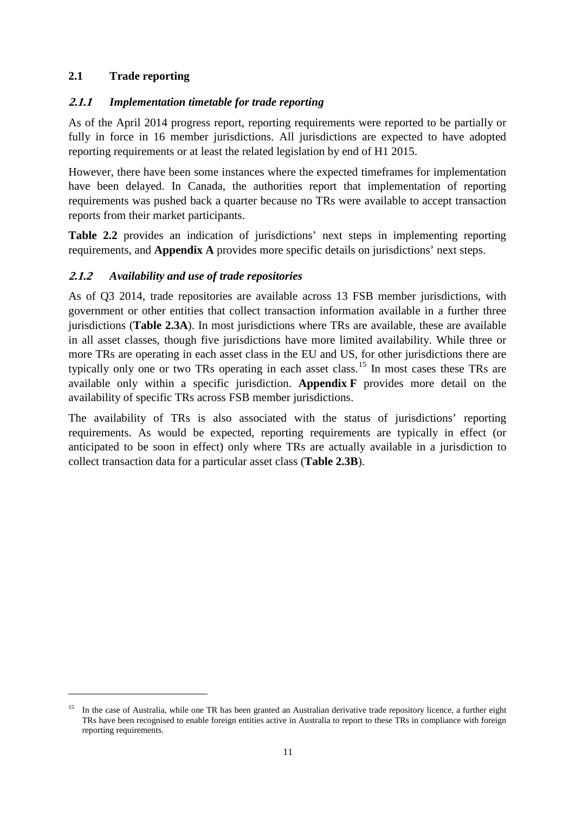### <span id="page-13-0"></span>**2.1 Trade reporting**

-

### <span id="page-13-1"></span>**2.1.1** *Implementation timetable for trade reporting*

As of the April 2014 progress report, reporting requirements were reported to be partially or fully in force in 16 member jurisdictions. All jurisdictions are expected to have adopted reporting requirements or at least the related legislation by end of H1 2015.

However, there have been some instances where the expected timeframes for implementation have been delayed. In Canada, the authorities report that implementation of reporting requirements was pushed back a quarter because no TRs were available to accept transaction reports from their market participants.

**Table 2.2** provides an indication of jurisdictions' next steps in implementing reporting requirements, and **Appendix A** provides more specific details on jurisdictions' next steps.

### <span id="page-13-2"></span>**2.1.2** *Availability and use of trade repositories*

As of Q3 2014, trade repositories are available across 13 FSB member jurisdictions, with government or other entities that collect transaction information available in a further three jurisdictions (**Table 2.3A**). In most jurisdictions where TRs are available, these are available in all asset classes, though five jurisdictions have more limited availability. While three or more TRs are operating in each asset class in the EU and US, for other jurisdictions there are typically only one or two TRs operating in each asset class.<sup>[15](#page-13-3)</sup> In most cases these TRs are available only within a specific jurisdiction. **Appendix F** provides more detail on the availability of specific TRs across FSB member jurisdictions.

The availability of TRs is also associated with the status of jurisdictions' reporting requirements. As would be expected, reporting requirements are typically in effect (or anticipated to be soon in effect) only where TRs are actually available in a jurisdiction to collect transaction data for a particular asset class (**Table 2.3B**).

<span id="page-13-3"></span><sup>&</sup>lt;sup>15</sup> In the case of Australia, while one TR has been granted an Australian derivative trade repository licence, a further eight TRs have been recognised to enable foreign entities active in Australia to report to these TRs in compliance with foreign reporting requirements.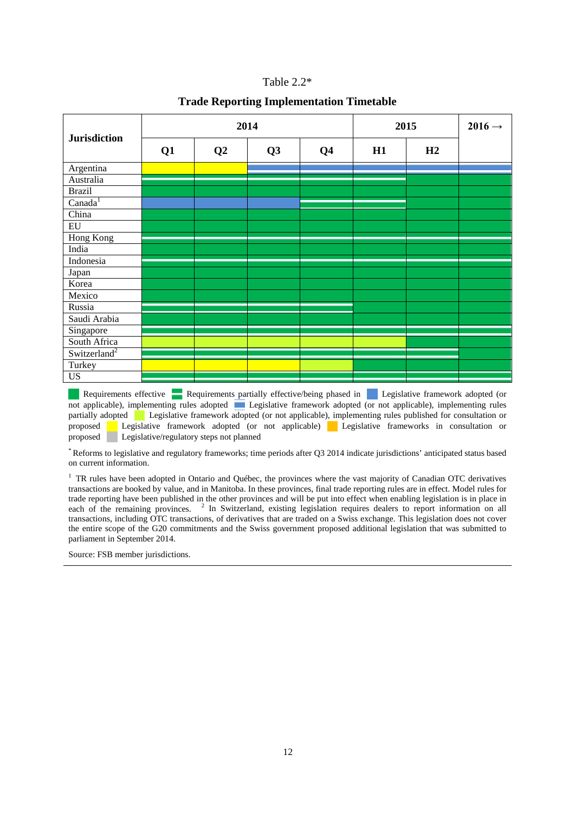| Table $2.2*$ |  |  |
|--------------|--|--|
|--------------|--|--|

#### **Trade Reporting Implementation Timetable**

|                          |    |    | 2014           | 2015           | $2016 \rightarrow$ |    |  |
|--------------------------|----|----|----------------|----------------|--------------------|----|--|
| <b>Jurisdiction</b>      | Q1 | Q2 | Q <sub>3</sub> | Q <sub>4</sub> | H1                 | H2 |  |
| Argentina                |    |    |                |                |                    |    |  |
| Australia                |    |    |                |                |                    |    |  |
| <b>Brazil</b>            |    |    |                |                |                    |    |  |
| Canada <sup>1</sup>      |    |    |                |                |                    |    |  |
| China                    |    |    |                |                |                    |    |  |
| $\overline{EU}$          |    |    |                |                |                    |    |  |
| <b>Hong Kong</b>         |    |    |                |                |                    |    |  |
| India                    |    |    |                |                |                    |    |  |
| Indonesia                |    |    |                |                |                    |    |  |
| Japan                    |    |    |                |                |                    |    |  |
| Korea                    |    |    |                |                |                    |    |  |
| Mexico                   |    |    |                |                |                    |    |  |
| Russia                   |    |    |                |                |                    |    |  |
| Saudi Arabia             |    |    |                |                |                    |    |  |
| Singapore                |    |    |                |                |                    |    |  |
| South Africa             |    |    |                |                |                    |    |  |
| Switzerland <sup>2</sup> |    |    |                |                |                    |    |  |
| Turkey                   |    |    |                |                |                    |    |  |
| <b>US</b>                |    |    |                |                |                    |    |  |

Requirements effective Requirements partially effective/being phased in Legislative framework adopted (or not applicable), implementing rules adopted Legislative framework adopted (or not applicable), implementing rules partially adopted Legislative framework adopted (or not applicable), implementing rules published for consultation or proposed Legislative framework adopted (or not applicable) Legislative frameworks in consultation or proposed Legislative/regulatory steps not planned

\* Reforms to legislative and regulatory frameworks; time periods after Q3 2014 indicate jurisdictions' anticipated status based on current information.

<sup>1</sup> TR rules have been adopted in Ontario and Québec, the provinces where the vast majority of Canadian OTC derivatives transactions are booked by value, and in Manitoba. In these provinces, final trade reporting rules are in effect. Model rules for trade reporting have been published in the other provinces and will be put into effect when enabling legislation is in place in each of the remaining provinces. <sup>2</sup> In Switzerland, existing legislation requires dealers to report information on all transactions, including OTC transactions, of derivatives that are traded on a Swiss exchange. This legislation does not cover the entire scope of the G20 commitments and the Swiss government proposed additional legislation that was submitted to parliament in September 2014.

Source: FSB member jurisdictions.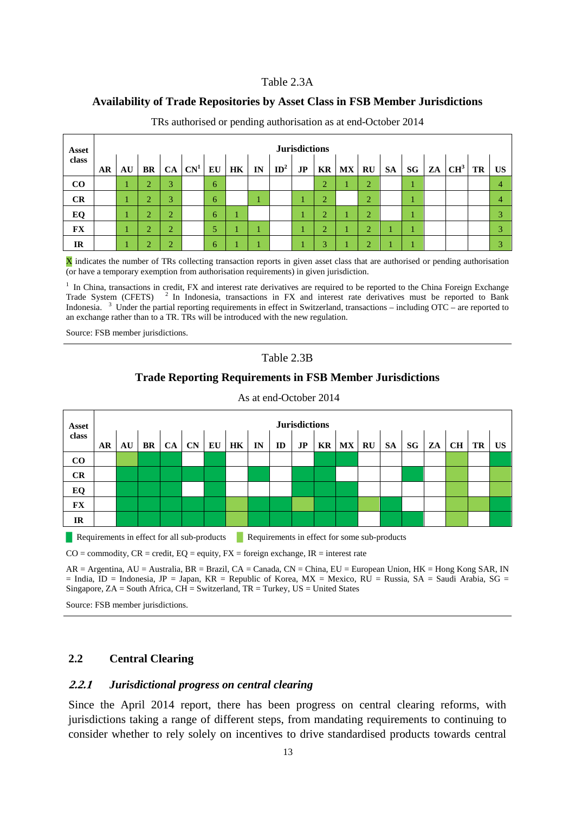#### Table 2.3A

#### **Availability of Trade Repositories by Asset Class in FSB Member Jurisdictions**

| <b>Asset</b> |    | <b>Jurisdictions</b> |                |                |                  |    |    |    |                 |    |                |           |                |           |           |                 |           |                |
|--------------|----|----------------------|----------------|----------------|------------------|----|----|----|-----------------|----|----------------|-----------|----------------|-----------|-----------|-----------------|-----------|----------------|
| class        | AR | AU                   | <b>BR</b>      |                | $CA$ $CN^1$ $EU$ |    | HK | IN | ID <sup>2</sup> | JP |                | $KR$ $MX$ | RU             | <b>SA</b> | $SG$ $ZA$ | CH <sup>3</sup> | <b>TR</b> | <b>US</b>      |
| $\bf CO$     |    |                      | $\overline{2}$ | 3              |                  | -6 |    |    |                 |    | $\overline{2}$ |           | $\overline{2}$ |           |           |                 |           | $\overline{4}$ |
| CR           |    |                      | $\overline{2}$ | 3              |                  | 6  |    |    |                 |    | $\overline{2}$ |           | $\overline{2}$ |           |           |                 |           | $\overline{4}$ |
| EQ           |    |                      | $\overline{2}$ | $\overline{2}$ |                  | 6  |    |    |                 |    | $\bigcap$      |           | $\overline{2}$ |           |           |                 |           | 3              |
| <b>FX</b>    |    |                      | $\overline{2}$ | $\bigcap$<br>∠ |                  | 5  |    |    |                 |    | $\overline{2}$ |           | $\overline{2}$ |           | и         |                 |           | 3              |
| <b>IR</b>    |    |                      | $\bigcap$<br>∠ | $\bigcap$<br>∠ |                  | 6  |    |    |                 |    | 3              |           | $\bigcap$      |           |           |                 |           | 3              |

TRs authorised or pending authorisation as at end-October 2014

X indicates the number of TRs collecting transaction reports in given asset class that are authorised or pending authorisation (or have a temporary exemption from authorisation requirements) in given jurisdiction.

<sup>1</sup> In China, transactions in credit, FX and interest rate derivatives are required to be reported to the China Foreign Exchange Trade System (CFETS)<sup>2</sup> In Indonesia, transactions in FX and interest rate derivatives must be reported to Bank Indonesia. <sup>3</sup> Under the partial reporting requirements in effect in Switzerland, transactions – including OTC – are reported to an exchange rather than to a TR. TRs will be introduced with the new regulation.

Source: FSB member jurisdictions.

### Table 2.3B

#### **Trade Reporting Requirements in FSB Member Jurisdictions**



As at end-October 2014

**EXECUTE:** Requirements in effect for all sub-products **Requirements in effect for some sub-products** 

 $CO =$  commodity,  $CR =$  credit,  $EQ =$  equity,  $FX =$  foreign exchange,  $IR =$  interest rate

AR = Argentina, AU = Australia, BR = Brazil, CA = Canada, CN = China, EU = European Union, HK = Hong Kong SAR, IN  $=$  India, ID = Indonesia, JP = Japan, KR = Republic of Korea, MX = Mexico, RU = Russia, SA = Saudi Arabia, SG = Singapore,  $ZA = South Africa$ ,  $CH = Switzerland$ ,  $TR = Turkey$ ,  $US = United States$ 

Source: FSB member jurisdictions.

#### <span id="page-15-0"></span>**2.2 Central Clearing**

#### <span id="page-15-1"></span>**2.2.1** *Jurisdictional progress on central clearing*

Since the April 2014 report, there has been progress on central clearing reforms, with jurisdictions taking a range of different steps, from mandating requirements to continuing to consider whether to rely solely on incentives to drive standardised products towards central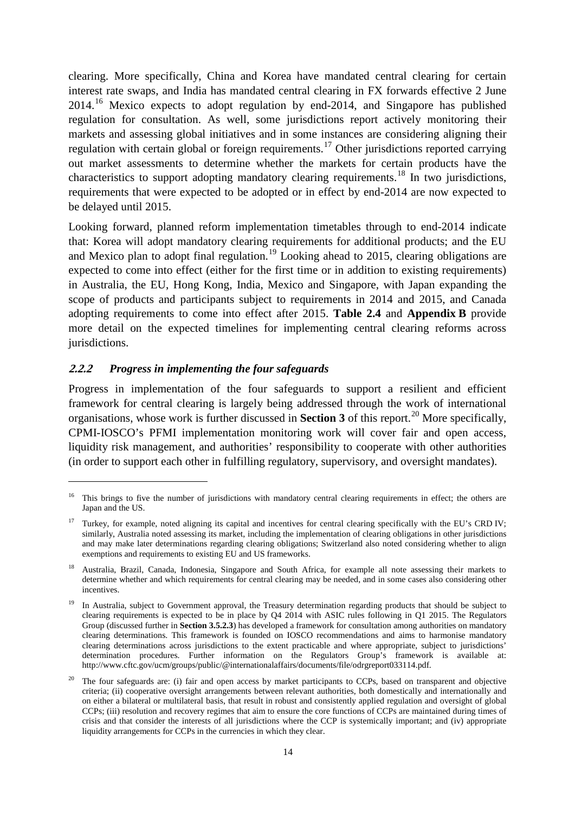clearing. More specifically, China and Korea have mandated central clearing for certain interest rate swaps, and India has mandated central clearing in FX forwards effective 2 June 2014.<sup>[16](#page-16-1)</sup> Mexico expects to adopt regulation by end-2014, and Singapore has published regulation for consultation. As well, some jurisdictions report actively monitoring their markets and assessing global initiatives and in some instances are considering aligning their regulation with certain global or foreign requirements.<sup>[17](#page-16-2)</sup> Other jurisdictions reported carrying out market assessments to determine whether the markets for certain products have the characteristics to support adopting mandatory clearing requirements.[18](#page-16-3) In two jurisdictions, requirements that were expected to be adopted or in effect by end-2014 are now expected to be delayed until 2015.

Looking forward, planned reform implementation timetables through to end-2014 indicate that: Korea will adopt mandatory clearing requirements for additional products; and the EU and Mexico plan to adopt final regulation.<sup>[19](#page-16-4)</sup> Looking ahead to 2015, clearing obligations are expected to come into effect (either for the first time or in addition to existing requirements) in Australia, the EU, Hong Kong, India, Mexico and Singapore, with Japan expanding the scope of products and participants subject to requirements in 2014 and 2015, and Canada adopting requirements to come into effect after 2015. **Table 2.4** and **Appendix B** provide more detail on the expected timelines for implementing central clearing reforms across jurisdictions.

#### <span id="page-16-0"></span>**2.2.2** *Progress in implementing the four safeguards*

-

Progress in implementation of the four safeguards to support a resilient and efficient framework for central clearing is largely being addressed through the work of international organisations, whose work is further discussed in **Section 3** of this report.[20](#page-16-5) More specifically, CPMI-IOSCO's PFMI implementation monitoring work will cover fair and open access, liquidity risk management, and authorities' responsibility to cooperate with other authorities (in order to support each other in fulfilling regulatory, supervisory, and oversight mandates).

<span id="page-16-1"></span><sup>&</sup>lt;sup>16</sup> This brings to five the number of jurisdictions with mandatory central clearing requirements in effect; the others are Japan and the US.

<span id="page-16-2"></span><sup>&</sup>lt;sup>17</sup> Turkey, for example, noted aligning its capital and incentives for central clearing specifically with the EU's CRD IV; similarly, Australia noted assessing its market, including the implementation of clearing obligations in other jurisdictions and may make later determinations regarding clearing obligations; Switzerland also noted considering whether to align exemptions and requirements to existing EU and US frameworks.

<span id="page-16-3"></span><sup>&</sup>lt;sup>18</sup> Australia, Brazil, Canada, Indonesia, Singapore and South Africa, for example all note assessing their markets to determine whether and which requirements for central clearing may be needed, and in some cases also considering other incentives.

<span id="page-16-4"></span><sup>19</sup> In Australia, subject to Government approval, the Treasury determination regarding products that should be subject to clearing requirements is expected to be in place by Q4 2014 with ASIC rules following in Q1 2015. The Regulators Group (discussed further in **Section 3.5.2.3**) has developed a framework for consultation among authorities on mandatory clearing determinations. This framework is founded on IOSCO recommendations and aims to harmonise mandatory clearing determinations across jurisdictions to the extent practicable and where appropriate, subject to jurisdictions' determination procedures. Further information on the Regulators Group's framework is available at: [http://www.cftc.gov/ucm/groups/public/@internationalaffairs/documents/file/odrgreport033114.pdf.](http://www.cftc.gov/ucm/groups/public/@internationalaffairs/documents/file/odrgreport033114.pdf) 

<span id="page-16-5"></span><sup>&</sup>lt;sup>20</sup> The four safeguards are: (i) fair and open access by market participants to CCPs, based on transparent and objective criteria; (ii) cooperative oversight arrangements between relevant authorities, both domestically and internationally and on either a bilateral or multilateral basis, that result in robust and consistently applied regulation and oversight of global CCPs; (iii) resolution and recovery regimes that aim to ensure the core functions of CCPs are maintained during times of crisis and that consider the interests of all jurisdictions where the CCP is systemically important; and (iv) appropriate liquidity arrangements for CCPs in the currencies in which they clear.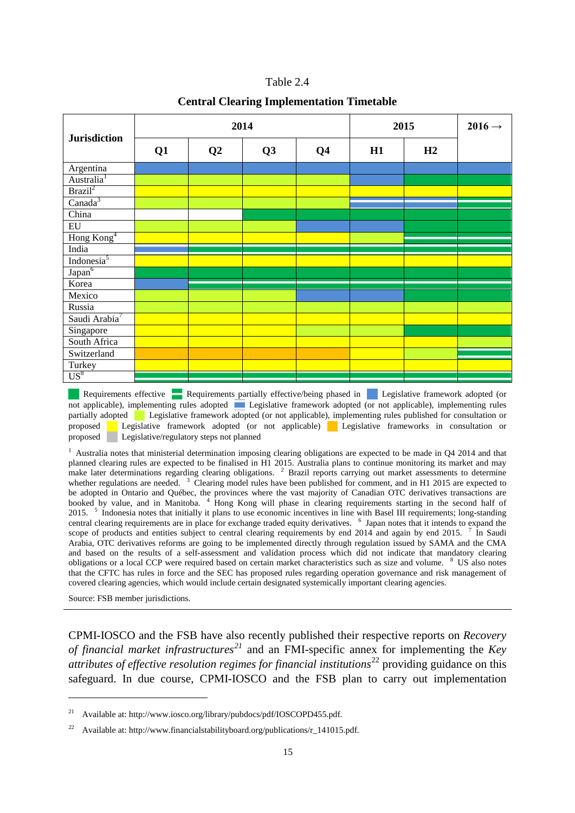| Table 2.4 |  |
|-----------|--|
|-----------|--|

#### **Central Clearing Implementation Timetable**

|                           |    |                | 2014 | 2015           | $2016 \rightarrow$ |    |  |
|---------------------------|----|----------------|------|----------------|--------------------|----|--|
| <b>Jurisdiction</b>       | Q1 | Q <sub>2</sub> | Q3   | Q <sub>4</sub> | H1                 | H2 |  |
| Argentina                 |    |                |      |                |                    |    |  |
| Australia <sup>1</sup>    |    |                |      |                |                    |    |  |
| Brazil <sup>2</sup>       |    |                |      |                |                    |    |  |
| Canada <sup>3</sup>       |    |                |      |                |                    |    |  |
| China                     |    |                |      |                |                    |    |  |
| $E_{\rm U}$               |    |                |      |                |                    |    |  |
| Hong Kong <sup>4</sup>    |    |                |      |                |                    |    |  |
| India                     |    |                |      |                |                    |    |  |
| Indonesia <sup>5</sup>    |    |                |      |                |                    |    |  |
| Japan <sup>6</sup>        |    |                |      |                |                    |    |  |
| Korea                     |    |                |      |                |                    |    |  |
| Mexico                    |    |                |      |                |                    |    |  |
| Russia                    |    |                |      |                |                    |    |  |
| Saudi Arabia <sup>7</sup> |    |                |      |                |                    |    |  |
| Singapore                 |    |                |      |                |                    |    |  |
| South Africa              |    |                |      |                |                    |    |  |
| Switzerland               |    |                |      |                |                    |    |  |
| Turkey                    |    |                |      |                |                    |    |  |
| $US^8$                    |    |                |      |                |                    |    |  |

Requirements effective Requirements partially effective/being phased in Legislative framework adopted (or not applicable), implementing rules adopted Legislative framework adopted (or not applicable), implementing rules partially adopted Legislative framework adopted (or not applicable), implementing rules published for consultation or proposed Legislative framework adopted (or not applicable) Legislative frameworks in consultation or Legislative framework adopted (or not applicable) Legislative frameworks in consultation or proposed Legislative/regulatory steps not planned

 $1$  Australia notes that ministerial determination imposing clearing obligations are expected to be made in Q4 2014 and that planned clearing rules are expected to be finalised in H1 2015. Australia plans to continue monitoring its market and may make later determinations regarding clearing obligations.  $2$  Brazil reports carrying out market assessments to determine whether regulations are needed.  $3$  Clearing model rules have been published for comment, and in H1 2015 are expected to be adopted in Ontario and Québec, the provinces where the vast majority of Canadian OTC derivatives transactions are booked by value, and in Manitoba. <sup>4</sup> Hong Kong will phase in clearing requirements starting in the second half of 2015. <sup>5</sup> Indonesia notes that initially it plans to use economic incentives in line with Basel III requirements; long-standing central clearing requirements are in place for exchange traded equity derivatives. <sup>6</sup> Japan notes that it intends to expand the scope of products and entities subject to central clearing requirements by end 2014 and again by end 2015.  $\frac{7}{1}$  In Saudi Arabia, OTC derivatives reforms are going to be implemented directly through regulation issued by SAMA and the CMA and based on the results of a self-assessment and validation process which did not indicate that mandatory clearing obligations or a local CCP were required based on certain market characteristics such as size and volume. <sup>8</sup> US also notes that the CFTC has rules in force and the SEC has proposed rules regarding operation governance and risk management of covered clearing agencies, which would include certain designated systemically important clearing agencies.

Source: FSB member jurisdictions.

-

CPMI-IOSCO and the FSB have also recently published their respective reports on *Recovery of financial market infrastructures[21](#page-17-0)* and an FMI-specific annex for implementing the *Key attributes of effective resolution regimes for financial institutions*<sup>[22](#page-17-1)</sup> providing guidance on this safeguard. In due course, CPMI-IOSCO and the FSB plan to carry out implementation

<span id="page-17-0"></span>Available at[: http://www.iosco.org/library/pubdocs/pdf/IOSCOPD455.pdf.](http://www.iosco.org/library/pubdocs/pdf/IOSCOPD455.pdf)

<span id="page-17-1"></span>Available at[: http://www.financialstabilityboard.org/publications/r\\_141015.pdf.](http://www.financialstabilityboard.org/publications/r_141015.pdf)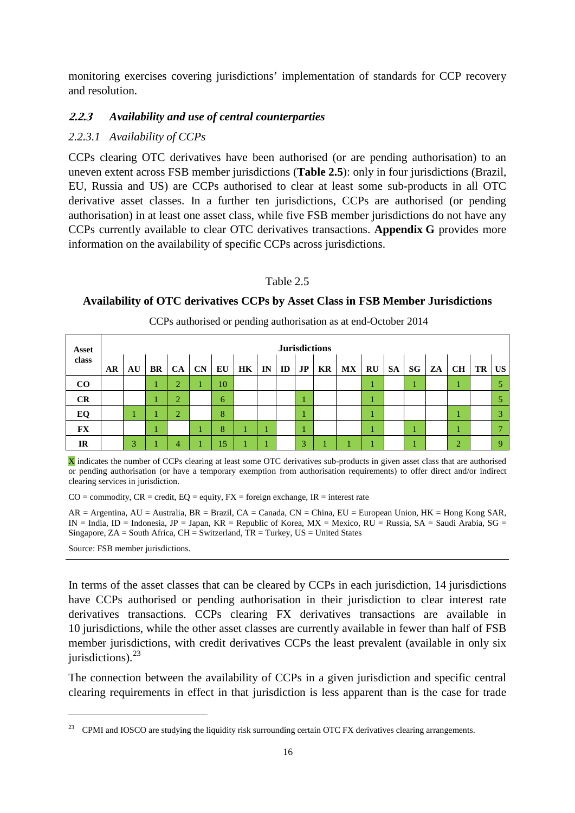monitoring exercises covering jurisdictions' implementation of standards for CCP recovery and resolution.

### <span id="page-18-0"></span>**2.2.3** *Availability and use of central counterparties*

### *2.2.3.1 Availability of CCPs*

CCPs clearing OTC derivatives have been authorised (or are pending authorisation) to an uneven extent across FSB member jurisdictions (**Table 2.5**): only in four jurisdictions (Brazil, EU, Russia and US) are CCPs authorised to clear at least some sub-products in all OTC derivative asset classes. In a further ten jurisdictions, CCPs are authorised (or pending authorisation) in at least one asset class, while five FSB member jurisdictions do not have any CCPs currently available to clear OTC derivatives transactions. **Appendix G** provides more information on the availability of specific CCPs across jurisdictions.

#### Table 2.5

#### **Availability of OTC derivatives CCPs by Asset Class in FSB Member Jurisdictions**

| Asset     |    | <b>Jurisdictions</b> |         |                |                |    |    |         |  |    |    |                         |    |    |    |    |           |    |             |
|-----------|----|----------------------|---------|----------------|----------------|----|----|---------|--|----|----|-------------------------|----|----|----|----|-----------|----|-------------|
| class     | AR |                      | $AU$ BR |                | $CA$ $CN$ $EU$ |    | HK | $IN$ ID |  | JP | KR | $\mathbf{M} \mathbf{X}$ | RU | SA | SG | ZA | <b>CH</b> | TR | <b>US</b>   |
| CO        |    |                      |         | $\sim$         |                | 10 |    |         |  |    |    |                         |    |    |    |    |           |    |             |
| CR        |    |                      |         | $\bigcap$      |                | 6  |    |         |  |    |    |                         |    |    |    |    |           |    |             |
| EQ        |    |                      |         | $\overline{2}$ |                | 8  |    |         |  |    |    |                         |    |    |    |    |           |    | 3           |
| <b>FX</b> |    |                      |         |                |                | 8  |    |         |  |    |    |                         |    |    |    |    |           |    |             |
| IR        |    | 3                    |         | 4              |                | 15 |    |         |  | 3  |    |                         |    |    |    |    | $\bigcap$ |    | $\mathbf Q$ |

CCPs authorised or pending authorisation as at end-October 2014

X indicates the number of CCPs clearing at least some OTC derivatives sub-products in given asset class that are authorised or pending authorisation (or have a temporary exemption from authorisation requirements) to offer direct and/or indirect clearing services in jurisdiction.

 $CO =$  commodity,  $CR =$  credit,  $EQ =$  equity,  $FX =$  foreign exchange,  $IR =$  interest rate

AR = Argentina, AU = Australia, BR = Brazil, CA = Canada, CN = China, EU = European Union, HK = Hong Kong SAR,  $IN = India$ ,  $ID = Indonesia$ ,  $JP = Japan$ ,  $KR = Republic$  of Korea,  $MX = Mexico$ ,  $RU = Russia$ ,  $SA = Saudi$  Arabia,  $SG =$ Singapore, ZA = South Africa, CH = Switzerland, TR = Turkey, US = United States

Source: FSB member jurisdictions.

-

In terms of the asset classes that can be cleared by CCPs in each jurisdiction, 14 jurisdictions have CCPs authorised or pending authorisation in their jurisdiction to clear interest rate derivatives transactions. CCPs clearing FX derivatives transactions are available in 10 jurisdictions, while the other asset classes are currently available in fewer than half of FSB member jurisdictions, with credit derivatives CCPs the least prevalent (available in only six jurisdictions). $^{23}$  $^{23}$  $^{23}$ 

The connection between the availability of CCPs in a given jurisdiction and specific central clearing requirements in effect in that jurisdiction is less apparent than is the case for trade

<span id="page-18-1"></span><sup>&</sup>lt;sup>23</sup> CPMI and IOSCO are studying the liquidity risk surrounding certain OTC FX derivatives clearing arrangements.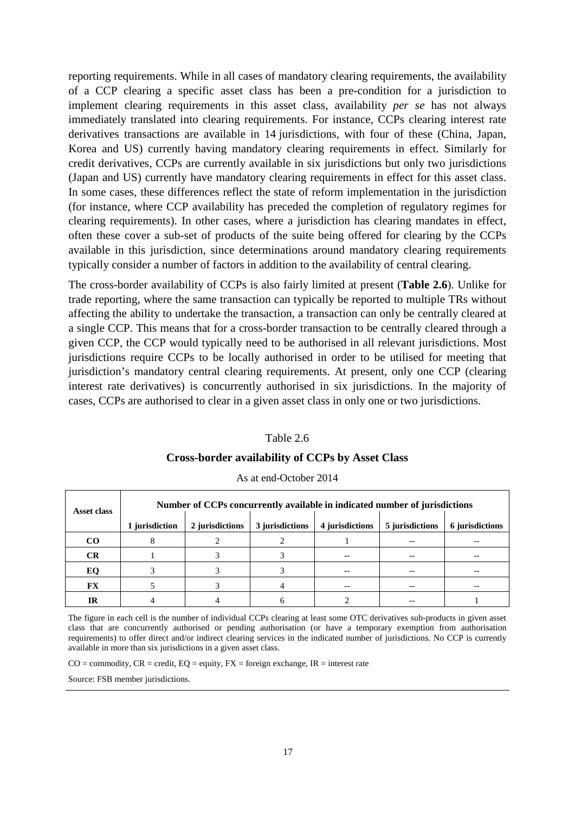reporting requirements. While in all cases of mandatory clearing requirements, the availability of a CCP clearing a specific asset class has been a pre-condition for a jurisdiction to implement clearing requirements in this asset class, availability *per se* has not always immediately translated into clearing requirements. For instance, CCPs clearing interest rate derivatives transactions are available in 14 jurisdictions, with four of these (China, Japan, Korea and US) currently having mandatory clearing requirements in effect. Similarly for credit derivatives, CCPs are currently available in six jurisdictions but only two jurisdictions (Japan and US) currently have mandatory clearing requirements in effect for this asset class. In some cases, these differences reflect the state of reform implementation in the jurisdiction (for instance, where CCP availability has preceded the completion of regulatory regimes for clearing requirements). In other cases, where a jurisdiction has clearing mandates in effect, often these cover a sub-set of products of the suite being offered for clearing by the CCPs available in this jurisdiction, since determinations around mandatory clearing requirements typically consider a number of factors in addition to the availability of central clearing.

The cross-border availability of CCPs is also fairly limited at present (**Table 2.6**). Unlike for trade reporting, where the same transaction can typically be reported to multiple TRs without affecting the ability to undertake the transaction, a transaction can only be centrally cleared at a single CCP. This means that for a cross-border transaction to be centrally cleared through a given CCP, the CCP would typically need to be authorised in all relevant jurisdictions. Most jurisdictions require CCPs to be locally authorised in order to be utilised for meeting that jurisdiction's mandatory central clearing requirements. At present, only one CCP (clearing interest rate derivatives) is concurrently authorised in six jurisdictions. In the majority of cases, CCPs are authorised to clear in a given asset class in only one or two jurisdictions.

### Table 2.6 **Cross-border availability of CCPs by Asset Class**

| Asset class | Number of CCPs concurrently available in indicated number of jurisdictions |                 |                 |                 |                 |                 |  |  |  |  |  |  |  |  |
|-------------|----------------------------------------------------------------------------|-----------------|-----------------|-----------------|-----------------|-----------------|--|--|--|--|--|--|--|--|
|             | 1 jurisdiction                                                             | 2 jurisdictions | 3 jurisdictions | 4 jurisdictions | 5 jurisdictions | 6 jurisdictions |  |  |  |  |  |  |  |  |
| <b>CO</b>   |                                                                            |                 |                 |                 | $- -$           |                 |  |  |  |  |  |  |  |  |
| <b>CR</b>   |                                                                            |                 |                 |                 |                 |                 |  |  |  |  |  |  |  |  |
| EQ          |                                                                            |                 |                 |                 | --              |                 |  |  |  |  |  |  |  |  |
| FX          |                                                                            |                 |                 | $ -$            | --              |                 |  |  |  |  |  |  |  |  |
| IR          |                                                                            |                 |                 |                 | --              |                 |  |  |  |  |  |  |  |  |

As at end-October 2014

The figure in each cell is the number of individual CCPs clearing at least some OTC derivatives sub-products in given asset class that are concurrently authorised or pending authorisation (or have a temporary exemption from authorisation requirements) to offer direct and/or indirect clearing services in the indicated number of jurisdictions. No CCP is currently available in more than six jurisdictions in a given asset class.

 $CO =$  commodity,  $CR =$  credit,  $EQ =$  equity,  $FX =$  foreign exchange,  $IR =$  interest rate

Source: FSB member jurisdictions.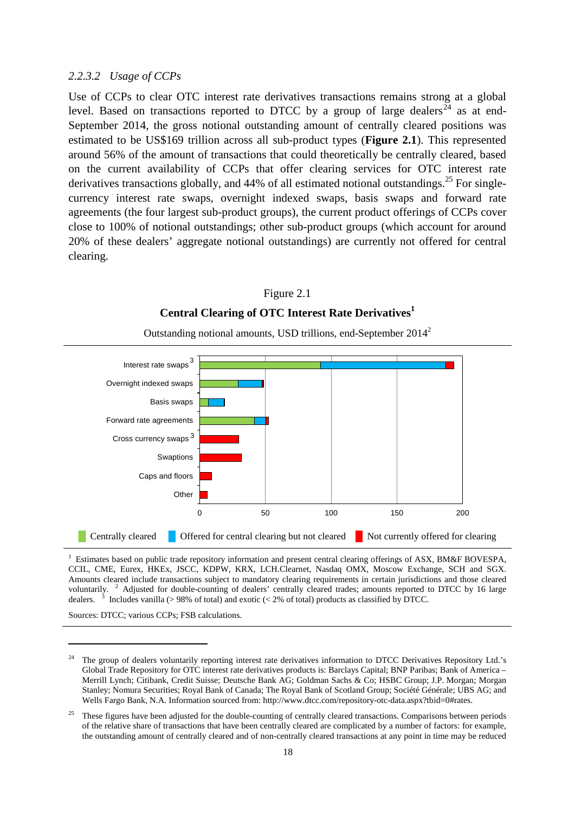#### *2.2.3.2 Usage of CCPs*

Use of CCPs to clear OTC interest rate derivatives transactions remains strong at a global level. Based on transactions reported to DTCC by a group of large dealers<sup>[24](#page-20-0)</sup> as at end-September 2014, the gross notional outstanding amount of centrally cleared positions was estimated to be US\$169 trillion across all sub-product types (**Figure 2.1**). This represented around 56% of the amount of transactions that could theoretically be centrally cleared, based on the current availability of CCPs that offer clearing services for OTC interest rate derivatives transactions globally, and 44% of all estimated notional outstandings.<sup>25</sup> For singlecurrency interest rate swaps, overnight indexed swaps, basis swaps and forward rate agreements (the four largest sub-product groups), the current product offerings of CCPs cover close to 100% of notional outstandings; other sub-product groups (which account for around 20% of these dealers' aggregate notional outstandings) are currently not offered for central clearing.

### Figure 2.1 **Central Clearing of OTC Interest Rate Derivatives<sup>1</sup>**



Outstanding notional amounts, USD trillions, end-September 20142

1 Estimates based on public trade repository information and present central clearing offerings of ASX, BM&F BOVESPA, CCIL, CME, Eurex, HKEx, JSCC, KDPW, KRX, LCH.Clearnet, Nasdaq OMX, Moscow Exchange, SCH and SGX. Amounts cleared include transactions subject to mandatory clearing requirements in certain jurisdictions and those cleared voluntarily. <sup>2</sup> Adjusted for double-counting of dealers' centrally cleared trades; amounts reported to DTCC by 16 large dealers. <sup>3</sup> Includes vanilla (> 98% of total) and exotic (< 2% of total) products as classified by DTCC.

Sources: DTCC; various CCPs; FSB calculations.

<span id="page-20-0"></span><sup>24</sup> The group of dealers voluntarily reporting interest rate derivatives information to DTCC Derivatives Repository Ltd.'s Global Trade Repository for OTC interest rate derivatives products is: Barclays Capital; BNP Paribas; Bank of America – Merrill Lynch; Citibank, Credit Suisse; Deutsche Bank AG; Goldman Sachs & Co; HSBC Group; J.P. Morgan; Morgan Stanley; Nomura Securities; Royal Bank of Canada; The Royal Bank of Scotland Group; Société Générale; UBS AG; and Wells Fargo Bank, N.A. Information sourced from[: http://www.dtcc.com/repository-otc-data.aspx?tbid=0#rates.](http://www.dtcc.com/repository-otc-data.aspx?tbid=0%23rates)

<sup>&</sup>lt;sup>25</sup> These figures have been adjusted for the double-counting of centrally cleared transactions. Comparisons between periods of the relative share of transactions that have been centrally cleared are complicated by a number of factors: for example, the outstanding amount of centrally cleared and of non-centrally cleared transactions at any point in time may be reduced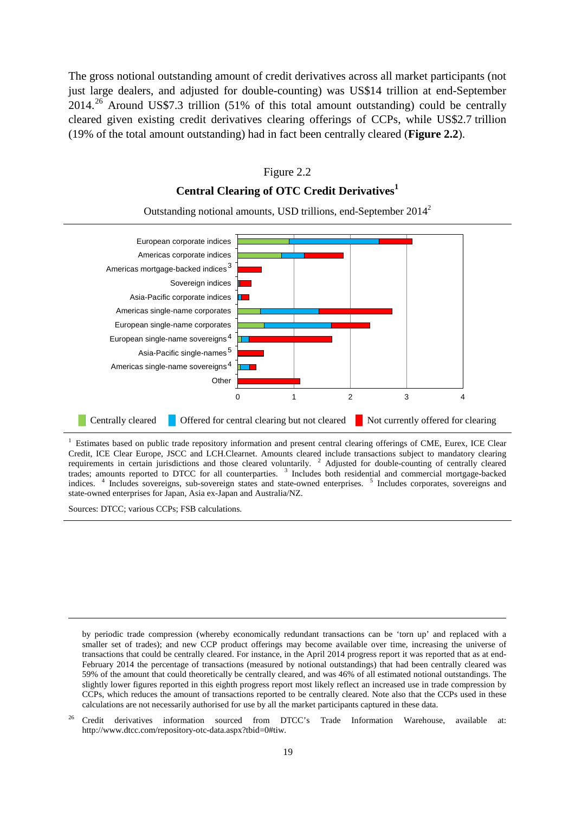The gross notional outstanding amount of credit derivatives across all market participants (not just large dealers, and adjusted for double-counting) was US\$14 trillion at end-September  $2014.<sup>26</sup>$  $2014.<sup>26</sup>$  $2014.<sup>26</sup>$  Around US\$7.3 trillion (51% of this total amount outstanding) could be centrally cleared given existing credit derivatives clearing offerings of CCPs, while US\$2.7 trillion (19% of the total amount outstanding) had in fact been centrally cleared (**Figure 2.2**).

#### Figure 2.2

### **Central Clearing of OTC Credit Derivatives<sup>1</sup>**



Outstanding notional amounts, USD trillions, end-September 20142

<sup>1</sup> Estimates based on public trade repository information and present central clearing offerings of CME, Eurex, ICE Clear Credit, ICE Clear Europe, JSCC and LCH.Clearnet. Amounts cleared include transactions subject to mandatory clearing requirements in certain jurisdictions and those cleared voluntarily.  $2$  Adjusted for double-counting of centrally cleared trades; amounts reported to DTCC for all counterparties. <sup>3</sup> Includes both residential and commercial mortgage-backed indices. <sup>4</sup> Includes sovereigns, sub-sovereign states and state-owned enterprises. <sup>5</sup> Includes corporates, sovereigns and state-owned enterprises for Japan, Asia ex-Japan and Australia/NZ.

Sources: DTCC; various CCPs; FSB calculations.

by periodic trade compression (whereby economically redundant transactions can be 'torn up' and replaced with a smaller set of trades); and new CCP product offerings may become available over time, increasing the universe of transactions that could be centrally cleared. For instance, in the April 2014 progress report it was reported that as at end-February 2014 the percentage of transactions (measured by notional outstandings) that had been centrally cleared was 59% of the amount that could theoretically be centrally cleared, and was 46% of all estimated notional outstandings. The slightly lower figures reported in this eighth progress report most likely reflect an increased use in trade compression by CCPs, which reduces the amount of transactions reported to be centrally cleared. Note also that the CCPs used in these calculations are not necessarily authorised for use by all the market participants captured in these data.

<span id="page-21-0"></span><sup>26</sup> Credit derivatives information sourced from DTCC's Trade Information Warehouse, available at: [http://www.dtcc.com/repository-otc-data.aspx?tbid=0#tiw.](http://www.dtcc.com/repository-otc-data.aspx?tbid=0%23tiw)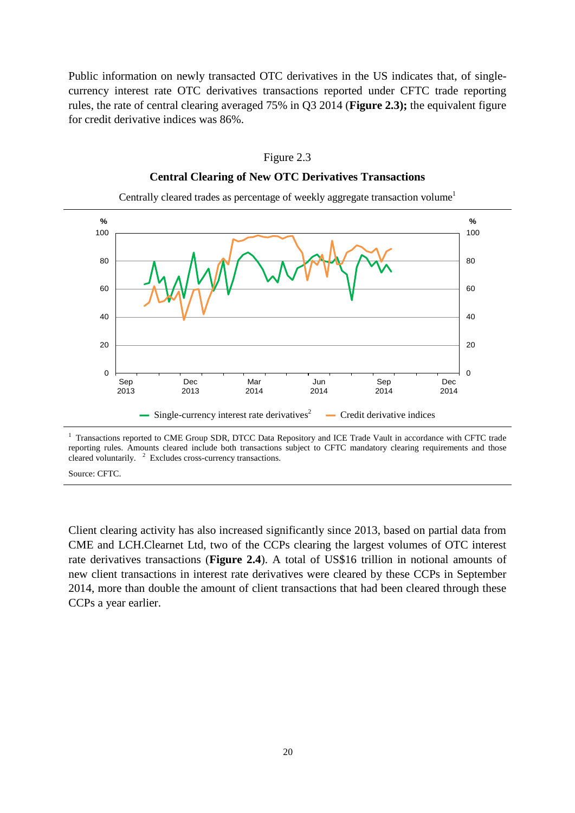Public information on newly transacted OTC derivatives in the US indicates that, of singlecurrency interest rate OTC derivatives transactions reported under CFTC trade reporting rules, the rate of central clearing averaged 75% in Q3 2014 (**Figure 2.3);** the equivalent figure for credit derivative indices was 86%.



**Central Clearing of New OTC Derivatives Transactions**

Figure 2.3

<sup>1</sup> Transactions reported to CME Group SDR, DTCC Data Repository and ICE Trade Vault in accordance with CFTC trade reporting rules. Amounts cleared include both transactions subject to CFTC mandatory clearing requirements and those cleared voluntarily.  $2$  Excludes cross-currency transactions.

Source: CFTC.

Client clearing activity has also increased significantly since 2013, based on partial data from CME and LCH.Clearnet Ltd, two of the CCPs clearing the largest volumes of OTC interest rate derivatives transactions (**Figure 2.4**). A total of US\$16 trillion in notional amounts of new client transactions in interest rate derivatives were cleared by these CCPs in September 2014, more than double the amount of client transactions that had been cleared through these CCPs a year earlier.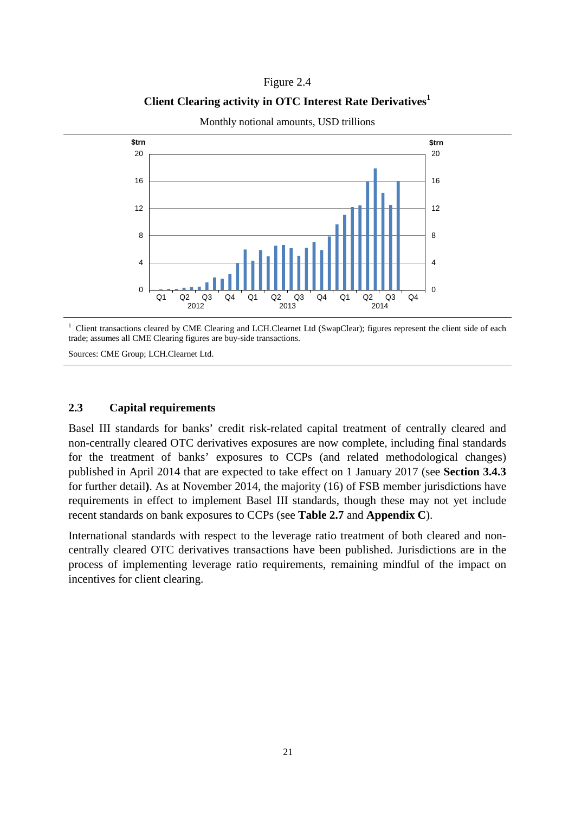### Figure 2.4

### **Client Clearing activity in OTC Interest Rate Derivatives<sup>1</sup>**



Monthly notional amounts, USD trillions

<sup>1</sup> Client transactions cleared by CME Clearing and LCH.Clearnet Ltd (SwapClear); figures represent the client side of each trade; assumes all CME Clearing figures are buy-side transactions.

Sources: CME Group; LCH.Clearnet Ltd.

### <span id="page-23-0"></span>**2.3 Capital requirements**

Basel III standards for banks' credit risk-related capital treatment of centrally cleared and non-centrally cleared OTC derivatives exposures are now complete, including final standards for the treatment of banks' exposures to CCPs (and related methodological changes) published in April 2014 that are expected to take effect on 1 January 2017 (see **Section 3.4.3** for further detail**)**. As at November 2014, the majority (16) of FSB member jurisdictions have requirements in effect to implement Basel III standards, though these may not yet include recent standards on bank exposures to CCPs (see **Table 2.7** and **Appendix C**).

International standards with respect to the leverage ratio treatment of both cleared and noncentrally cleared OTC derivatives transactions have been published. Jurisdictions are in the process of implementing leverage ratio requirements, remaining mindful of the impact on incentives for client clearing.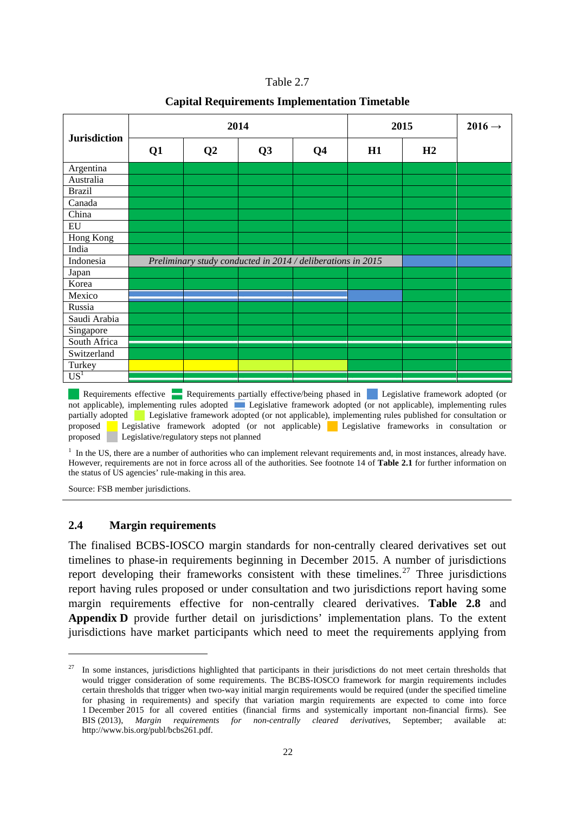| Table 2. |  |
|----------|--|
|          |  |

#### **Capital Requirements Implementation Timetable**

|                     |    |                | 2014                                                        | 2015           | $2016 \rightarrow$ |    |  |
|---------------------|----|----------------|-------------------------------------------------------------|----------------|--------------------|----|--|
| <b>Jurisdiction</b> | Q1 | Q <sub>2</sub> | Q3                                                          | Q <sub>4</sub> | H1                 | H2 |  |
| Argentina           |    |                |                                                             |                |                    |    |  |
| Australia           |    |                |                                                             |                |                    |    |  |
| <b>Brazil</b>       |    |                |                                                             |                |                    |    |  |
| Canada              |    |                |                                                             |                |                    |    |  |
| China               |    |                |                                                             |                |                    |    |  |
| ${\rm EU}$          |    |                |                                                             |                |                    |    |  |
| Hong Kong           |    |                |                                                             |                |                    |    |  |
| India               |    |                |                                                             |                |                    |    |  |
| Indonesia           |    |                | Preliminary study conducted in 2014 / deliberations in 2015 |                |                    |    |  |
| Japan               |    |                |                                                             |                |                    |    |  |
| Korea               |    |                |                                                             |                |                    |    |  |
| Mexico              |    |                |                                                             |                |                    |    |  |
| Russia              |    |                |                                                             |                |                    |    |  |
| Saudi Arabia        |    |                |                                                             |                |                    |    |  |
| Singapore           |    |                |                                                             |                |                    |    |  |
| South Africa        |    |                |                                                             |                |                    |    |  |
| Switzerland         |    |                |                                                             |                |                    |    |  |
| Turkey              |    |                |                                                             |                |                    |    |  |
| US <sup>1</sup>     |    |                |                                                             |                |                    |    |  |

Requirements effective Requirements partially effective/being phased in Legislative framework adopted (or not applicable), implementing rules adopted Legislative framework adopted (or not applicable), implementing rules partially adopted Legislative framework adopted (or not applicable), implementing rules published for consultation or proposed Legislative framework adopted (or not applicable) Legislative frameworks in consultation or Legislative framework adopted (or not applicable) Legislative frameworks in consultation or proposed Legislative/regulatory steps not planned

 $<sup>1</sup>$  In the US, there are a number of authorities who can implement relevant requirements and, in most instances, already have.</sup> However, requirements are not in force across all of the authorities. See footnote 14 of **Table 2.1** for further information on the status of US agencies' rule-making in this area.

<span id="page-24-0"></span>Source: FSB member jurisdictions.

-

#### **2.4 Margin requirements**

The finalised BCBS-IOSCO margin standards for non-centrally cleared derivatives set out timelines to phase-in requirements beginning in December 2015. A number of jurisdictions report developing their frameworks consistent with these timelines.<sup>[27](#page-24-1)</sup> Three jurisdictions report having rules proposed or under consultation and two jurisdictions report having some margin requirements effective for non-centrally cleared derivatives. **Table 2.8** and **Appendix D** provide further detail on jurisdictions' implementation plans. To the extent jurisdictions have market participants which need to meet the requirements applying from

<span id="page-24-1"></span><sup>&</sup>lt;sup>27</sup> In some instances, jurisdictions highlighted that participants in their jurisdictions do not meet certain thresholds that would trigger consideration of some requirements. The BCBS-IOSCO framework for margin requirements includes certain thresholds that trigger when two-way initial margin requirements would be required (under the specified timeline for phasing in requirements) and specify that variation margin requirements are expected to come into force 1 December 2015 for all covered entities (financial firms and systemically important non-financial firms). See BIS (2013), *Margin requirements for non-centrally cleared derivatives*, September; available at: [http://www.bis.org/publ/bcbs261.pdf.](http://www.bis.org/publ/bcbs261.pdf)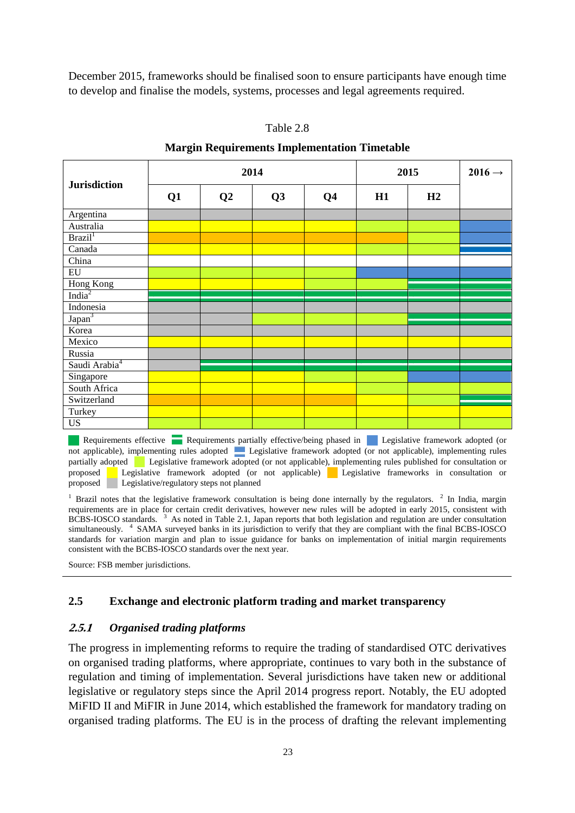December 2015, frameworks should be finalised soon to ensure participants have enough time to develop and finalise the models, systems, processes and legal agreements required.

| <b>Jurisdiction</b>       |    | 2014 |    | 2015           |    | $2016 \rightarrow$ |  |
|---------------------------|----|------|----|----------------|----|--------------------|--|
|                           | Q1 | Q2   | Q3 | Q <sub>4</sub> | H1 | H2                 |  |
| Argentina                 |    |      |    |                |    |                    |  |
| Australia                 |    |      |    |                |    |                    |  |
| Brazil <sup>1</sup>       |    |      |    |                |    |                    |  |
| Canada                    |    |      |    |                |    |                    |  |
| China                     |    |      |    |                |    |                    |  |
| ${\rm EU}$                |    |      |    |                |    |                    |  |
| Hong Kong                 |    |      |    |                |    |                    |  |
| India $2$                 |    |      |    |                |    |                    |  |
| Indonesia                 |    |      |    |                |    |                    |  |
| Japan <sup>3</sup>        |    |      |    |                |    |                    |  |
| Korea                     |    |      |    |                |    |                    |  |
| Mexico                    |    |      |    |                |    |                    |  |
| Russia                    |    |      |    |                |    |                    |  |
| Saudi Arabia <sup>4</sup> |    |      |    |                |    |                    |  |
| Singapore                 |    |      |    |                |    |                    |  |
| South Africa              |    |      |    |                |    |                    |  |
| Switzerland               |    |      |    |                |    |                    |  |
| Turkey                    |    |      |    |                |    |                    |  |
| <b>US</b>                 |    |      |    |                |    |                    |  |

Table 2.8

**Margin Requirements Implementation Timetable**

Requirements effective Requirements partially effective/being phased in Legislative framework adopted (or not applicable), implementing rules adopted Legislative framework adopted (or not applicable), implementing rules partially adopted Legislative framework adopted (or not applicable), implementing rules published for consultation or proposed Legislative framework adopted (or not applicable) Legislative frameworks in consultation or Legislative framework adopted (or not applicable) Legislative frameworks in consultation or proposed Legislative/regulatory steps not planned

<sup>1</sup> Brazil notes that the legislative framework consultation is being done internally by the regulators. <sup>2</sup> In India, margin requirements are in place for certain credit derivatives, however new rules will be adopted in early 2015, consistent with BCBS-IOSCO standards. <sup>3</sup> As noted in Table 2.1, Japan reports that both legislation and regulation are under consultation simultaneously. <sup>4</sup> SAMA surveyed banks in its jurisdiction to verify that they are compliant with the final BCBS-IOSCO standards for variation margin and plan to issue guidance for banks on implementation of initial margin requirements consistent with the BCBS-IOSCO standards over the next year.

<span id="page-25-0"></span>Source: FSB member jurisdictions.

### **2.5 Exchange and electronic platform trading and market transparency**

#### <span id="page-25-1"></span>**2.5.1** *Organised trading platforms*

The progress in implementing reforms to require the trading of standardised OTC derivatives on organised trading platforms, where appropriate, continues to vary both in the substance of regulation and timing of implementation. Several jurisdictions have taken new or additional legislative or regulatory steps since the April 2014 progress report. Notably, the EU adopted MiFID II and MiFIR in June 2014, which established the framework for mandatory trading on organised trading platforms. The EU is in the process of drafting the relevant implementing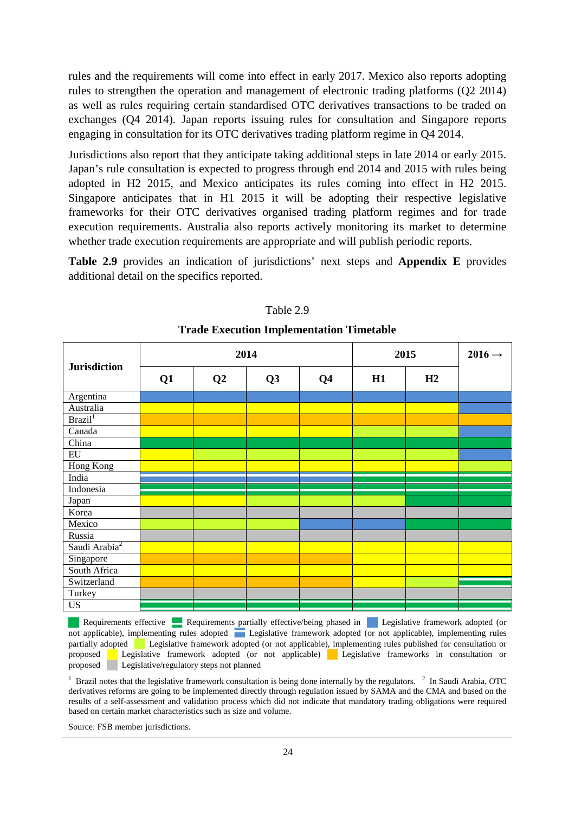rules and the requirements will come into effect in early 2017. Mexico also reports adopting rules to strengthen the operation and management of electronic trading platforms (Q2 2014) as well as rules requiring certain standardised OTC derivatives transactions to be traded on exchanges (Q4 2014). Japan reports issuing rules for consultation and Singapore reports engaging in consultation for its OTC derivatives trading platform regime in Q4 2014.

Jurisdictions also report that they anticipate taking additional steps in late 2014 or early 2015. Japan's rule consultation is expected to progress through end 2014 and 2015 with rules being adopted in H2 2015, and Mexico anticipates its rules coming into effect in H2 2015. Singapore anticipates that in H1 2015 it will be adopting their respective legislative frameworks for their OTC derivatives organised trading platform regimes and for trade execution requirements. Australia also reports actively monitoring its market to determine whether trade execution requirements are appropriate and will publish periodic reports.

**Table 2.9** provides an indication of jurisdictions' next steps and **Appendix E** provides additional detail on the specifics reported.

| <b>Jurisdiction</b>       |    |    | 2014           | 2015           |    | $2016 \rightarrow$ |  |
|---------------------------|----|----|----------------|----------------|----|--------------------|--|
|                           | Q1 | Q2 | Q <sub>3</sub> | Q <sub>4</sub> | H1 | H2                 |  |
| Argentina                 |    |    |                |                |    |                    |  |
| Australia                 |    |    |                |                |    |                    |  |
| Brazil <sup>1</sup>       |    |    |                |                |    |                    |  |
| Canada                    |    |    |                |                |    |                    |  |
| China                     |    |    |                |                |    |                    |  |
| ${\rm EU}$                |    |    |                |                |    |                    |  |
| Hong Kong                 |    |    |                |                |    |                    |  |
| India                     |    |    |                |                |    |                    |  |
| Indonesia                 |    |    |                |                |    |                    |  |
| Japan                     |    |    |                |                |    |                    |  |
| Korea                     |    |    |                |                |    |                    |  |
| Mexico                    |    |    |                |                |    |                    |  |
| Russia                    |    |    |                |                |    |                    |  |
| Saudi Arabia <sup>2</sup> |    |    |                |                |    |                    |  |
| Singapore                 |    |    |                |                |    |                    |  |
| South Africa              |    |    |                |                |    |                    |  |
| Switzerland               |    |    |                |                |    |                    |  |
| Turkey                    |    |    |                |                |    |                    |  |
| US                        |    |    |                |                |    |                    |  |

Table 2.9

### **Trade Execution Implementation Timetable**

Requirements effective Requirements partially effective/being phased in Legislative framework adopted (or not applicable), implementing rules adopted Legislative framework adopted (or not applicable), implementing rules partially adopted Legislative framework adopted (or not applicable), implementing rules published for consultation or proposed Legislative framework adopted (or not applicable) Legislative frameworks in consultation or proposed Legislative/regulatory steps not planned

 $1$  Brazil notes that the legislative framework consultation is being done internally by the regulators.  $2$  In Saudi Arabia, OTC derivatives reforms are going to be implemented directly through regulation issued by SAMA and the CMA and based on the results of a self-assessment and validation process which did not indicate that mandatory trading obligations were required based on certain market characteristics such as size and volume.

Source: FSB member jurisdictions.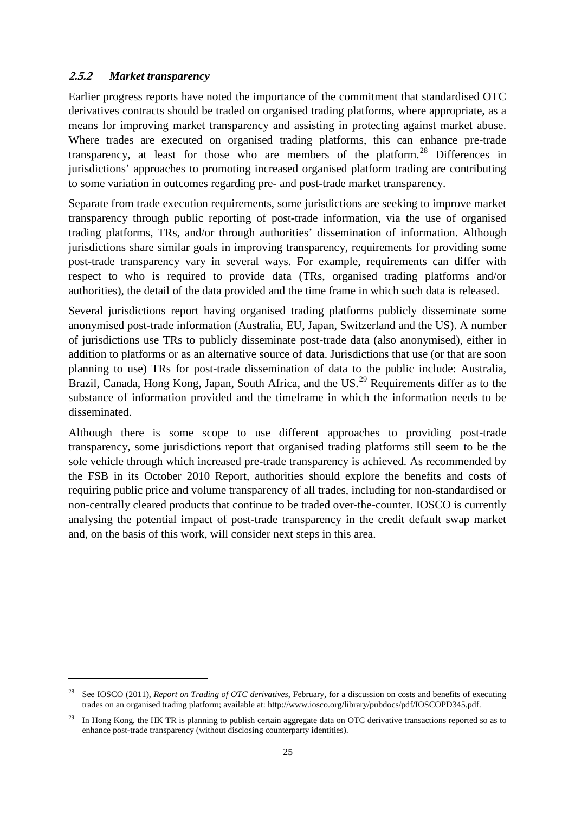### <span id="page-27-0"></span>**2.5.2** *Market transparency*

-

Earlier progress reports have noted the importance of the commitment that standardised OTC derivatives contracts should be traded on organised trading platforms, where appropriate, as a means for improving market transparency and assisting in protecting against market abuse. Where trades are executed on organised trading platforms, this can enhance pre-trade transparency, at least for those who are members of the platform.<sup>[28](#page-27-1)</sup> Differences in jurisdictions' approaches to promoting increased organised platform trading are contributing to some variation in outcomes regarding pre- and post-trade market transparency.

Separate from trade execution requirements, some jurisdictions are seeking to improve market transparency through public reporting of post-trade information, via the use of organised trading platforms, TRs, and/or through authorities' dissemination of information. Although jurisdictions share similar goals in improving transparency, requirements for providing some post-trade transparency vary in several ways. For example, requirements can differ with respect to who is required to provide data (TRs, organised trading platforms and/or authorities), the detail of the data provided and the time frame in which such data is released.

Several jurisdictions report having organised trading platforms publicly disseminate some anonymised post-trade information (Australia, EU, Japan, Switzerland and the US). A number of jurisdictions use TRs to publicly disseminate post-trade data (also anonymised), either in addition to platforms or as an alternative source of data. Jurisdictions that use (or that are soon planning to use) TRs for post-trade dissemination of data to the public include: Australia, Brazil, Canada, Hong Kong, Japan, South Africa, and the US.<sup>[29](#page-27-2)</sup> Requirements differ as to the substance of information provided and the timeframe in which the information needs to be disseminated.

Although there is some scope to use different approaches to providing post-trade transparency, some jurisdictions report that organised trading platforms still seem to be the sole vehicle through which increased pre-trade transparency is achieved. As recommended by the FSB in its October 2010 Report, authorities should explore the benefits and costs of requiring public price and volume transparency of all trades, including for non-standardised or non-centrally cleared products that continue to be traded over-the-counter. IOSCO is currently analysing the potential impact of post-trade transparency in the credit default swap market and, on the basis of this work, will consider next steps in this area.

<span id="page-27-1"></span><sup>28</sup> See IOSCO (2011), *Report on Trading of OTC derivatives*, February, for a discussion on costs and benefits of executing trades on an organised trading platform; available at[: http://www.iosco.org/library/pubdocs/pdf/IOSCOPD345.pdf.](http://www.iosco.org/library/pubdocs/pdf/IOSCOPD345.pdf)

<span id="page-27-2"></span><sup>&</sup>lt;sup>29</sup> In Hong Kong, the HK TR is planning to publish certain aggregate data on OTC derivative transactions reported so as to enhance post-trade transparency (without disclosing counterparty identities).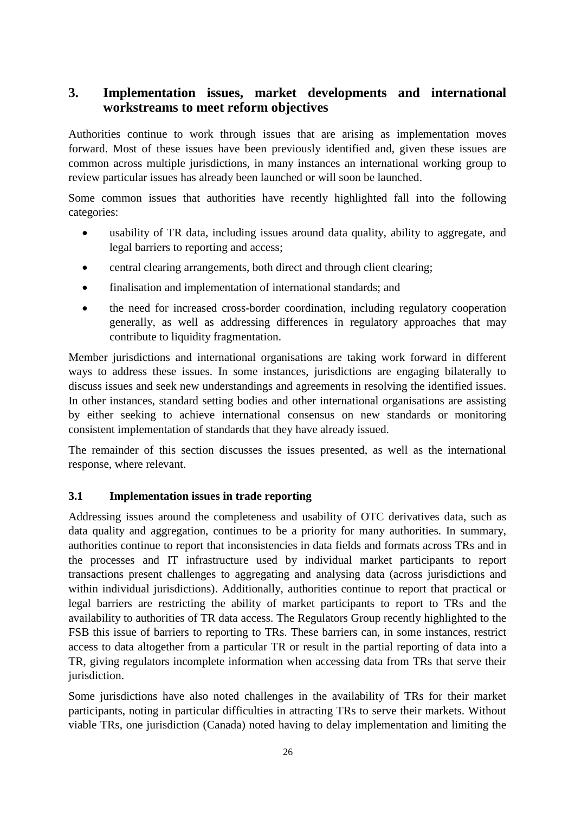### <span id="page-28-0"></span>**3. Implementation issues, market developments and international workstreams to meet reform objectives**

Authorities continue to work through issues that are arising as implementation moves forward. Most of these issues have been previously identified and, given these issues are common across multiple jurisdictions, in many instances an international working group to review particular issues has already been launched or will soon be launched.

Some common issues that authorities have recently highlighted fall into the following categories:

- usability of TR data, including issues around data quality, ability to aggregate, and legal barriers to reporting and access;
- central clearing arrangements, both direct and through client clearing;
- finalisation and implementation of international standards; and
- the need for increased cross-border coordination, including regulatory cooperation generally, as well as addressing differences in regulatory approaches that may contribute to liquidity fragmentation.

Member jurisdictions and international organisations are taking work forward in different ways to address these issues. In some instances, jurisdictions are engaging bilaterally to discuss issues and seek new understandings and agreements in resolving the identified issues. In other instances, standard setting bodies and other international organisations are assisting by either seeking to achieve international consensus on new standards or monitoring consistent implementation of standards that they have already issued.

The remainder of this section discusses the issues presented, as well as the international response, where relevant.

### <span id="page-28-1"></span>**3.1 Implementation issues in trade reporting**

Addressing issues around the completeness and usability of OTC derivatives data, such as data quality and aggregation, continues to be a priority for many authorities. In summary, authorities continue to report that inconsistencies in data fields and formats across TRs and in the processes and IT infrastructure used by individual market participants to report transactions present challenges to aggregating and analysing data (across jurisdictions and within individual jurisdictions). Additionally, authorities continue to report that practical or legal barriers are restricting the ability of market participants to report to TRs and the availability to authorities of TR data access. The Regulators Group recently highlighted to the FSB this issue of barriers to reporting to TRs. These barriers can, in some instances, restrict access to data altogether from a particular TR or result in the partial reporting of data into a TR, giving regulators incomplete information when accessing data from TRs that serve their jurisdiction.

Some jurisdictions have also noted challenges in the availability of TRs for their market participants, noting in particular difficulties in attracting TRs to serve their markets. Without viable TRs, one jurisdiction (Canada) noted having to delay implementation and limiting the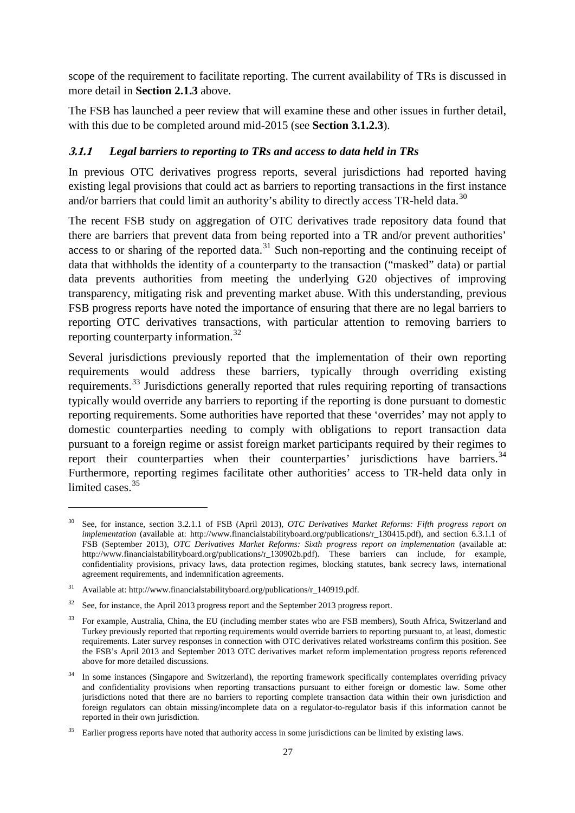scope of the requirement to facilitate reporting. The current availability of TRs is discussed in more detail in **Section 2.1.3** above.

The FSB has launched a peer review that will examine these and other issues in further detail, with this due to be completed around mid-2015 (see **Section 3.1.2.3**).

### <span id="page-29-0"></span>**3.1.1** *Legal barriers to reporting to TRs and access to data held in TRs*

In previous OTC derivatives progress reports, several jurisdictions had reported having existing legal provisions that could act as barriers to reporting transactions in the first instance and/or barriers that could limit an authority's ability to directly access TR-held data.<sup>[30](#page-29-1)</sup>

The recent FSB study on aggregation of OTC derivatives trade repository data found that there are barriers that prevent data from being reported into a TR and/or prevent authorities' access to or sharing of the reported data.<sup>[31](#page-29-2)</sup> Such non-reporting and the continuing receipt of data that withholds the identity of a counterparty to the transaction ("masked" data) or partial data prevents authorities from meeting the underlying G20 objectives of improving transparency, mitigating risk and preventing market abuse. With this understanding, previous FSB progress reports have noted the importance of ensuring that there are no legal barriers to reporting OTC derivatives transactions, with particular attention to removing barriers to reporting counterparty information.<sup>[32](#page-29-3)</sup>

Several jurisdictions previously reported that the implementation of their own reporting requirements would address these barriers, typically through overriding existing requirements.[33](#page-29-4) Jurisdictions generally reported that rules requiring reporting of transactions typically would override any barriers to reporting if the reporting is done pursuant to domestic reporting requirements. Some authorities have reported that these 'overrides' may not apply to domestic counterparties needing to comply with obligations to report transaction data pursuant to a foreign regime or assist foreign market participants required by their regimes to report their counterparties when their counterparties' jurisdictions have barriers.<sup>[34](#page-29-5)</sup> Furthermore, reporting regimes facilitate other authorities' access to TR-held data only in limited cases.<sup>[35](#page-29-6)</sup>

<span id="page-29-1"></span><sup>30</sup> See, for instance, section 3.2.1.1 of FSB (April 2013), *OTC Derivatives Market Reforms: Fifth progress report on implementation* (available at: [http://www.financialstabilityboard.org/publications/r\\_130415.pdf\)](http://www.financialstabilityboard.org/publications/r_130415.pdf), and section 6.3.1.1 of FSB (September 2013), *OTC Derivatives Market Reforms: Sixth progress report on implementation* (available at: [http://www.financialstabilityboard.org/publications/r\\_130902b.pdf\)](http://www.financialstabilityboard.org/publications/r_130902b.pdf). These barriers can include, for example, confidentiality provisions, privacy laws, data protection regimes, blocking statutes, bank secrecy laws, international agreement requirements, and indemnification agreements.

<span id="page-29-2"></span><sup>31</sup> Available at[: http://www.financialstabilityboard.org/publications/r\\_140919.pdf.](http://www.financialstabilityboard.org/publications/r_140919.pdf)

<span id="page-29-3"></span><sup>&</sup>lt;sup>32</sup> See, for instance, the April 2013 progress report and the September 2013 progress report.

<span id="page-29-4"></span><sup>&</sup>lt;sup>33</sup> For example, Australia, China, the EU (including member states who are FSB members), South Africa, Switzerland and Turkey previously reported that reporting requirements would override barriers to reporting pursuant to, at least, domestic requirements. Later survey responses in connection with OTC derivatives related workstreams confirm this position. See the FSB's April 2013 and September 2013 OTC derivatives market reform implementation progress reports referenced above for more detailed discussions.

<span id="page-29-5"></span><sup>&</sup>lt;sup>34</sup> In some instances (Singapore and Switzerland), the reporting framework specifically contemplates overriding privacy and confidentiality provisions when reporting transactions pursuant to either foreign or domestic law. Some other jurisdictions noted that there are no barriers to reporting complete transaction data within their own jurisdiction and foreign regulators can obtain missing/incomplete data on a regulator-to-regulator basis if this information cannot be reported in their own jurisdiction.

<span id="page-29-6"></span><sup>35</sup> Earlier progress reports have noted that authority access in some jurisdictions can be limited by existing laws.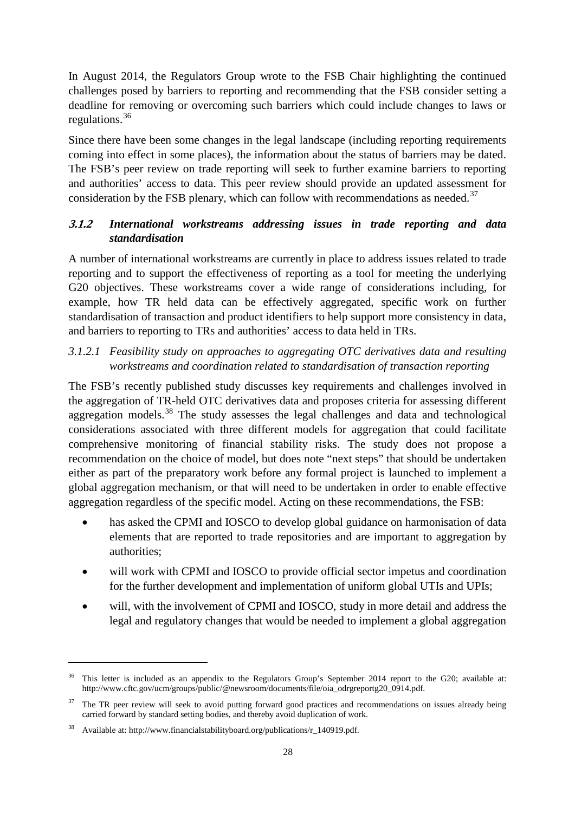In August 2014, the Regulators Group wrote to the FSB Chair highlighting the continued challenges posed by barriers to reporting and recommending that the FSB consider setting a deadline for removing or overcoming such barriers which could include changes to laws or regulations. [36](#page-30-1)

Since there have been some changes in the legal landscape (including reporting requirements coming into effect in some places), the information about the status of barriers may be dated. The FSB's peer review on trade reporting will seek to further examine barriers to reporting and authorities' access to data. This peer review should provide an updated assessment for consideration by the FSB plenary, which can follow with recommendations as needed.<sup>[37](#page-30-2)</sup>

### <span id="page-30-0"></span>**3.1.2** *International workstreams addressing issues in trade reporting and data standardisation*

A number of international workstreams are currently in place to address issues related to trade reporting and to support the effectiveness of reporting as a tool for meeting the underlying G20 objectives. These workstreams cover a wide range of considerations including, for example, how TR held data can be effectively aggregated, specific work on further standardisation of transaction and product identifiers to help support more consistency in data, and barriers to reporting to TRs and authorities' access to data held in TRs.

### *3.1.2.1 Feasibility study on approaches to aggregating OTC derivatives data and resulting workstreams and coordination related to standardisation of transaction reporting*

The FSB's recently published study discusses key requirements and challenges involved in the aggregation of TR-held OTC derivatives data and proposes criteria for assessing different aggregation models.<sup>[38](#page-30-3)</sup> The study assesses the legal challenges and data and technological considerations associated with three different models for aggregation that could facilitate comprehensive monitoring of financial stability risks. The study does not propose a recommendation on the choice of model, but does note "next steps" that should be undertaken either as part of the preparatory work before any formal project is launched to implement a global aggregation mechanism, or that will need to be undertaken in order to enable effective aggregation regardless of the specific model. Acting on these recommendations, the FSB:

- has asked the CPMI and IOSCO to develop global guidance on harmonisation of data elements that are reported to trade repositories and are important to aggregation by authorities;
- will work with CPMI and IOSCO to provide official sector impetus and coordination for the further development and implementation of uniform global UTIs and UPIs;
- will, with the involvement of CPMI and IOSCO, study in more detail and address the legal and regulatory changes that would be needed to implement a global aggregation

<span id="page-30-1"></span><sup>&</sup>lt;sup>36</sup> This letter is included as an appendix to the Regulators Group's September 2014 report to the G20; available at: [http://www.cftc.gov/ucm/groups/public/@newsroom/documents/file/oia\\_odrgreportg20\\_0914.pdf.](http://www.cftc.gov/ucm/groups/public/@newsroom/documents/file/oia_odrgreportg20_0914.pdf)

<span id="page-30-2"></span><sup>37</sup> The TR peer review will seek to avoid putting forward good practices and recommendations on issues already being carried forward by standard setting bodies, and thereby avoid duplication of work.

<span id="page-30-3"></span>Available at[: http://www.financialstabilityboard.org/publications/r\\_140919.pdf.](http://www.financialstabilityboard.org/publications/r_140919.pdf)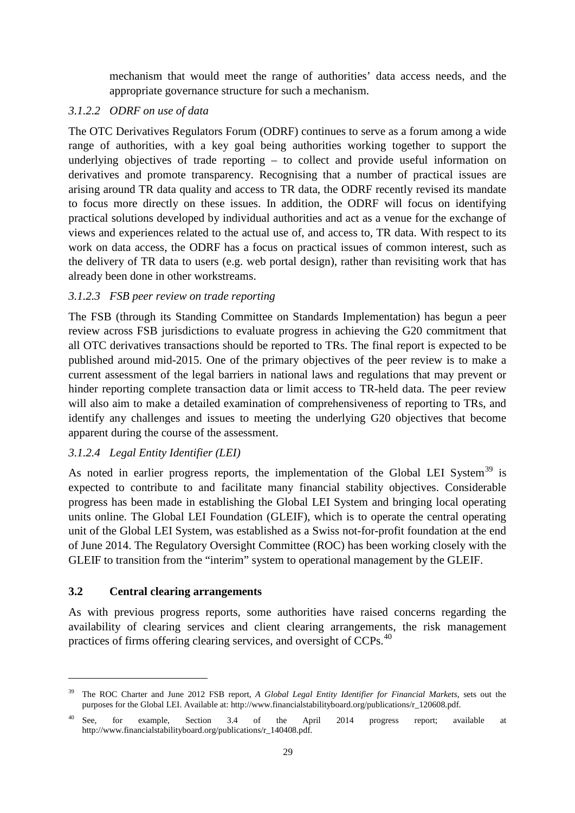mechanism that would meet the range of authorities' data access needs, and the appropriate governance structure for such a mechanism.

### *3.1.2.2 ODRF on use of data*

The OTC Derivatives Regulators Forum (ODRF) continues to serve as a forum among a wide range of authorities, with a key goal being authorities working together to support the underlying objectives of trade reporting – to collect and provide useful information on derivatives and promote transparency. Recognising that a number of practical issues are arising around TR data quality and access to TR data, the ODRF recently revised its mandate to focus more directly on these issues. In addition, the ODRF will focus on identifying practical solutions developed by individual authorities and act as a venue for the exchange of views and experiences related to the actual use of, and access to, TR data. With respect to its work on data access, the ODRF has a focus on practical issues of common interest, such as the delivery of TR data to users (e.g. web portal design), rather than revisiting work that has already been done in other workstreams.

### *3.1.2.3 FSB peer review on trade reporting*

The FSB (through its Standing Committee on Standards Implementation) has begun a peer review across FSB jurisdictions to evaluate progress in achieving the G20 commitment that all OTC derivatives transactions should be reported to TRs. The final report is expected to be published around mid-2015. One of the primary objectives of the peer review is to make a current assessment of the legal barriers in national laws and regulations that may prevent or hinder reporting complete transaction data or limit access to TR-held data. The peer review will also aim to make a detailed examination of comprehensiveness of reporting to TRs, and identify any challenges and issues to meeting the underlying G20 objectives that become apparent during the course of the assessment.

### *3.1.2.4 Legal Entity Identifier (LEI)*

As noted in earlier progress reports, the implementation of the Global LEI System<sup>[39](#page-31-1)</sup> is expected to contribute to and facilitate many financial stability objectives. Considerable progress has been made in establishing the Global LEI System and bringing local operating units online. The Global LEI Foundation (GLEIF), which is to operate the central operating unit of the Global LEI System, was established as a Swiss not-for-profit foundation at the end of June 2014. The Regulatory Oversight Committee (ROC) has been working closely with the GLEIF to transition from the "interim" system to operational management by the GLEIF.

### <span id="page-31-0"></span>**3.2 Central clearing arrangements**

-

As with previous progress reports, some authorities have raised concerns regarding the availability of clearing services and client clearing arrangements, the risk management practices of firms offering clearing services, and oversight of CCPs.<sup>[40](#page-31-2)</sup>

<span id="page-31-1"></span><sup>39</sup> The ROC Charter and June 2012 FSB report, *A Global Legal Entity Identifier for Financial Markets*, sets out the purposes for the Global LEI. Available at: [http://www.financialstabilityboard.org/publications/r\\_120608.pdf.](http://www.financialstabilityboard.org/publications/r_120608.pdf)

<span id="page-31-2"></span><sup>40</sup> See, for example, Section 3.4 of the April 2014 progress report; available at [http://www.financialstabilityboard.org/publications/r\\_140408.pdf.](http://www.financialstabilityboard.org/publications/r_140408.pdf)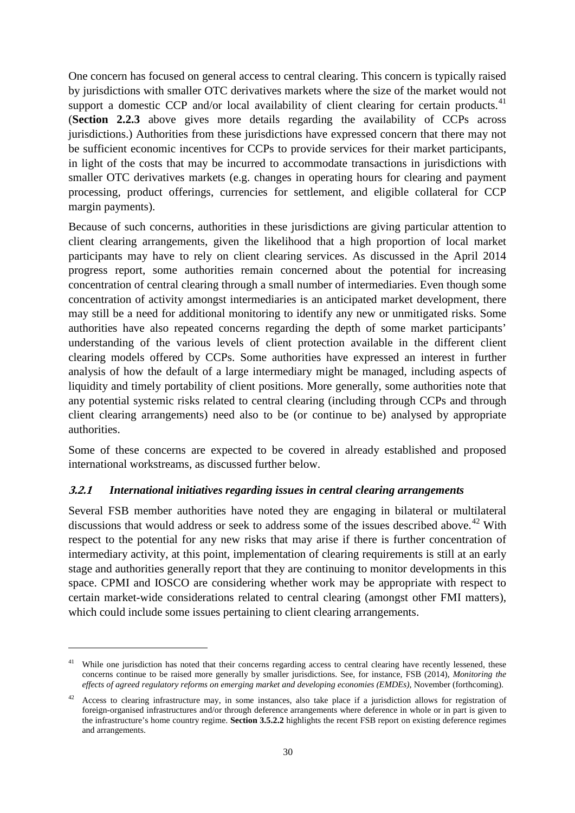One concern has focused on general access to central clearing. This concern is typically raised by jurisdictions with smaller OTC derivatives markets where the size of the market would not support a domestic CCP and/or local availability of client clearing for certain products.<sup>[41](#page-32-1)</sup> (**Section 2.2.3** above gives more details regarding the availability of CCPs across jurisdictions.) Authorities from these jurisdictions have expressed concern that there may not be sufficient economic incentives for CCPs to provide services for their market participants, in light of the costs that may be incurred to accommodate transactions in jurisdictions with smaller OTC derivatives markets (e.g. changes in operating hours for clearing and payment processing, product offerings, currencies for settlement, and eligible collateral for CCP margin payments).

Because of such concerns, authorities in these jurisdictions are giving particular attention to client clearing arrangements, given the likelihood that a high proportion of local market participants may have to rely on client clearing services. As discussed in the April 2014 progress report, some authorities remain concerned about the potential for increasing concentration of central clearing through a small number of intermediaries. Even though some concentration of activity amongst intermediaries is an anticipated market development, there may still be a need for additional monitoring to identify any new or unmitigated risks. Some authorities have also repeated concerns regarding the depth of some market participants' understanding of the various levels of client protection available in the different client clearing models offered by CCPs. Some authorities have expressed an interest in further analysis of how the default of a large intermediary might be managed, including aspects of liquidity and timely portability of client positions. More generally, some authorities note that any potential systemic risks related to central clearing (including through CCPs and through client clearing arrangements) need also to be (or continue to be) analysed by appropriate authorities.

Some of these concerns are expected to be covered in already established and proposed international workstreams, as discussed further below.

#### <span id="page-32-0"></span>**3.2.1** *International initiatives regarding issues in central clearing arrangements*

Several FSB member authorities have noted they are engaging in bilateral or multilateral discussions that would address or seek to address some of the issues described above.<sup>[42](#page-32-2)</sup> With respect to the potential for any new risks that may arise if there is further concentration of intermediary activity, at this point, implementation of clearing requirements is still at an early stage and authorities generally report that they are continuing to monitor developments in this space. CPMI and IOSCO are considering whether work may be appropriate with respect to certain market-wide considerations related to central clearing (amongst other FMI matters), which could include some issues pertaining to client clearing arrangements.

<span id="page-32-1"></span><sup>&</sup>lt;sup>41</sup> While one jurisdiction has noted that their concerns regarding access to central clearing have recently lessened, these concerns continue to be raised more generally by smaller jurisdictions. See, for instance, FSB (2014), *Monitoring the effects of agreed regulatory reforms on emerging market and developing economies (EMDEs),* November (forthcoming).

<span id="page-32-2"></span><sup>&</sup>lt;sup>42</sup> Access to clearing infrastructure may, in some instances, also take place if a jurisdiction allows for registration of foreign-organised infrastructures and/or through deference arrangements where deference in whole or in part is given to the infrastructure's home country regime. **Section 3.5.2.2** highlights the recent FSB report on existing deference regimes and arrangements.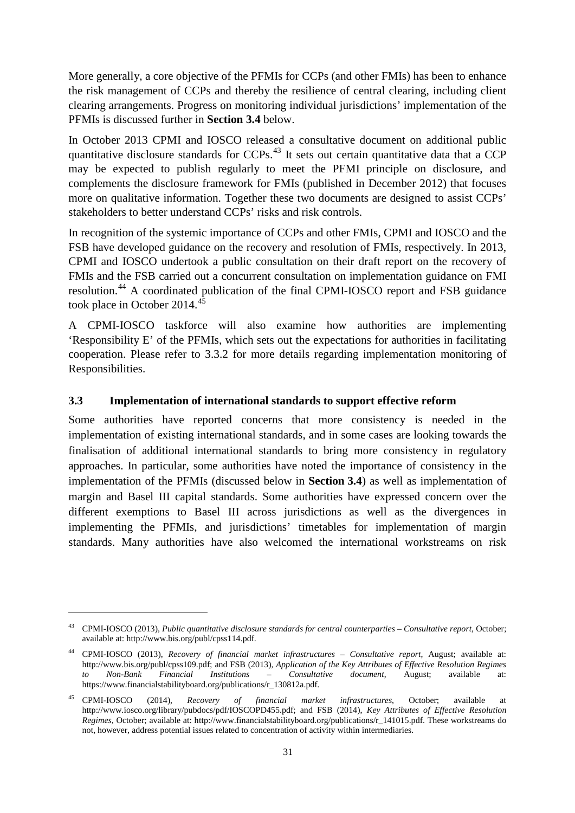More generally, a core objective of the PFMIs for CCPs (and other FMIs) has been to enhance the risk management of CCPs and thereby the resilience of central clearing, including client clearing arrangements. Progress on monitoring individual jurisdictions' implementation of the PFMIs is discussed further in **Section 3.4** below.

In October 2013 CPMI and IOSCO released a consultative document on additional public quantitative disclosure standards for CCPs.<sup>[43](#page-33-1)</sup> It sets out certain quantitative data that a CCP may be expected to publish regularly to meet the PFMI principle on disclosure, and complements the disclosure framework for FMIs (published in December 2012) that focuses more on qualitative information. Together these two documents are designed to assist CCPs' stakeholders to better understand CCPs' risks and risk controls.

In recognition of the systemic importance of CCPs and other FMIs, CPMI and IOSCO and the FSB have developed guidance on the recovery and resolution of FMIs, respectively. In 2013, CPMI and IOSCO undertook a public consultation on their draft report on the recovery of FMIs and the FSB carried out a concurrent consultation on implementation guidance on FMI resolution.[44](#page-33-2) A coordinated publication of the final CPMI-IOSCO report and FSB guidance took place in October 2014.<sup>[45](#page-33-3)</sup>

A CPMI-IOSCO taskforce will also examine how authorities are implementing 'Responsibility E' of the PFMIs, which sets out the expectations for authorities in facilitating cooperation. Please refer to 3.3.2 for more details regarding implementation monitoring of Responsibilities.

### <span id="page-33-0"></span>**3.3 Implementation of international standards to support effective reform**

Some authorities have reported concerns that more consistency is needed in the implementation of existing international standards, and in some cases are looking towards the finalisation of additional international standards to bring more consistency in regulatory approaches. In particular, some authorities have noted the importance of consistency in the implementation of the PFMIs (discussed below in **Section 3.4**) as well as implementation of margin and Basel III capital standards. Some authorities have expressed concern over the different exemptions to Basel III across jurisdictions as well as the divergences in implementing the PFMIs, and jurisdictions' timetables for implementation of margin standards. Many authorities have also welcomed the international workstreams on risk

<span id="page-33-1"></span><sup>43</sup> CPMI-IOSCO (2013), *Public quantitative disclosure standards for central counterparties – Consultative report*, October; available at: [http://www.bis.org/publ/cpss114.pdf.](http://www.bis.org/publ/cpss114.pdf)

<span id="page-33-2"></span><sup>44</sup> CPMI-IOSCO (2013), *Recovery of financial market infrastructures – Consultative report*, August; available at: [http://www.bis.org/publ/cpss109.pdf;](http://www.bis.org/publ/cpss109.pdf) and FSB (2013), *Application of the Key Attributes of Effective Resolution Regimes to Non-Bank Financial Institutions – Consultative document*, August; available at: [https://www.financialstabilityboard.org/publications/r\\_130812a.pdf.](https://www.financialstabilityboard.org/publications/r_130812a.pdf)

<span id="page-33-3"></span><sup>45</sup> CPMI-IOSCO (2014), *Recovery of financial market infrastructures*, October; available at [http://www.iosco.org/library/pubdocs/pdf/IOSCOPD455.pdf;](http://www.iosco.org/library/pubdocs/pdf/IOSCOPD455.pdf) and FSB (2014), *Key Attributes of Effective Resolution Regimes*, October; available at: [http://www.financialstabilityboard.org/publications/r\\_141015.pdf.](http://www.financialstabilityboard.org/publications/r_141015.pdf) These workstreams do not, however, address potential issues related to concentration of activity within intermediaries.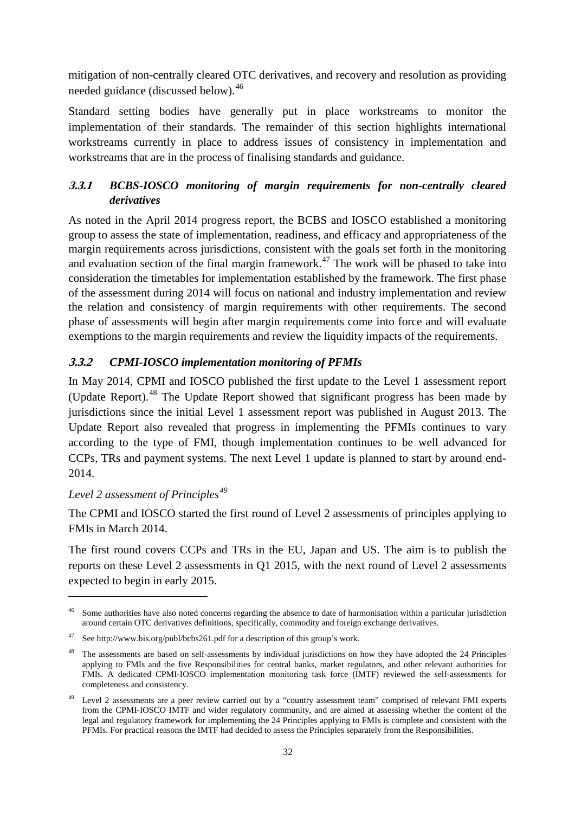mitigation of non-centrally cleared OTC derivatives, and recovery and resolution as providing needed guidance (discussed below).<sup>[46](#page-34-2)</sup>

Standard setting bodies have generally put in place workstreams to monitor the implementation of their standards. The remainder of this section highlights international workstreams currently in place to address issues of consistency in implementation and workstreams that are in the process of finalising standards and guidance.

### <span id="page-34-0"></span>**3.3.1** *BCBS-IOSCO monitoring of margin requirements for non-centrally cleared derivatives*

As noted in the April 2014 progress report, the BCBS and IOSCO established a monitoring group to assess the state of implementation, readiness, and efficacy and appropriateness of the margin requirements across jurisdictions, consistent with the goals set forth in the monitoring and evaluation section of the final margin framework.<sup>[47](#page-34-3)</sup> The work will be phased to take into consideration the timetables for implementation established by the framework. The first phase of the assessment during 2014 will focus on national and industry implementation and review the relation and consistency of margin requirements with other requirements. The second phase of assessments will begin after margin requirements come into force and will evaluate exemptions to the margin requirements and review the liquidity impacts of the requirements.

### <span id="page-34-1"></span>**3.3.2** *CPMI-IOSCO implementation monitoring of PFMIs*

In May 2014, CPMI and IOSCO published the first update to the Level 1 assessment report (Update Report).[48](#page-34-4) The Update Report showed that significant progress has been made by jurisdictions since the initial Level 1 assessment report was published in August 2013. The Update Report also revealed that progress in implementing the PFMIs continues to vary according to the type of FMI, though implementation continues to be well advanced for CCPs, TRs and payment systems. The next Level 1 update is planned to start by around end-2014.

### *Level 2 assessment of Principles[49](#page-34-5)*

-

The CPMI and IOSCO started the first round of Level 2 assessments of principles applying to FMIs in March 2014.

The first round covers CCPs and TRs in the EU, Japan and US. The aim is to publish the reports on these Level 2 assessments in Q1 2015, with the next round of Level 2 assessments expected to begin in early 2015.

<span id="page-34-2"></span>Some authorities have also noted concerns regarding the absence to date of harmonisation within a particular jurisdiction around certain OTC derivatives definitions, specifically, commodity and foreign exchange derivatives.

<span id="page-34-3"></span>Se[e http://www.bis.org/publ/bcbs261.pdf](http://www.bis.org/publ/bcbs261.pdf) for a description of this group's work.

<span id="page-34-4"></span><sup>&</sup>lt;sup>48</sup> The assessments are based on self-assessments by individual jurisdictions on how they have adopted the 24 Principles applying to FMIs and the five Responsibilities for central banks, market regulators, and other relevant authorities for FMIs. A dedicated CPMI-IOSCO implementation monitoring task force (IMTF) reviewed the self-assessments for completeness and consistency.

<span id="page-34-5"></span><sup>&</sup>lt;sup>49</sup> Level 2 assessments are a peer review carried out by a "country assessment team" comprised of relevant FMI experts from the CPMI-IOSCO IMTF and wider regulatory community, and are aimed at assessing whether the content of the legal and regulatory framework for implementing the 24 Principles applying to FMIs is complete and consistent with the PFMIs. For practical reasons the IMTF had decided to assess the Principles separately from the Responsibilities.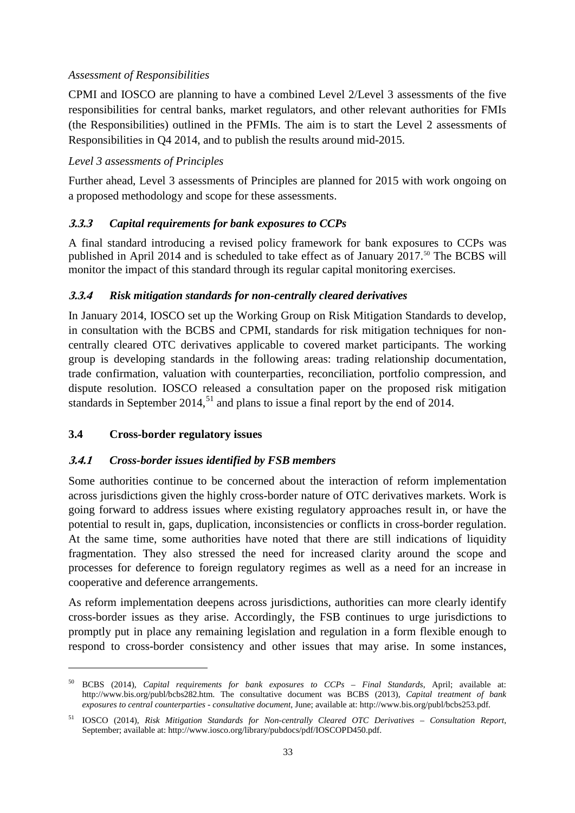### *Assessment of Responsibilities*

CPMI and IOSCO are planning to have a combined Level 2/Level 3 assessments of the five responsibilities for central banks, market regulators, and other relevant authorities for FMIs (the Responsibilities) outlined in the PFMIs. The aim is to start the Level 2 assessments of Responsibilities in Q4 2014, and to publish the results around mid-2015.

### *Level 3 assessments of Principles*

Further ahead, Level 3 assessments of Principles are planned for 2015 with work ongoing on a proposed methodology and scope for these assessments.

### <span id="page-35-0"></span>**3.3.3** *Capital requirements for bank exposures to CCPs*

A final standard introducing a revised policy framework for bank exposures to CCPs was published in April 2014 and is scheduled to take effect as of January 2017.<sup>[50](#page-35-4)</sup> The BCBS will monitor the impact of this standard through its regular capital monitoring exercises.

### <span id="page-35-1"></span>**3.3.4** *Risk mitigation standards for non-centrally cleared derivatives*

In January 2014, IOSCO set up the Working Group on Risk Mitigation Standards to develop, in consultation with the BCBS and CPMI, standards for risk mitigation techniques for noncentrally cleared OTC derivatives applicable to covered market participants. The working group is developing standards in the following areas: trading relationship documentation, trade confirmation, valuation with counterparties, reconciliation, portfolio compression, and dispute resolution. IOSCO released a consultation paper on the proposed risk mitigation standards in September 2014,<sup>[51](#page-35-5)</sup> and plans to issue a final report by the end of 2014.

#### <span id="page-35-2"></span>**3.4 Cross-border regulatory issues**

-

#### <span id="page-35-3"></span>**3.4.1** *Cross-border issues identified by FSB members*

Some authorities continue to be concerned about the interaction of reform implementation across jurisdictions given the highly cross-border nature of OTC derivatives markets. Work is going forward to address issues where existing regulatory approaches result in, or have the potential to result in, gaps, duplication, inconsistencies or conflicts in cross-border regulation. At the same time, some authorities have noted that there are still indications of liquidity fragmentation. They also stressed the need for increased clarity around the scope and processes for deference to foreign regulatory regimes as well as a need for an increase in cooperative and deference arrangements.

As reform implementation deepens across jurisdictions, authorities can more clearly identify cross-border issues as they arise. Accordingly, the FSB continues to urge jurisdictions to promptly put in place any remaining legislation and regulation in a form flexible enough to respond to cross-border consistency and other issues that may arise. In some instances,

<span id="page-35-4"></span><sup>50</sup> BCBS (2014), *Capital requirements for bank exposures to CCPs – Final Standards*, April; available at: [http://www.bis.org/publ/bcbs282.htm.](http://www.bis.org/publ/bcbs282.htm) The consultative document was BCBS (2013), *Capital treatment of bank exposures to central counterparties - consultative document*, June; available at: [http://www.bis.org/publ/bcbs253.pdf.](http://www.bis.org/publ/bcbs253.pdf)

<span id="page-35-5"></span><sup>51</sup> IOSCO (2014), *Risk Mitigation Standards for Non-centrally Cleared OTC Derivatives – Consultation Report*, September; available at: [http://www.iosco.org/library/pubdocs/pdf/IOSCOPD450.pdf.](http://www.iosco.org/library/pubdocs/pdf/IOSCOPD450.pdf)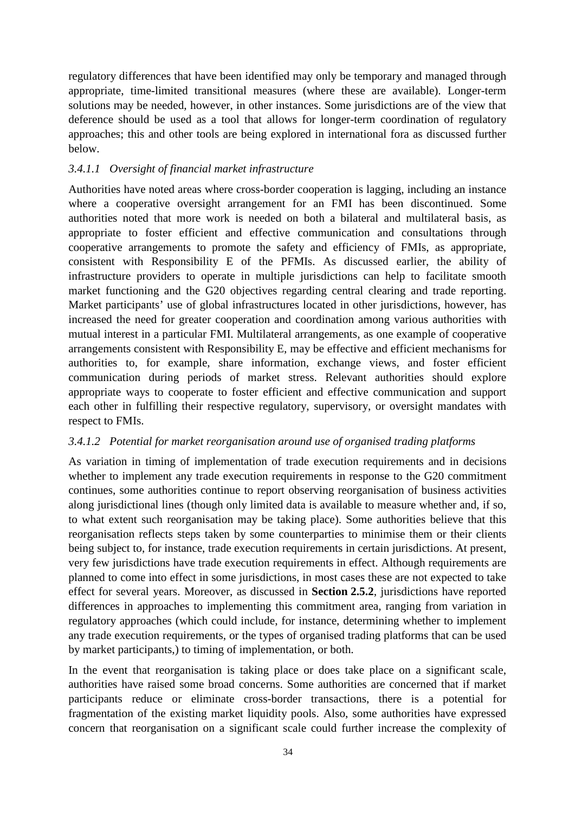regulatory differences that have been identified may only be temporary and managed through appropriate, time-limited transitional measures (where these are available). Longer-term solutions may be needed, however, in other instances. Some jurisdictions are of the view that deference should be used as a tool that allows for longer-term coordination of regulatory approaches; this and other tools are being explored in international fora as discussed further below.

#### *3.4.1.1 Oversight of financial market infrastructure*

Authorities have noted areas where cross-border cooperation is lagging, including an instance where a cooperative oversight arrangement for an FMI has been discontinued. Some authorities noted that more work is needed on both a bilateral and multilateral basis, as appropriate to foster efficient and effective communication and consultations through cooperative arrangements to promote the safety and efficiency of FMIs, as appropriate, consistent with Responsibility E of the PFMIs. As discussed earlier, the ability of infrastructure providers to operate in multiple jurisdictions can help to facilitate smooth market functioning and the G20 objectives regarding central clearing and trade reporting. Market participants' use of global infrastructures located in other jurisdictions, however, has increased the need for greater cooperation and coordination among various authorities with mutual interest in a particular FMI. Multilateral arrangements, as one example of cooperative arrangements consistent with Responsibility E, may be effective and efficient mechanisms for authorities to, for example, share information, exchange views, and foster efficient communication during periods of market stress. Relevant authorities should explore appropriate ways to cooperate to foster efficient and effective communication and support each other in fulfilling their respective regulatory, supervisory, or oversight mandates with respect to FMIs.

### *3.4.1.2 Potential for market reorganisation around use of organised trading platforms*

As variation in timing of implementation of trade execution requirements and in decisions whether to implement any trade execution requirements in response to the G20 commitment continues, some authorities continue to report observing reorganisation of business activities along jurisdictional lines (though only limited data is available to measure whether and, if so, to what extent such reorganisation may be taking place). Some authorities believe that this reorganisation reflects steps taken by some counterparties to minimise them or their clients being subject to, for instance, trade execution requirements in certain jurisdictions. At present, very few jurisdictions have trade execution requirements in effect. Although requirements are planned to come into effect in some jurisdictions, in most cases these are not expected to take effect for several years. Moreover, as discussed in **Section 2.5.2**, jurisdictions have reported differences in approaches to implementing this commitment area, ranging from variation in regulatory approaches (which could include, for instance, determining whether to implement any trade execution requirements, or the types of organised trading platforms that can be used by market participants,) to timing of implementation, or both.

In the event that reorganisation is taking place or does take place on a significant scale, authorities have raised some broad concerns. Some authorities are concerned that if market participants reduce or eliminate cross-border transactions, there is a potential for fragmentation of the existing market liquidity pools. Also, some authorities have expressed concern that reorganisation on a significant scale could further increase the complexity of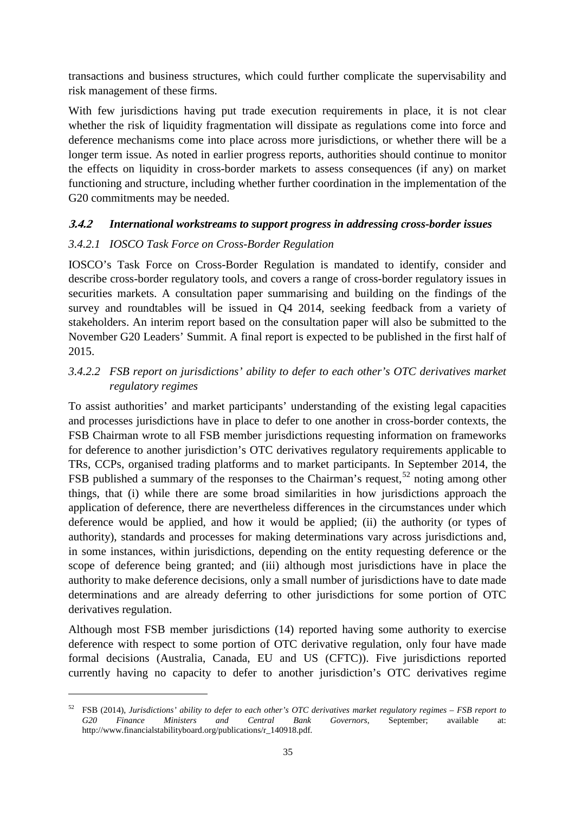transactions and business structures, which could further complicate the supervisability and risk management of these firms.

With few jurisdictions having put trade execution requirements in place, it is not clear whether the risk of liquidity fragmentation will dissipate as regulations come into force and deference mechanisms come into place across more jurisdictions, or whether there will be a longer term issue. As noted in earlier progress reports, authorities should continue to monitor the effects on liquidity in cross-border markets to assess consequences (if any) on market functioning and structure, including whether further coordination in the implementation of the G20 commitments may be needed.

#### **3.4.2** *International workstreams to support progress in addressing cross-border issues*

### *3.4.2.1 IOSCO Task Force on Cross-Border Regulation*

-

IOSCO's Task Force on Cross-Border Regulation is mandated to identify, consider and describe cross-border regulatory tools, and covers a range of cross-border regulatory issues in securities markets. A consultation paper summarising and building on the findings of the survey and roundtables will be issued in Q4 2014, seeking feedback from a variety of stakeholders. An interim report based on the consultation paper will also be submitted to the November G20 Leaders' Summit. A final report is expected to be published in the first half of 2015.

### *3.4.2.2 FSB report on jurisdictions' ability to defer to each other's OTC derivatives market regulatory regimes*

To assist authorities' and market participants' understanding of the existing legal capacities and processes jurisdictions have in place to defer to one another in cross-border contexts, the FSB Chairman wrote to all FSB member jurisdictions requesting information on frameworks for deference to another jurisdiction's OTC derivatives regulatory requirements applicable to TRs, CCPs, organised trading platforms and to market participants. In September 2014, the FSB published a summary of the responses to the Chairman's request,<sup>[52](#page-37-0)</sup> noting among other things, that (i) while there are some broad similarities in how jurisdictions approach the application of deference, there are nevertheless differences in the circumstances under which deference would be applied, and how it would be applied; (ii) the authority (or types of authority), standards and processes for making determinations vary across jurisdictions and, in some instances, within jurisdictions, depending on the entity requesting deference or the scope of deference being granted; and (iii) although most jurisdictions have in place the authority to make deference decisions, only a small number of jurisdictions have to date made determinations and are already deferring to other jurisdictions for some portion of OTC derivatives regulation.

Although most FSB member jurisdictions (14) reported having some authority to exercise deference with respect to some portion of OTC derivative regulation, only four have made formal decisions (Australia, Canada, EU and US (CFTC)). Five jurisdictions reported currently having no capacity to defer to another jurisdiction's OTC derivatives regime

<span id="page-37-0"></span><sup>52</sup> FSB (2014), *Jurisdictions' ability to defer to each other's OTC derivatives market regulatory regimes – FSB report to G20 Finance Ministers and Central Bank Governors*, September; available at: [http://www.financialstabilityboard.org/publications/r\\_140918.pdf.](http://www.financialstabilityboard.org/publications/r_140918.pdf)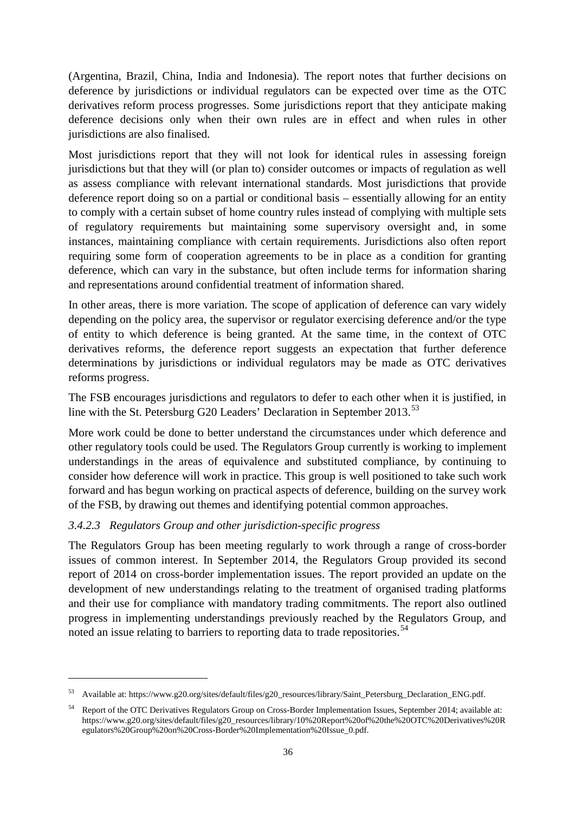(Argentina, Brazil, China, India and Indonesia). The report notes that further decisions on deference by jurisdictions or individual regulators can be expected over time as the OTC derivatives reform process progresses. Some jurisdictions report that they anticipate making deference decisions only when their own rules are in effect and when rules in other jurisdictions are also finalised.

Most jurisdictions report that they will not look for identical rules in assessing foreign jurisdictions but that they will (or plan to) consider outcomes or impacts of regulation as well as assess compliance with relevant international standards. Most jurisdictions that provide deference report doing so on a partial or conditional basis – essentially allowing for an entity to comply with a certain subset of home country rules instead of complying with multiple sets of regulatory requirements but maintaining some supervisory oversight and, in some instances, maintaining compliance with certain requirements. Jurisdictions also often report requiring some form of cooperation agreements to be in place as a condition for granting deference, which can vary in the substance, but often include terms for information sharing and representations around confidential treatment of information shared.

In other areas, there is more variation. The scope of application of deference can vary widely depending on the policy area, the supervisor or regulator exercising deference and/or the type of entity to which deference is being granted. At the same time, in the context of OTC derivatives reforms, the deference report suggests an expectation that further deference determinations by jurisdictions or individual regulators may be made as OTC derivatives reforms progress.

The FSB encourages jurisdictions and regulators to defer to each other when it is justified, in line with the St. Petersburg G20 Leaders' Declaration in September 2013.<sup>[53](#page-38-0)</sup>

More work could be done to better understand the circumstances under which deference and other regulatory tools could be used. The Regulators Group currently is working to implement understandings in the areas of equivalence and substituted compliance, by continuing to consider how deference will work in practice. This group is well positioned to take such work forward and has begun working on practical aspects of deference, building on the survey work of the FSB, by drawing out themes and identifying potential common approaches.

### *3.4.2.3 Regulators Group and other jurisdiction-specific progress*

-

The Regulators Group has been meeting regularly to work through a range of cross-border issues of common interest. In September 2014, the Regulators Group provided its second report of 2014 on cross-border implementation issues. The report provided an update on the development of new understandings relating to the treatment of organised trading platforms and their use for compliance with mandatory trading commitments. The report also outlined progress in implementing understandings previously reached by the Regulators Group, and noted an issue relating to barriers to reporting data to trade repositories.<sup>[54](#page-38-1)</sup>

<span id="page-38-0"></span><sup>53</sup> Available at[: https://www.g20.org/sites/default/files/g20\\_resources/library/Saint\\_Petersburg\\_Declaration\\_ENG.pdf.](https://www.g20.org/sites/default/files/g20_resources/library/Saint_Petersburg_Declaration_ENG.pdf)

<span id="page-38-1"></span><sup>54</sup> Report of the OTC Derivatives Regulators Group on Cross-Border Implementation Issues, September 2014; available at: [https://www.g20.org/sites/default/files/g20\\_resources/library/10%20Report%20of%20the%20OTC%20Derivatives%20R](https://www.g20.org/sites/default/files/g20_resources/library/10%20Report%20of%20the%20OTC%20Derivatives%20Regulators%20Group%20on%20Cross-Border%20Implementation%20Issue_0.pdf) [egulators%20Group%20on%20Cross-Border%20Implementation%20Issue\\_0.pdf.](https://www.g20.org/sites/default/files/g20_resources/library/10%20Report%20of%20the%20OTC%20Derivatives%20Regulators%20Group%20on%20Cross-Border%20Implementation%20Issue_0.pdf)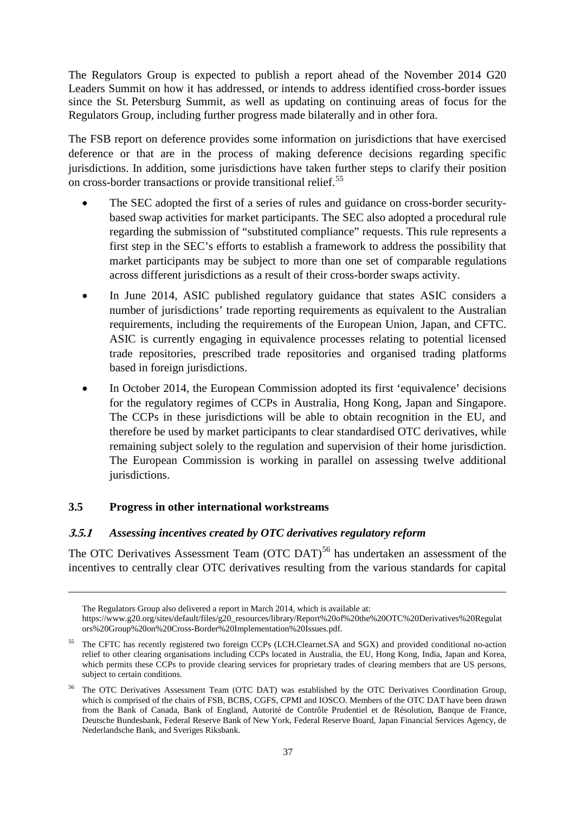The Regulators Group is expected to publish a report ahead of the November 2014 G20 Leaders Summit on how it has addressed, or intends to address identified cross-border issues since the St. Petersburg Summit, as well as updating on continuing areas of focus for the Regulators Group, including further progress made bilaterally and in other fora.

The FSB report on deference provides some information on jurisdictions that have exercised deference or that are in the process of making deference decisions regarding specific jurisdictions. In addition, some jurisdictions have taken further steps to clarify their position on cross-border transactions or provide transitional relief.<sup>[55](#page-39-0)</sup>

- The SEC adopted the first of a series of rules and guidance on cross-border securitybased swap activities for market participants. The SEC also adopted a procedural rule regarding the submission of "substituted compliance" requests. This rule represents a first step in the SEC's efforts to establish a framework to address the possibility that market participants may be subject to more than one set of comparable regulations across different jurisdictions as a result of their cross-border swaps activity.
- In June 2014, ASIC published regulatory guidance that states ASIC considers a number of jurisdictions' trade reporting requirements as equivalent to the Australian requirements, including the requirements of the European Union, Japan, and CFTC. ASIC is currently engaging in equivalence processes relating to potential licensed trade repositories, prescribed trade repositories and organised trading platforms based in foreign jurisdictions.
- In October 2014, the European Commission adopted its first 'equivalence' decisions for the regulatory regimes of CCPs in Australia, Hong Kong, Japan and Singapore. The CCPs in these jurisdictions will be able to obtain recognition in the EU, and therefore be used by market participants to clear standardised OTC derivatives, while remaining subject solely to the regulation and supervision of their home jurisdiction. The European Commission is working in parallel on assessing twelve additional jurisdictions.

### **3.5 Progress in other international workstreams**

-

#### **3.5.1** *Assessing incentives created by OTC derivatives regulatory reform*

The OTC Derivatives Assessment Team (OTC DAT)<sup>[56](#page-39-1)</sup> has undertaken an assessment of the incentives to centrally clear OTC derivatives resulting from the various standards for capital

The Regulators Group also delivered a report in March 2014, which is available at:

[https://www.g20.org/sites/default/files/g20\\_resources/library/Report%20of%20the%20OTC%20Derivatives%20Regulat](https://www.g20.org/sites/default/files/g20_resources/library/Report%20of%20the%20OTC%20Derivatives%20Regulators%20Group%20on%20Cross-Border%20Implementation%20Issues.pdf) [ors%20Group%20on%20Cross-Border%20Implementation%20Issues.pdf.](https://www.g20.org/sites/default/files/g20_resources/library/Report%20of%20the%20OTC%20Derivatives%20Regulators%20Group%20on%20Cross-Border%20Implementation%20Issues.pdf)

<span id="page-39-0"></span><sup>55</sup> The CFTC has recently registered two foreign CCPs (LCH.Clearnet.SA and SGX) and provided conditional no-action relief to other clearing organisations including CCPs located in Australia, the EU, Hong Kong, India, Japan and Korea, which permits these CCPs to provide clearing services for proprietary trades of clearing members that are US persons, subject to certain conditions.

<span id="page-39-1"></span><sup>56</sup> The OTC Derivatives Assessment Team (OTC DAT) was established by the OTC Derivatives Coordination Group, which is comprised of the chairs of FSB, BCBS, CGFS, CPMI and IOSCO. Members of the OTC DAT have been drawn from the Bank of Canada, Bank of England, Autorité de Contrôle Prudentiel et de Résolution, Banque de France, Deutsche Bundesbank, Federal Reserve Bank of New York, Federal Reserve Board, Japan Financial Services Agency, de Nederlandsche Bank, and Sveriges Riksbank.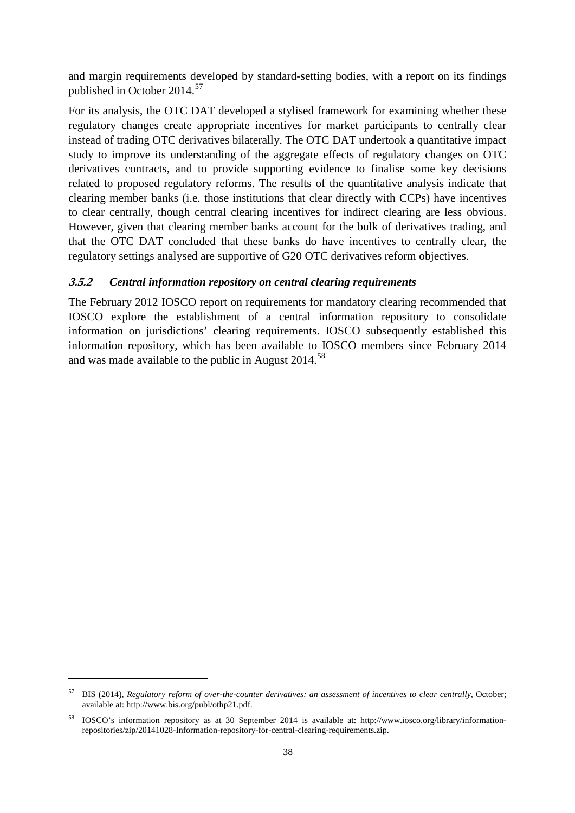and margin requirements developed by standard-setting bodies, with a report on its findings published in October 2014.<sup>[57](#page-40-0)</sup>

For its analysis, the OTC DAT developed a stylised framework for examining whether these regulatory changes create appropriate incentives for market participants to centrally clear instead of trading OTC derivatives bilaterally. The OTC DAT undertook a quantitative impact study to improve its understanding of the aggregate effects of regulatory changes on OTC derivatives contracts, and to provide supporting evidence to finalise some key decisions related to proposed regulatory reforms. The results of the quantitative analysis indicate that clearing member banks (i.e. those institutions that clear directly with CCPs) have incentives to clear centrally, though central clearing incentives for indirect clearing are less obvious. However, given that clearing member banks account for the bulk of derivatives trading, and that the OTC DAT concluded that these banks do have incentives to centrally clear, the regulatory settings analysed are supportive of G20 OTC derivatives reform objectives.

### **3.5.2** *Central information repository on central clearing requirements*

The February 2012 IOSCO report on requirements for mandatory clearing recommended that IOSCO explore the establishment of a central information repository to consolidate information on jurisdictions' clearing requirements. IOSCO subsequently established this information repository, which has been available to IOSCO members since February 2014 and was made available to the public in August 2014.<sup>[58](#page-40-1)</sup>

-

<span id="page-40-0"></span><sup>57</sup> BIS (2014), *Regulatory reform of over-the-counter derivatives: an assessment of incentives to clear centrally*, October; available at: [http://www.bis.org/publ/othp21.pdf.](http://www.bis.org/publ/othp21.pdf)

<span id="page-40-1"></span><sup>58</sup> IOSCO's information repository as at 30 September 2014 is available at: [http://www.iosco.org/library/information](http://www.iosco.org/library/information-repositories/zip/20141028-Information-repository-for-central-clearing-requirements.zip)[repositories/zip/20141028-Information-repository-for-central-clearing-requirements.zip.](http://www.iosco.org/library/information-repositories/zip/20141028-Information-repository-for-central-clearing-requirements.zip)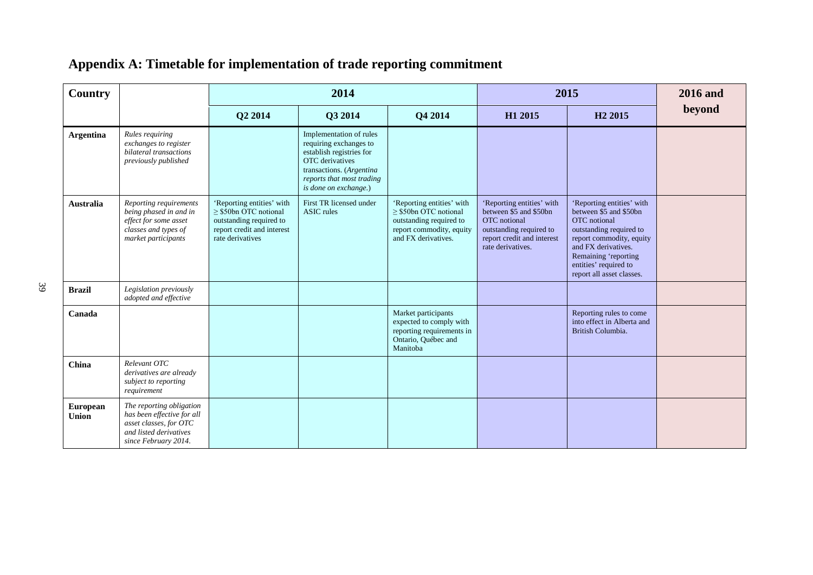| <b>Country</b>    |                                                                                                                                    |                                                                                                                                      | 2014                                                                                                                                                                                      |                                                                                                                                       |                                                                                                                                                   | 2015                                                                                                                                                                                                                            | <b>2016</b> and |
|-------------------|------------------------------------------------------------------------------------------------------------------------------------|--------------------------------------------------------------------------------------------------------------------------------------|-------------------------------------------------------------------------------------------------------------------------------------------------------------------------------------------|---------------------------------------------------------------------------------------------------------------------------------------|---------------------------------------------------------------------------------------------------------------------------------------------------|---------------------------------------------------------------------------------------------------------------------------------------------------------------------------------------------------------------------------------|-----------------|
|                   |                                                                                                                                    | Q2 2014                                                                                                                              | Q3 2014                                                                                                                                                                                   | Q4 2014                                                                                                                               | H1 2015                                                                                                                                           | H <sub>2</sub> 2015                                                                                                                                                                                                             | beyond          |
| <b>Argentina</b>  | Rules requiring<br>exchanges to register<br>bilateral transactions<br>previously published                                         |                                                                                                                                      | Implementation of rules<br>requiring exchanges to<br>establish registries for<br><b>OTC</b> derivatives<br>transactions. (Argentina<br>reports that most trading<br>is done on exchange.) |                                                                                                                                       |                                                                                                                                                   |                                                                                                                                                                                                                                 |                 |
| <b>Australia</b>  | Reporting requirements<br>being phased in and in<br>effect for some asset<br>classes and types of<br>market participants           | 'Reporting entities' with<br>$\geq$ \$50bn OTC notional<br>outstanding required to<br>report credit and interest<br>rate derivatives | First TR licensed under<br><b>ASIC</b> rules                                                                                                                                              | 'Reporting entities' with<br>$\geq$ \$50bn OTC notional<br>outstanding required to<br>report commodity, equity<br>and FX derivatives. | 'Reporting entities' with<br>between \$5 and \$50bn<br>OTC notional<br>outstanding required to<br>report credit and interest<br>rate derivatives. | 'Reporting entities' with<br>between \$5 and \$50bn<br>OTC notional<br>outstanding required to<br>report commodity, equity<br>and FX derivatives.<br>Remaining 'reporting<br>entities' required to<br>report all asset classes. |                 |
| <b>Brazil</b>     | Legislation previously<br>adopted and effective                                                                                    |                                                                                                                                      |                                                                                                                                                                                           |                                                                                                                                       |                                                                                                                                                   |                                                                                                                                                                                                                                 |                 |
| Canada            |                                                                                                                                    |                                                                                                                                      |                                                                                                                                                                                           | Market participants<br>expected to comply with<br>reporting requirements in<br>Ontario, Québec and<br>Manitoba                        |                                                                                                                                                   | Reporting rules to come<br>into effect in Alberta and<br>British Columbia.                                                                                                                                                      |                 |
| China             | Relevant OTC<br>derivatives are already<br>subject to reporting<br>requirement                                                     |                                                                                                                                      |                                                                                                                                                                                           |                                                                                                                                       |                                                                                                                                                   |                                                                                                                                                                                                                                 |                 |
| European<br>Union | The reporting obligation<br>has been effective for all<br>asset classes, for OTC<br>and listed derivatives<br>since February 2014. |                                                                                                                                      |                                                                                                                                                                                           |                                                                                                                                       |                                                                                                                                                   |                                                                                                                                                                                                                                 |                 |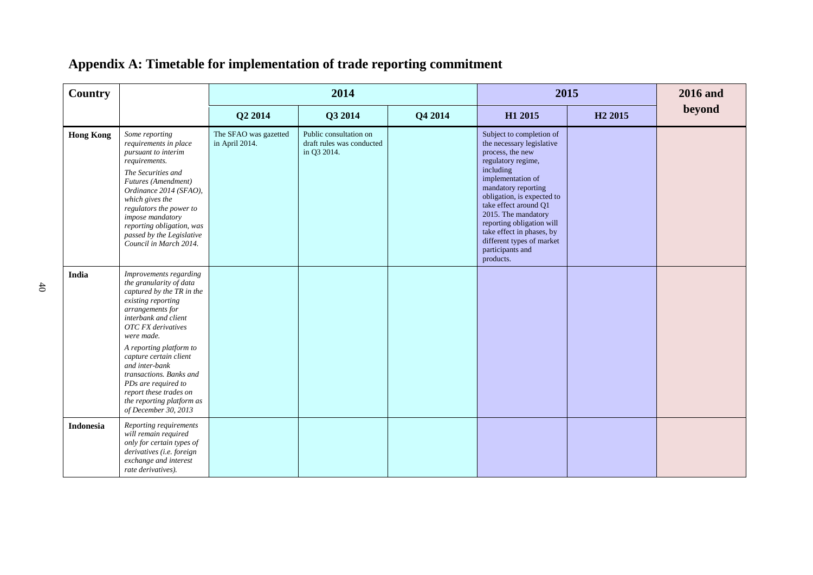| Country          |                                                                                                                                                                                                                                                                                                                                                                                                     |                                         | 2014                                                               |         |                                                                                                                                                                                                                                                                                                                                                                | 2015                | <b>2016</b> and |
|------------------|-----------------------------------------------------------------------------------------------------------------------------------------------------------------------------------------------------------------------------------------------------------------------------------------------------------------------------------------------------------------------------------------------------|-----------------------------------------|--------------------------------------------------------------------|---------|----------------------------------------------------------------------------------------------------------------------------------------------------------------------------------------------------------------------------------------------------------------------------------------------------------------------------------------------------------------|---------------------|-----------------|
|                  |                                                                                                                                                                                                                                                                                                                                                                                                     | Q2 2014                                 | Q3 2014                                                            | Q4 2014 | H1 2015                                                                                                                                                                                                                                                                                                                                                        | H <sub>2</sub> 2015 | beyond          |
| <b>Hong Kong</b> | Some reporting<br>requirements in place<br>pursuant to interim<br>requirements.<br>The Securities and<br>Futures (Amendment)<br>Ordinance 2014 (SFAO),<br>which gives the<br>regulators the power to<br>impose mandatory<br>reporting obligation, was<br>passed by the Legislative<br>Council in March 2014.                                                                                        | The SFAO was gazetted<br>in April 2014. | Public consultation on<br>draft rules was conducted<br>in Q3 2014. |         | Subject to completion of<br>the necessary legislative<br>process, the new<br>regulatory regime,<br>including<br>implementation of<br>mandatory reporting<br>obligation, is expected to<br>take effect around Q1<br>2015. The mandatory<br>reporting obligation will<br>take effect in phases, by<br>different types of market<br>participants and<br>products. |                     |                 |
| India            | Improvements regarding<br>the granularity of data<br>captured by the TR in the<br>existing reporting<br>arrangements for<br>interbank and client<br><b>OTC</b> FX derivatives<br>were made.<br>A reporting platform to<br>capture certain client<br>and inter-bank<br>transactions. Banks and<br>PDs are required to<br>report these trades on<br>the reporting platform as<br>of December 30, 2013 |                                         |                                                                    |         |                                                                                                                                                                                                                                                                                                                                                                |                     |                 |
| <b>Indonesia</b> | Reporting requirements<br>will remain required<br>only for certain types of<br>derivatives (i.e. foreign<br>exchange and interest<br>rate derivatives).                                                                                                                                                                                                                                             |                                         |                                                                    |         |                                                                                                                                                                                                                                                                                                                                                                |                     |                 |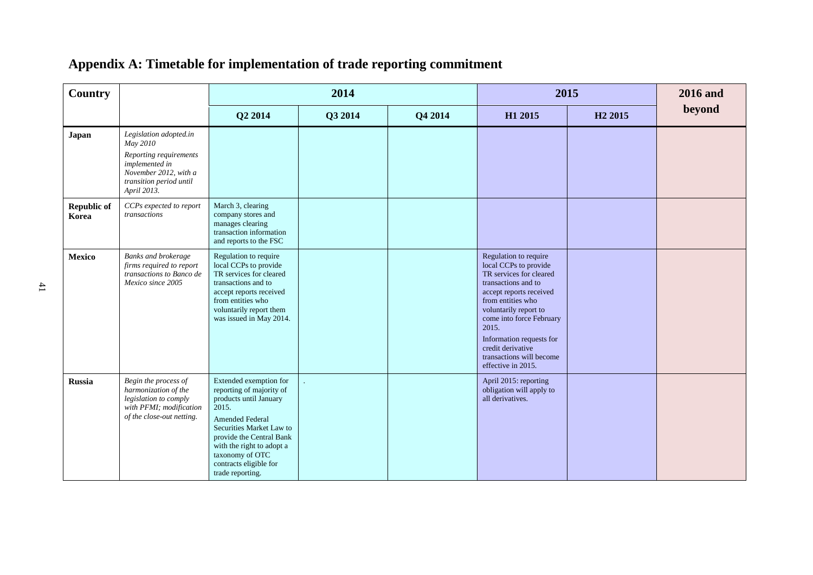| <b>Country</b>              |                                                                                                                                                   |                                                                                                                                                                                                                                                                       | 2014    |         |                                                                                                                                                                                                                                                                                                                   | 2015                | <b>2016</b> and |
|-----------------------------|---------------------------------------------------------------------------------------------------------------------------------------------------|-----------------------------------------------------------------------------------------------------------------------------------------------------------------------------------------------------------------------------------------------------------------------|---------|---------|-------------------------------------------------------------------------------------------------------------------------------------------------------------------------------------------------------------------------------------------------------------------------------------------------------------------|---------------------|-----------------|
|                             |                                                                                                                                                   | Q2 2014                                                                                                                                                                                                                                                               | Q3 2014 | Q4 2014 | H1 2015                                                                                                                                                                                                                                                                                                           | H <sub>2</sub> 2015 | beyond          |
| Japan                       | Legislation adopted.in<br>May 2010<br>Reporting requirements<br>implemented in<br>November 2012, with a<br>transition period until<br>April 2013. |                                                                                                                                                                                                                                                                       |         |         |                                                                                                                                                                                                                                                                                                                   |                     |                 |
| <b>Republic of</b><br>Korea | CCPs expected to report<br>transactions                                                                                                           | March 3, clearing<br>company stores and<br>manages clearing<br>transaction information<br>and reports to the FSC                                                                                                                                                      |         |         |                                                                                                                                                                                                                                                                                                                   |                     |                 |
| <b>Mexico</b>               | Banks and brokerage<br>firms required to report<br>transactions to Banco de<br>Mexico since 2005                                                  | Regulation to require<br>local CCPs to provide<br>TR services for cleared<br>transactions and to<br>accept reports received<br>from entities who<br>voluntarily report them<br>was issued in May 2014.                                                                |         |         | Regulation to require<br>local CCPs to provide<br>TR services for cleared<br>transactions and to<br>accept reports received<br>from entities who<br>voluntarily report to<br>come into force February<br>2015.<br>Information requests for<br>credit derivative<br>transactions will become<br>effective in 2015. |                     |                 |
| <b>Russia</b>               | Begin the process of<br>harmonization of the<br>legislation to comply<br>with PFMI; modification<br>of the close-out netting.                     | Extended exemption for<br>reporting of majority of<br>products until January<br>2015.<br><b>Amended Federal</b><br>Securities Market Law to<br>provide the Central Bank<br>with the right to adopt a<br>taxonomy of OTC<br>contracts eligible for<br>trade reporting. |         |         | April 2015: reporting<br>obligation will apply to<br>all derivatives.                                                                                                                                                                                                                                             |                     |                 |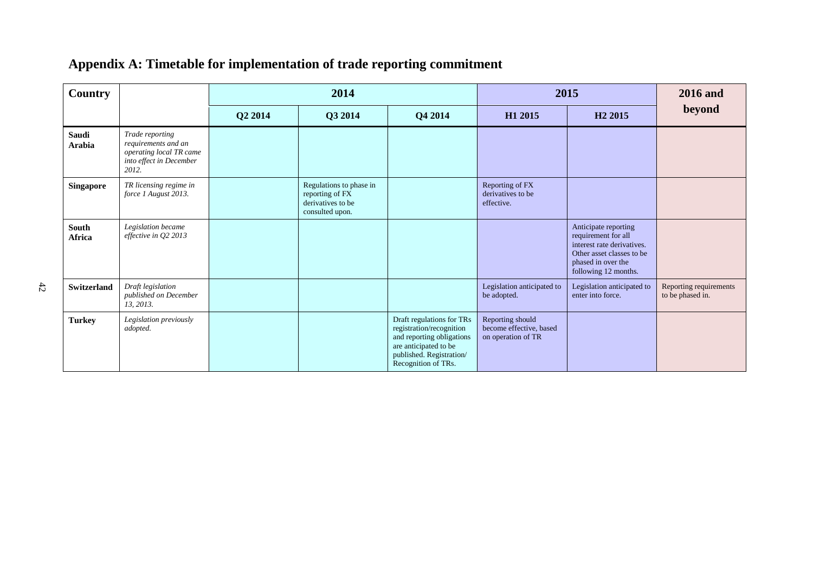| <b>Country</b>         |                                                                                                       |         | 2014                                                                               |                                                                                                                                                                |                                                                   | 2015                                                                                                                                                 | <b>2016</b> and                            |
|------------------------|-------------------------------------------------------------------------------------------------------|---------|------------------------------------------------------------------------------------|----------------------------------------------------------------------------------------------------------------------------------------------------------------|-------------------------------------------------------------------|------------------------------------------------------------------------------------------------------------------------------------------------------|--------------------------------------------|
|                        |                                                                                                       | Q2 2014 | Q3 2014                                                                            | Q4 2014                                                                                                                                                        | H <sub>1</sub> 2015                                               | H <sub>2</sub> 2015                                                                                                                                  | beyond                                     |
| Saudi<br>Arabia        | Trade reporting<br>requirements and an<br>operating local TR came<br>into effect in December<br>2012. |         |                                                                                    |                                                                                                                                                                |                                                                   |                                                                                                                                                      |                                            |
| Singapore              | TR licensing regime in<br>force 1 August 2013.                                                        |         | Regulations to phase in<br>reporting of FX<br>derivatives to be<br>consulted upon. |                                                                                                                                                                | Reporting of FX<br>derivatives to be<br>effective.                |                                                                                                                                                      |                                            |
| South<br><b>Africa</b> | Legislation became<br>effective in Q2 2013                                                            |         |                                                                                    |                                                                                                                                                                |                                                                   | Anticipate reporting<br>requirement for all<br>interest rate derivatives.<br>Other asset classes to be<br>phased in over the<br>following 12 months. |                                            |
| <b>Switzerland</b>     | Draft legislation<br>published on December<br>13, 2013.                                               |         |                                                                                    |                                                                                                                                                                | Legislation anticipated to<br>be adopted.                         | Legislation anticipated to<br>enter into force.                                                                                                      | Reporting requirements<br>to be phased in. |
| <b>Turkey</b>          | Legislation previously<br>adopted.                                                                    |         |                                                                                    | Draft regulations for TRs<br>registration/recognition<br>and reporting obligations<br>are anticipated to be<br>published. Registration/<br>Recognition of TRs. | Reporting should<br>become effective, based<br>on operation of TR |                                                                                                                                                      |                                            |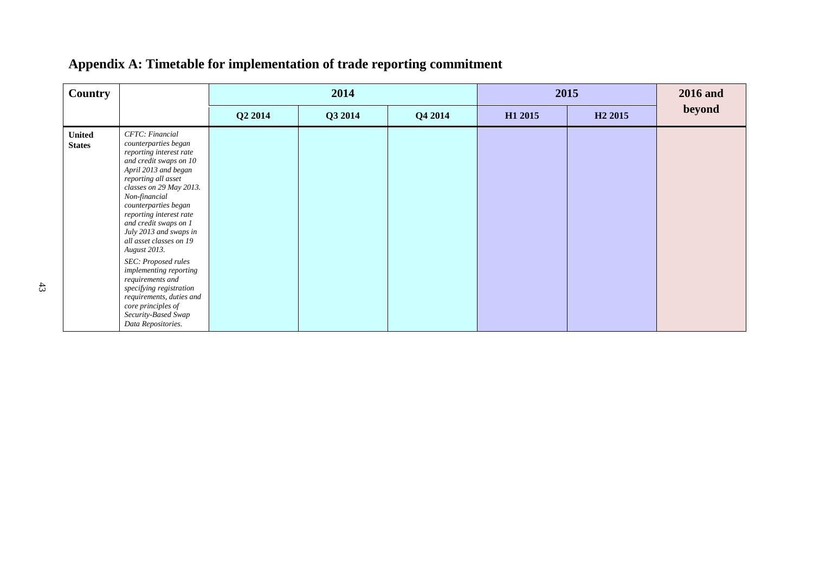| <b>Country</b>                 |                                                                                                                                                                                                                                                                                                                                                                                                                                                                                                                                                |         | 2014    |         |         | 2015                | 2016 and |
|--------------------------------|------------------------------------------------------------------------------------------------------------------------------------------------------------------------------------------------------------------------------------------------------------------------------------------------------------------------------------------------------------------------------------------------------------------------------------------------------------------------------------------------------------------------------------------------|---------|---------|---------|---------|---------------------|----------|
|                                |                                                                                                                                                                                                                                                                                                                                                                                                                                                                                                                                                | Q2 2014 | Q3 2014 | Q4 2014 | H1 2015 | H <sub>2</sub> 2015 | beyond   |
| <b>United</b><br><b>States</b> | CFTC: Financial<br>counterparties began<br>reporting interest rate<br>and credit swaps on 10<br>April 2013 and began<br>reporting all asset<br>classes on 29 May 2013.<br>Non-financial<br>counterparties began<br>reporting interest rate<br>and credit swaps on 1<br>July 2013 and swaps in<br>all asset classes on 19<br><b>August</b> 2013.<br>SEC: Proposed rules<br>implementing reporting<br>requirements and<br>specifying registration<br>requirements, duties and<br>core principles of<br>Security-Based Swap<br>Data Repositories. |         |         |         |         |                     |          |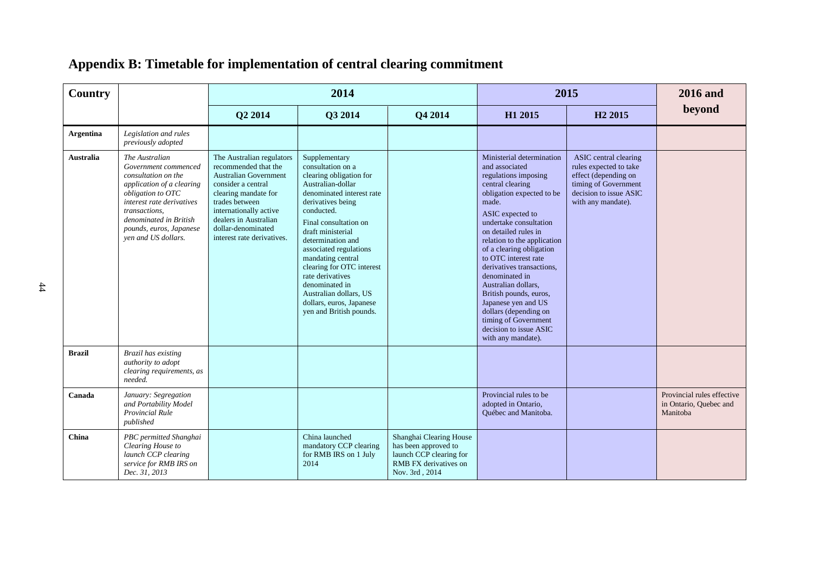| <b>Country</b>   |                                                                                                                                                                                                                                           |                                                                                                                                                                                                                                                          | 2014                                                                                                                                                                                                                                                                                                                                                                                                                     |                                                                                                                       |                                                                                                                                                                                                                                                                                                                                                                                                                                                                                                                | 2015                                                                                                                                            | <b>2016</b> and                                                  |
|------------------|-------------------------------------------------------------------------------------------------------------------------------------------------------------------------------------------------------------------------------------------|----------------------------------------------------------------------------------------------------------------------------------------------------------------------------------------------------------------------------------------------------------|--------------------------------------------------------------------------------------------------------------------------------------------------------------------------------------------------------------------------------------------------------------------------------------------------------------------------------------------------------------------------------------------------------------------------|-----------------------------------------------------------------------------------------------------------------------|----------------------------------------------------------------------------------------------------------------------------------------------------------------------------------------------------------------------------------------------------------------------------------------------------------------------------------------------------------------------------------------------------------------------------------------------------------------------------------------------------------------|-------------------------------------------------------------------------------------------------------------------------------------------------|------------------------------------------------------------------|
|                  |                                                                                                                                                                                                                                           | Q2 2014                                                                                                                                                                                                                                                  | Q3 2014                                                                                                                                                                                                                                                                                                                                                                                                                  | Q4 2014                                                                                                               | H1 2015                                                                                                                                                                                                                                                                                                                                                                                                                                                                                                        | H <sub>2</sub> 2015                                                                                                                             | beyond                                                           |
| <b>Argentina</b> | Legislation and rules<br>previously adopted                                                                                                                                                                                               |                                                                                                                                                                                                                                                          |                                                                                                                                                                                                                                                                                                                                                                                                                          |                                                                                                                       |                                                                                                                                                                                                                                                                                                                                                                                                                                                                                                                |                                                                                                                                                 |                                                                  |
| <b>Australia</b> | The Australian<br>Government commenced<br>consultation on the<br>application of a clearing<br>obligation to OTC<br>interest rate derivatives<br>transactions,<br>denominated in British<br>pounds, euros, Japanese<br>ven and US dollars. | The Australian regulators<br>recommended that the<br><b>Australian Government</b><br>consider a central<br>clearing mandate for<br>trades between<br>internationally active<br>dealers in Australian<br>dollar-denominated<br>interest rate derivatives. | Supplementary<br>consultation on a<br>clearing obligation for<br>Australian-dollar<br>denominated interest rate<br>derivatives being<br>conducted.<br>Final consultation on<br>draft ministerial<br>determination and<br>associated regulations<br>mandating central<br>clearing for OTC interest<br>rate derivatives<br>denominated in<br>Australian dollars, US<br>dollars, euros, Japanese<br>yen and British pounds. |                                                                                                                       | Ministerial determination<br>and associated<br>regulations imposing<br>central clearing<br>obligation expected to be<br>made.<br>ASIC expected to<br>undertake consultation<br>on detailed rules in<br>relation to the application<br>of a clearing obligation<br>to OTC interest rate<br>derivatives transactions,<br>denominated in<br>Australian dollars,<br>British pounds, euros,<br>Japanese yen and US<br>dollars (depending on<br>timing of Government<br>decision to issue ASIC<br>with any mandate). | ASIC central clearing<br>rules expected to take<br>effect (depending on<br>timing of Government<br>decision to issue ASIC<br>with any mandate). |                                                                  |
| <b>Brazil</b>    | Brazil has existing<br>authority to adopt<br>clearing requirements, as<br>needed.                                                                                                                                                         |                                                                                                                                                                                                                                                          |                                                                                                                                                                                                                                                                                                                                                                                                                          |                                                                                                                       |                                                                                                                                                                                                                                                                                                                                                                                                                                                                                                                |                                                                                                                                                 |                                                                  |
| Canada           | January: Segregation<br>and Portability Model<br><b>Provincial Rule</b><br>published                                                                                                                                                      |                                                                                                                                                                                                                                                          |                                                                                                                                                                                                                                                                                                                                                                                                                          |                                                                                                                       | Provincial rules to be<br>adopted in Ontario,<br>Ouébec and Manitoba.                                                                                                                                                                                                                                                                                                                                                                                                                                          |                                                                                                                                                 | Provincial rules effective<br>in Ontario, Ouebec and<br>Manitoba |
| China            | PBC permitted Shanghai<br>Clearing House to<br>launch CCP clearing<br>service for RMB IRS on<br>Dec. 31, 2013                                                                                                                             |                                                                                                                                                                                                                                                          | China launched<br>mandatory CCP clearing<br>for RMB IRS on 1 July<br>2014                                                                                                                                                                                                                                                                                                                                                | Shanghai Clearing House<br>has been approved to<br>launch CCP clearing for<br>RMB FX derivatives on<br>Nov. 3rd, 2014 |                                                                                                                                                                                                                                                                                                                                                                                                                                                                                                                |                                                                                                                                                 |                                                                  |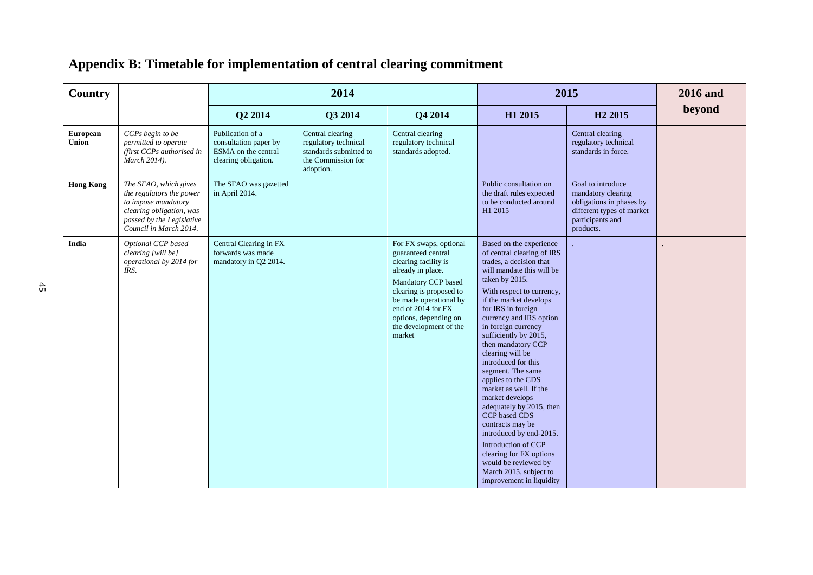| Country                         |                                                                                                                                                             |                                                                                          | 2014                                                                                                  |                                                                                                                                                                                                                                                          |                                                                                                                                                                                                                                                                                                                                                                                                                                                                                                                                                                                                                                                                              | 2015                                                                                                                              | <b>2016</b> and |
|---------------------------------|-------------------------------------------------------------------------------------------------------------------------------------------------------------|------------------------------------------------------------------------------------------|-------------------------------------------------------------------------------------------------------|----------------------------------------------------------------------------------------------------------------------------------------------------------------------------------------------------------------------------------------------------------|------------------------------------------------------------------------------------------------------------------------------------------------------------------------------------------------------------------------------------------------------------------------------------------------------------------------------------------------------------------------------------------------------------------------------------------------------------------------------------------------------------------------------------------------------------------------------------------------------------------------------------------------------------------------------|-----------------------------------------------------------------------------------------------------------------------------------|-----------------|
|                                 |                                                                                                                                                             | Q2 2014                                                                                  | Q3 2014                                                                                               | Q4 2014                                                                                                                                                                                                                                                  | H1 2015                                                                                                                                                                                                                                                                                                                                                                                                                                                                                                                                                                                                                                                                      | H <sub>2</sub> 2015                                                                                                               | beyond          |
| <b>European</b><br><b>Union</b> | CCPs begin to be<br>permitted to operate<br>(first CCPs authorised in<br>March 2014).                                                                       | Publication of a<br>consultation paper by<br>ESMA on the central<br>clearing obligation. | Central clearing<br>regulatory technical<br>standards submitted to<br>the Commission for<br>adoption. | Central clearing<br>regulatory technical<br>standards adopted.                                                                                                                                                                                           |                                                                                                                                                                                                                                                                                                                                                                                                                                                                                                                                                                                                                                                                              | Central clearing<br>regulatory technical<br>standards in force.                                                                   |                 |
| <b>Hong Kong</b>                | The SFAO, which gives<br>the regulators the power<br>to impose mandatory<br>clearing obligation, was<br>passed by the Legislative<br>Council in March 2014. | The SFAO was gazetted<br>in April 2014.                                                  |                                                                                                       |                                                                                                                                                                                                                                                          | Public consultation on<br>the draft rules expected<br>to be conducted around<br>H1 2015                                                                                                                                                                                                                                                                                                                                                                                                                                                                                                                                                                                      | Goal to introduce<br>mandatory clearing<br>obligations in phases by<br>different types of market<br>participants and<br>products. |                 |
| India                           | Optional CCP based<br>clearing [will be]<br>operational by 2014 for<br>IRS.                                                                                 | Central Clearing in FX<br>forwards was made<br>mandatory in O2 2014.                     |                                                                                                       | For FX swaps, optional<br>guaranteed central<br>clearing facility is<br>already in place.<br>Mandatory CCP based<br>clearing is proposed to<br>be made operational by<br>end of 2014 for FX<br>options, depending on<br>the development of the<br>market | Based on the experience<br>of central clearing of IRS<br>trades, a decision that<br>will mandate this will be<br>taken by 2015.<br>With respect to currency,<br>if the market develops<br>for IRS in foreign<br>currency and IRS option<br>in foreign currency<br>sufficiently by 2015,<br>then mandatory CCP<br>clearing will be<br>introduced for this<br>segment. The same<br>applies to the CDS<br>market as well. If the<br>market develops<br>adequately by 2015, then<br>CCP based CDS<br>contracts may be<br>introduced by end-2015.<br>Introduction of CCP<br>clearing for FX options<br>would be reviewed by<br>March 2015, subject to<br>improvement in liquidity |                                                                                                                                   |                 |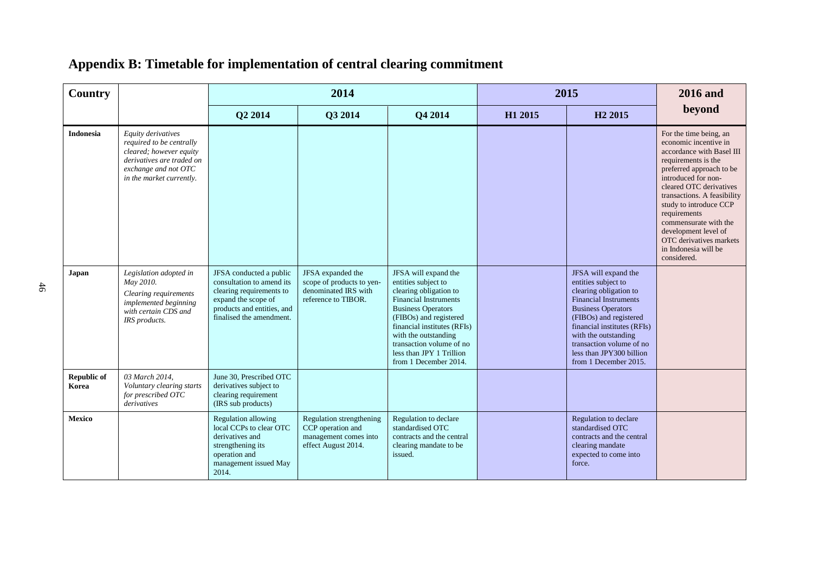| Country                     |                                                                                                                                                            |                                                                                                                                                                   | 2014                                                                                          |                                                                                                                                                                                                                                                                                                      |         | 2015                                                                                                                                                                                                                                                                                                 | <b>2016</b> and                                                                                                                                                                                                                                                                                                                                                               |
|-----------------------------|------------------------------------------------------------------------------------------------------------------------------------------------------------|-------------------------------------------------------------------------------------------------------------------------------------------------------------------|-----------------------------------------------------------------------------------------------|------------------------------------------------------------------------------------------------------------------------------------------------------------------------------------------------------------------------------------------------------------------------------------------------------|---------|------------------------------------------------------------------------------------------------------------------------------------------------------------------------------------------------------------------------------------------------------------------------------------------------------|-------------------------------------------------------------------------------------------------------------------------------------------------------------------------------------------------------------------------------------------------------------------------------------------------------------------------------------------------------------------------------|
|                             |                                                                                                                                                            | Q2 2014                                                                                                                                                           | Q3 2014                                                                                       | Q4 2014                                                                                                                                                                                                                                                                                              | H1 2015 | H <sub>2</sub> 2015                                                                                                                                                                                                                                                                                  | beyond                                                                                                                                                                                                                                                                                                                                                                        |
| <b>Indonesia</b>            | Equity derivatives<br>required to be centrally<br>cleared; however equity<br>derivatives are traded on<br>exchange and not OTC<br>in the market currently. |                                                                                                                                                                   |                                                                                               |                                                                                                                                                                                                                                                                                                      |         |                                                                                                                                                                                                                                                                                                      | For the time being, an<br>economic incentive in<br>accordance with Basel III<br>requirements is the<br>preferred approach to be<br>introduced for non-<br>cleared OTC derivatives<br>transactions. A feasibility<br>study to introduce CCP<br>requirements<br>commensurate with the<br>development level of<br>OTC derivatives markets<br>in Indonesia will be<br>considered. |
| Japan                       | Legislation adopted in<br>May 2010.<br>Clearing requirements<br>implemented beginning<br>with certain CDS and<br>IRS products.                             | JFSA conducted a public<br>consultation to amend its<br>clearing requirements to<br>expand the scope of<br>products and entities, and<br>finalised the amendment. | JFSA expanded the<br>scope of products to yen-<br>denominated IRS with<br>reference to TIBOR. | JFSA will expand the<br>entities subject to<br>clearing obligation to<br><b>Financial Instruments</b><br><b>Business Operators</b><br>(FIBOs) and registered<br>financial institutes (RFIs)<br>with the outstanding<br>transaction volume of no<br>less than JPY 1 Trillion<br>from 1 December 2014. |         | JFSA will expand the<br>entities subject to<br>clearing obligation to<br><b>Financial Instruments</b><br><b>Business Operators</b><br>(FIBOs) and registered<br>financial institutes (RFIs)<br>with the outstanding<br>transaction volume of no<br>less than JPY300 billion<br>from 1 December 2015. |                                                                                                                                                                                                                                                                                                                                                                               |
| <b>Republic of</b><br>Korea | 03 March 2014.<br>Voluntary clearing starts<br>for prescribed OTC<br>derivatives                                                                           | June 30. Prescribed OTC<br>derivatives subject to<br>clearing requirement<br>(IRS sub products)                                                                   |                                                                                               |                                                                                                                                                                                                                                                                                                      |         |                                                                                                                                                                                                                                                                                                      |                                                                                                                                                                                                                                                                                                                                                                               |
| Mexico                      |                                                                                                                                                            | <b>Regulation allowing</b><br>local CCPs to clear OTC<br>derivatives and<br>strengthening its<br>operation and<br>management issued May<br>2014.                  | Regulation strengthening<br>CCP operation and<br>management comes into<br>effect August 2014. | Regulation to declare<br>standardised OTC<br>contracts and the central<br>clearing mandate to be<br>issued.                                                                                                                                                                                          |         | Regulation to declare<br>standardised OTC<br>contracts and the central<br>clearing mandate<br>expected to come into<br>force.                                                                                                                                                                        |                                                                                                                                                                                                                                                                                                                                                                               |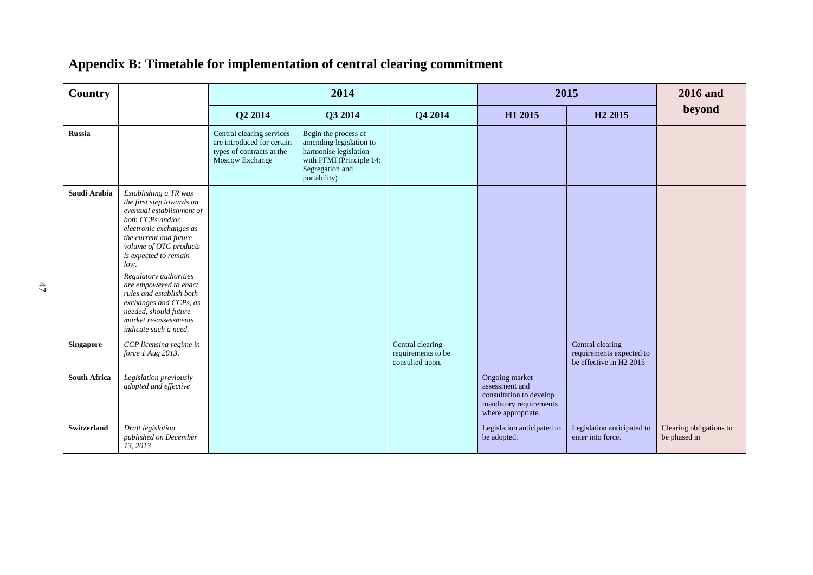| <b>Country</b>      |                                                                                                                                                                                                                                                                                                                                                                                                          |                                                                                                         | 2014                                                                                                                                    |                                                           | 2015                                                                                                        |                                                                         | <b>2016</b> and                         |
|---------------------|----------------------------------------------------------------------------------------------------------------------------------------------------------------------------------------------------------------------------------------------------------------------------------------------------------------------------------------------------------------------------------------------------------|---------------------------------------------------------------------------------------------------------|-----------------------------------------------------------------------------------------------------------------------------------------|-----------------------------------------------------------|-------------------------------------------------------------------------------------------------------------|-------------------------------------------------------------------------|-----------------------------------------|
|                     |                                                                                                                                                                                                                                                                                                                                                                                                          | Q2 2014                                                                                                 | Q3 2014                                                                                                                                 | Q4 2014                                                   | H1 2015                                                                                                     | H <sub>2</sub> 2015                                                     | beyond                                  |
| <b>Russia</b>       |                                                                                                                                                                                                                                                                                                                                                                                                          | Central clearing services<br>are introduced for certain<br>types of contracts at the<br>Moscow Exchange | Begin the process of<br>amending legislation to<br>harmonise legislation<br>with PFMI (Principle 14:<br>Segregation and<br>portability) |                                                           |                                                                                                             |                                                                         |                                         |
| Saudi Arabia        | Establishing a TR was<br>the first step towards an<br>eventual establishment of<br>both CCPs and/or<br>electronic exchanges as<br>the current and future<br>volume of OTC products<br>is expected to remain<br>low.<br>Regulatory authorities<br>are empowered to enact<br>rules and establish both<br>exchanges and CCPs, as<br>needed, should future<br>market re-assessments<br>indicate such a need. |                                                                                                         |                                                                                                                                         |                                                           |                                                                                                             |                                                                         |                                         |
| <b>Singapore</b>    | CCP licensing regime in<br>force 1 Aug 2013.                                                                                                                                                                                                                                                                                                                                                             |                                                                                                         |                                                                                                                                         | Central clearing<br>requirements to be<br>consulted upon. |                                                                                                             | Central clearing<br>requirements expected to<br>be effective in H2 2015 |                                         |
| <b>South Africa</b> | Legislation previously<br>adopted and effective                                                                                                                                                                                                                                                                                                                                                          |                                                                                                         |                                                                                                                                         |                                                           | Ongoing market<br>assessment and<br>consultation to develop<br>mandatory requirements<br>where appropriate. |                                                                         |                                         |
| <b>Switzerland</b>  | Draft legislation<br>published on December<br>13, 2013                                                                                                                                                                                                                                                                                                                                                   |                                                                                                         |                                                                                                                                         |                                                           | Legislation anticipated to<br>be adopted.                                                                   | Legislation anticipated to<br>enter into force.                         | Clearing obligations to<br>be phased in |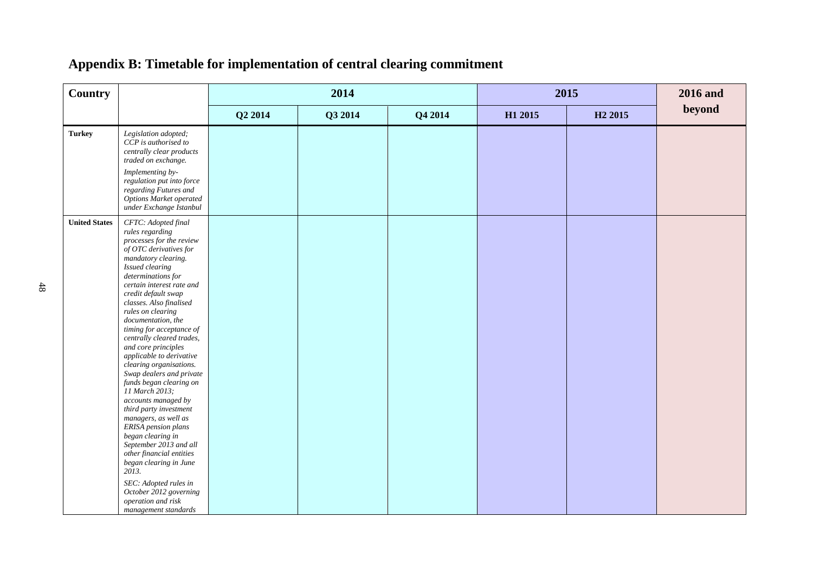| <b>Country</b>       |                                                                                                                                                                                                                                                                                                                                                                                                                                                                                                                                                                                                                                                                                                                                                                                                                       |         | 2014    |         |         | 2015                | <b>2016</b> and |  |
|----------------------|-----------------------------------------------------------------------------------------------------------------------------------------------------------------------------------------------------------------------------------------------------------------------------------------------------------------------------------------------------------------------------------------------------------------------------------------------------------------------------------------------------------------------------------------------------------------------------------------------------------------------------------------------------------------------------------------------------------------------------------------------------------------------------------------------------------------------|---------|---------|---------|---------|---------------------|-----------------|--|
|                      |                                                                                                                                                                                                                                                                                                                                                                                                                                                                                                                                                                                                                                                                                                                                                                                                                       | Q2 2014 | Q3 2014 | Q4 2014 | H1 2015 | H <sub>2</sub> 2015 | beyond          |  |
| <b>Turkey</b>        | Legislation adopted;<br>CCP is authorised to<br>centrally clear products<br>traded on exchange.<br>Implementing by-<br>regulation put into force<br>regarding Futures and<br>Options Market operated<br>under Exchange Istanbul                                                                                                                                                                                                                                                                                                                                                                                                                                                                                                                                                                                       |         |         |         |         |                     |                 |  |
| <b>United States</b> | CFTC: Adopted final<br>rules regarding<br>processes for the review<br>of OTC derivatives for<br>mandatory clearing.<br>Issued clearing<br>determinations for<br>certain interest rate and<br>credit default swap<br>classes. Also finalised<br>rules on clearing<br>documentation, the<br>timing for acceptance of<br>centrally cleared trades,<br>and core principles<br>applicable to derivative<br>clearing organisations.<br>Swap dealers and private<br>funds began clearing on<br>11 March 2013;<br>accounts managed by<br>third party investment<br>managers, as well as<br>ERISA pension plans<br>began clearing in<br>September 2013 and all<br>other financial entities<br>began clearing in June<br>2013.<br>SEC: Adopted rules in<br>October 2012 governing<br>operation and risk<br>management standards |         |         |         |         |                     |                 |  |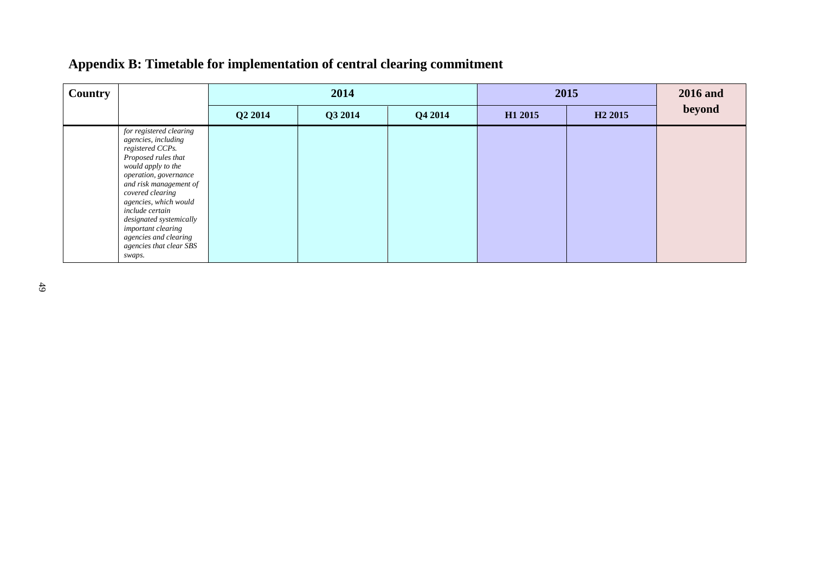| Country |                                                                                                                                                                                                                                                                                                                                                   |         | 2014    |         | 2015    | <b>2016</b> and     |        |
|---------|---------------------------------------------------------------------------------------------------------------------------------------------------------------------------------------------------------------------------------------------------------------------------------------------------------------------------------------------------|---------|---------|---------|---------|---------------------|--------|
|         |                                                                                                                                                                                                                                                                                                                                                   | Q2 2014 | Q3 2014 | Q4 2014 | H1 2015 | H <sub>2</sub> 2015 | beyond |
|         | for registered clearing<br>agencies, including<br>registered CCPs.<br>Proposed rules that<br>would apply to the<br>operation, governance<br>and risk management of<br>covered clearing<br>agencies, which would<br>include certain<br>designated systemically<br>important clearing<br>agencies and clearing<br>agencies that clear SBS<br>swaps. |         |         |         |         |                     |        |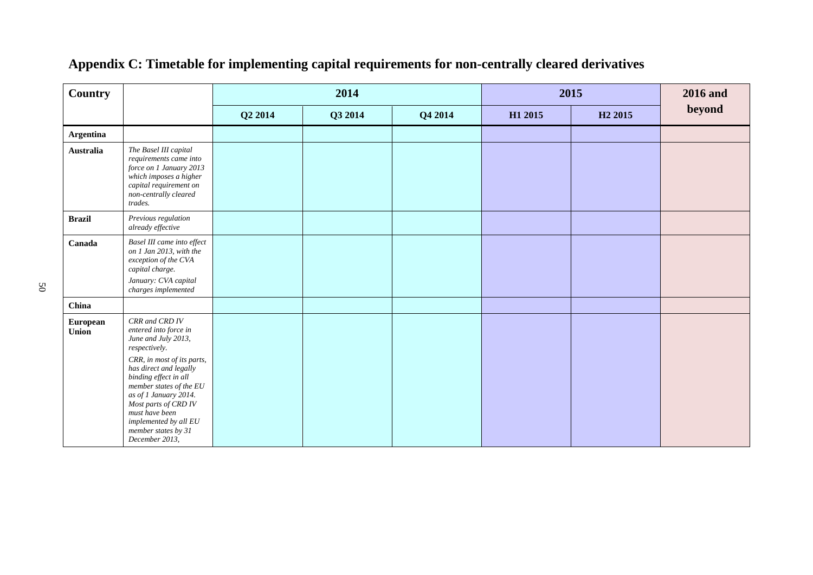| <b>Country</b>    |                                                                                                                                                                                                                                                                                                                                  |         | 2014    |         |         | 2015                | <b>2016</b> and |
|-------------------|----------------------------------------------------------------------------------------------------------------------------------------------------------------------------------------------------------------------------------------------------------------------------------------------------------------------------------|---------|---------|---------|---------|---------------------|-----------------|
|                   |                                                                                                                                                                                                                                                                                                                                  | Q2 2014 | Q3 2014 | Q4 2014 | H1 2015 | H <sub>2</sub> 2015 | beyond          |
| <b>Argentina</b>  |                                                                                                                                                                                                                                                                                                                                  |         |         |         |         |                     |                 |
| <b>Australia</b>  | The Basel III capital<br>requirements came into<br>force on 1 January 2013<br>which imposes a higher<br>capital requirement on<br>non-centrally cleared<br>trades.                                                                                                                                                               |         |         |         |         |                     |                 |
| <b>Brazil</b>     | Previous regulation<br>already effective                                                                                                                                                                                                                                                                                         |         |         |         |         |                     |                 |
| Canada            | Basel III came into effect<br>on 1 Jan 2013, with the<br>exception of the CVA<br>capital charge.<br>January: CVA capital<br>charges implemented                                                                                                                                                                                  |         |         |         |         |                     |                 |
| China             |                                                                                                                                                                                                                                                                                                                                  |         |         |         |         |                     |                 |
| European<br>Union | CRR and CRD IV<br>entered into force in<br>June and July 2013,<br>respectively.<br>CRR, in most of its parts,<br>has direct and legally<br>binding effect in all<br>member states of the EU<br>as of 1 January 2014.<br>Most parts of CRD IV<br>must have been<br>implemented by all EU<br>member states by 31<br>December 2013, |         |         |         |         |                     |                 |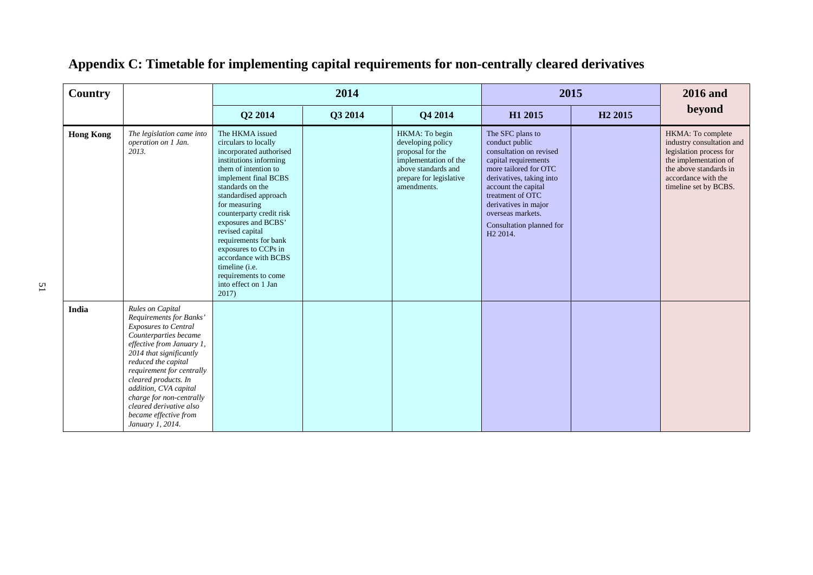| Country          |                                                                                                                                                                                                                                                                                                                                                                      |                                                                                                                                                                                                                                                                                                                                                                                                                                      | 2014    |                                                                                                                                                   |                                                                                                                                                                                                                                                                                        | 2015                | <b>2016</b> and                                                                                                                                                              |
|------------------|----------------------------------------------------------------------------------------------------------------------------------------------------------------------------------------------------------------------------------------------------------------------------------------------------------------------------------------------------------------------|--------------------------------------------------------------------------------------------------------------------------------------------------------------------------------------------------------------------------------------------------------------------------------------------------------------------------------------------------------------------------------------------------------------------------------------|---------|---------------------------------------------------------------------------------------------------------------------------------------------------|----------------------------------------------------------------------------------------------------------------------------------------------------------------------------------------------------------------------------------------------------------------------------------------|---------------------|------------------------------------------------------------------------------------------------------------------------------------------------------------------------------|
|                  |                                                                                                                                                                                                                                                                                                                                                                      | Q2 2014                                                                                                                                                                                                                                                                                                                                                                                                                              | Q3 2014 | Q4 2014                                                                                                                                           | H1 2015                                                                                                                                                                                                                                                                                | H <sub>2</sub> 2015 | beyond                                                                                                                                                                       |
| <b>Hong Kong</b> | The legislation came into<br>operation on 1 Jan.<br>2013.                                                                                                                                                                                                                                                                                                            | The HKMA issued<br>circulars to locally<br>incorporated authorised<br>institutions informing<br>them of intention to<br>implement final BCBS<br>standards on the<br>standardised approach<br>for measuring<br>counterparty credit risk<br>exposures and BCBS'<br>revised capital<br>requirements for bank<br>exposures to CCPs in<br>accordance with BCBS<br>timeline (i.e.<br>requirements to come<br>into effect on 1 Jan<br>2017) |         | HKMA: To begin<br>developing policy<br>proposal for the<br>implementation of the<br>above standards and<br>prepare for legislative<br>amendments. | The SFC plans to<br>conduct public<br>consultation on revised<br>capital requirements<br>more tailored for OTC<br>derivatives, taking into<br>account the capital<br>treatment of OTC<br>derivatives in major<br>overseas markets.<br>Consultation planned for<br>H <sub>2</sub> 2014. |                     | HKMA: To complete<br>industry consultation and<br>legislation process for<br>the implementation of<br>the above standards in<br>accordance with the<br>timeline set by BCBS. |
| India            | Rules on Capital<br>Requirements for Banks'<br><b>Exposures to Central</b><br>Counterparties became<br>effective from January 1,<br>2014 that significantly<br>reduced the capital<br>requirement for centrally<br>cleared products. In<br>addition, CVA capital<br>charge for non-centrally<br>cleared derivative also<br>became effective from<br>January 1, 2014. |                                                                                                                                                                                                                                                                                                                                                                                                                                      |         |                                                                                                                                                   |                                                                                                                                                                                                                                                                                        |                     |                                                                                                                                                                              |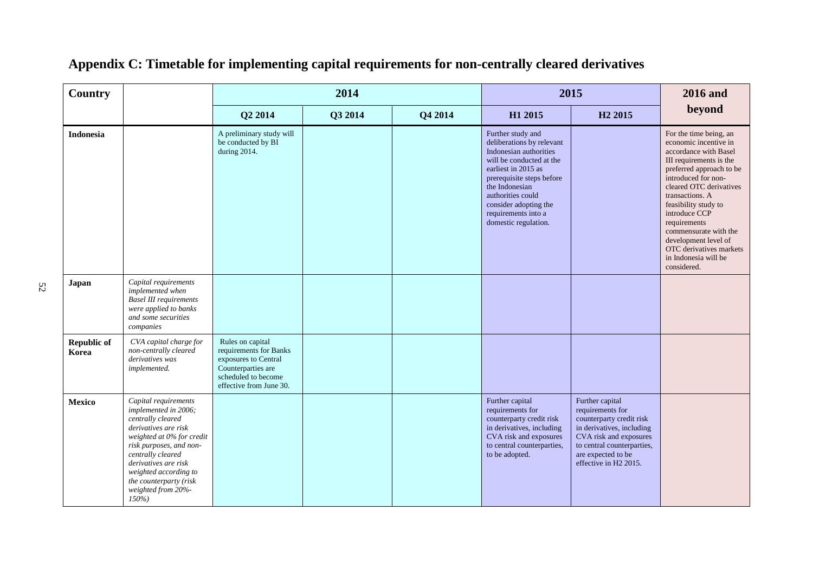| <b>Country</b>              |                                                                                                                                                                                                                                                                                    |                                                                                                                                            | 2014    |         |                                                                                                                                                                                                                                                                         | 2015                                                                                                                                                                                                            | <b>2016</b> and                                                                                                                                                                                                                                                                                                                                                                  |
|-----------------------------|------------------------------------------------------------------------------------------------------------------------------------------------------------------------------------------------------------------------------------------------------------------------------------|--------------------------------------------------------------------------------------------------------------------------------------------|---------|---------|-------------------------------------------------------------------------------------------------------------------------------------------------------------------------------------------------------------------------------------------------------------------------|-----------------------------------------------------------------------------------------------------------------------------------------------------------------------------------------------------------------|----------------------------------------------------------------------------------------------------------------------------------------------------------------------------------------------------------------------------------------------------------------------------------------------------------------------------------------------------------------------------------|
|                             |                                                                                                                                                                                                                                                                                    | Q2 2014                                                                                                                                    | Q3 2014 | Q4 2014 | H1 2015                                                                                                                                                                                                                                                                 | H <sub>2</sub> 2015                                                                                                                                                                                             | beyond                                                                                                                                                                                                                                                                                                                                                                           |
| <b>Indonesia</b>            |                                                                                                                                                                                                                                                                                    | A preliminary study will<br>be conducted by BI<br>during 2014.                                                                             |         |         | Further study and<br>deliberations by relevant<br>Indonesian authorities<br>will be conducted at the<br>earliest in 2015 as<br>prerequisite steps before<br>the Indonesian<br>authorities could<br>consider adopting the<br>requirements into a<br>domestic regulation. |                                                                                                                                                                                                                 | For the time being, an<br>economic incentive in<br>accordance with Basel<br>III requirements is the<br>preferred approach to be<br>introduced for non-<br>cleared OTC derivatives<br>transactions. A<br>feasibility study to<br>introduce CCP<br>requirements<br>commensurate with the<br>development level of<br>OTC derivatives markets<br>in Indonesia will be<br>considered. |
| Japan                       | Capital requirements<br>implemented when<br><b>Basel III requirements</b><br>were applied to banks<br>and some securities<br>companies                                                                                                                                             |                                                                                                                                            |         |         |                                                                                                                                                                                                                                                                         |                                                                                                                                                                                                                 |                                                                                                                                                                                                                                                                                                                                                                                  |
| <b>Republic of</b><br>Korea | CVA capital charge for<br>non-centrally cleared<br>derivatives was<br>implemented.                                                                                                                                                                                                 | Rules on capital<br>requirements for Banks<br>exposures to Central<br>Counterparties are<br>scheduled to become<br>effective from June 30. |         |         |                                                                                                                                                                                                                                                                         |                                                                                                                                                                                                                 |                                                                                                                                                                                                                                                                                                                                                                                  |
| <b>Mexico</b>               | Capital requirements<br>implemented in 2006;<br>centrally cleared<br>derivatives are risk<br>weighted at 0% for credit<br>risk purposes, and non-<br>centrally cleared<br>derivatives are risk<br>weighted according to<br>the counterparty (risk<br>weighted from 20%-<br>$150\%$ |                                                                                                                                            |         |         | Further capital<br>requirements for<br>counterparty credit risk<br>in derivatives, including<br>CVA risk and exposures<br>to central counterparties,<br>to be adopted.                                                                                                  | Further capital<br>requirements for<br>counterparty credit risk<br>in derivatives, including<br>CVA risk and exposures<br>to central counterparties,<br>are expected to be<br>effective in H <sub>2</sub> 2015. |                                                                                                                                                                                                                                                                                                                                                                                  |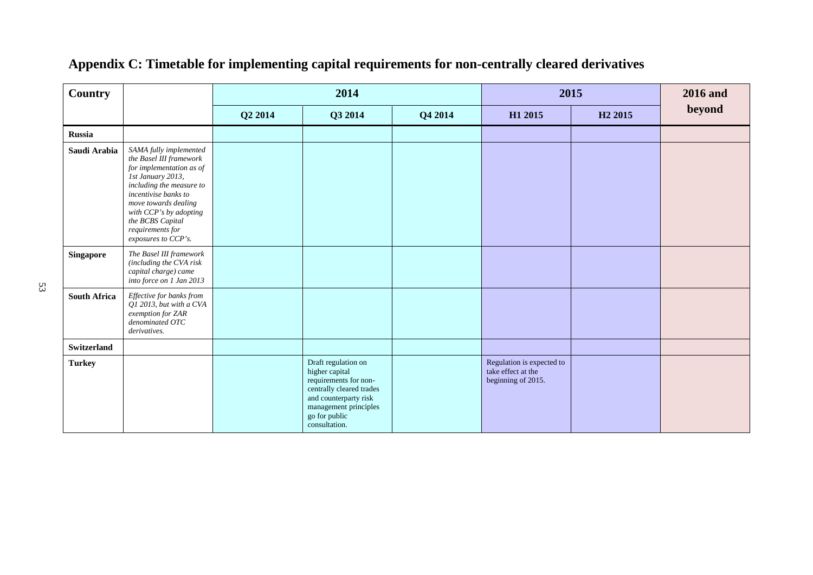| <b>Country</b>      |                                                                                                                                                                                                                                                                         |         | 2014                                                                                                                                                                           |         | 2015                                                                  |                     | <b>2016</b> and |
|---------------------|-------------------------------------------------------------------------------------------------------------------------------------------------------------------------------------------------------------------------------------------------------------------------|---------|--------------------------------------------------------------------------------------------------------------------------------------------------------------------------------|---------|-----------------------------------------------------------------------|---------------------|-----------------|
|                     |                                                                                                                                                                                                                                                                         | Q2 2014 | Q3 2014                                                                                                                                                                        | Q4 2014 | H1 2015                                                               | H <sub>2</sub> 2015 | beyond          |
| <b>Russia</b>       |                                                                                                                                                                                                                                                                         |         |                                                                                                                                                                                |         |                                                                       |                     |                 |
| Saudi Arabia        | SAMA fully implemented<br>the Basel III framework<br>for implementation as of<br>1st January 2013,<br>including the measure to<br>incentivise banks to<br>move towards dealing<br>with CCP's by adopting<br>the BCBS Capital<br>requirements for<br>exposures to CCP's. |         |                                                                                                                                                                                |         |                                                                       |                     |                 |
| <b>Singapore</b>    | The Basel III framework<br>(including the CVA risk<br>capital charge) came<br>into force on 1 Jan 2013                                                                                                                                                                  |         |                                                                                                                                                                                |         |                                                                       |                     |                 |
| <b>South Africa</b> | Effective for banks from<br>Q1 2013, but with a CVA<br>exemption for ZAR<br>denominated OTC<br>derivatives.                                                                                                                                                             |         |                                                                                                                                                                                |         |                                                                       |                     |                 |
| <b>Switzerland</b>  |                                                                                                                                                                                                                                                                         |         |                                                                                                                                                                                |         |                                                                       |                     |                 |
| <b>Turkey</b>       |                                                                                                                                                                                                                                                                         |         | Draft regulation on<br>higher capital<br>requirements for non-<br>centrally cleared trades<br>and counterparty risk<br>management principles<br>go for public<br>consultation. |         | Regulation is expected to<br>take effect at the<br>beginning of 2015. |                     |                 |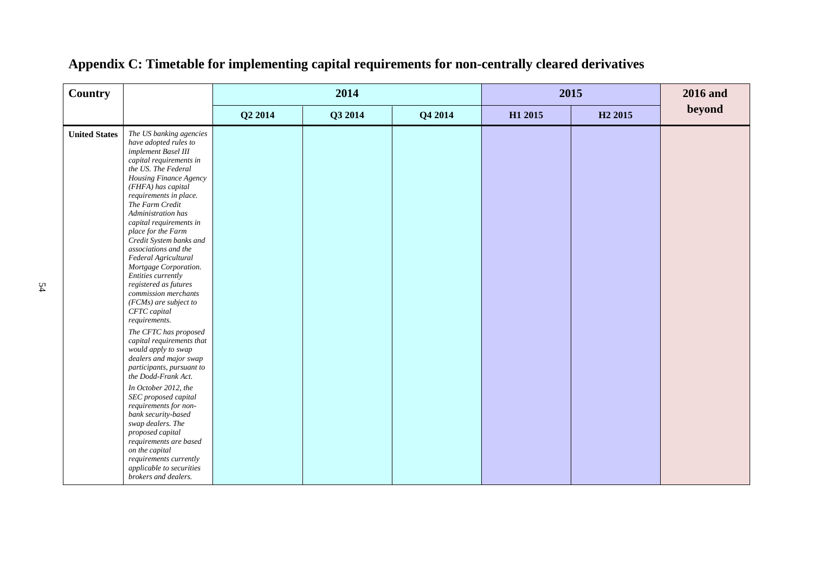| <b>Country</b>       |                                                                                                                                                                                                                                                                                                                                                                                                                                                                                                                                                                                                                                                                                                                                                                                                                                                                                                                                                                    |         | 2014    |         | 2015    |                     | <b>2016</b> and |
|----------------------|--------------------------------------------------------------------------------------------------------------------------------------------------------------------------------------------------------------------------------------------------------------------------------------------------------------------------------------------------------------------------------------------------------------------------------------------------------------------------------------------------------------------------------------------------------------------------------------------------------------------------------------------------------------------------------------------------------------------------------------------------------------------------------------------------------------------------------------------------------------------------------------------------------------------------------------------------------------------|---------|---------|---------|---------|---------------------|-----------------|
|                      |                                                                                                                                                                                                                                                                                                                                                                                                                                                                                                                                                                                                                                                                                                                                                                                                                                                                                                                                                                    | Q2 2014 | Q3 2014 | Q4 2014 | H1 2015 | H <sub>2</sub> 2015 | beyond          |
| <b>United States</b> | The US banking agencies<br>have adopted rules to<br>implement Basel III<br>capital requirements in<br>the US. The Federal<br>Housing Finance Agency<br>(FHFA) has capital<br>requirements in place.<br>The Farm Credit<br>Administration has<br>capital requirements in<br>place for the Farm<br>Credit System banks and<br>associations and the<br>Federal Agricultural<br>Mortgage Corporation.<br>Entities currently<br>registered as futures<br>commission merchants<br>$(FCMs)$ are subject to<br>CFTC capital<br>requirements.<br>The CFTC has proposed<br>capital requirements that<br>would apply to swap<br>dealers and major swap<br>participants, pursuant to<br>the Dodd-Frank Act.<br>In October 2012, the<br>SEC proposed capital<br>requirements for non-<br>bank security-based<br>swap dealers. The<br>proposed capital<br>requirements are based<br>on the capital<br>requirements currently<br>applicable to securities<br>brokers and dealers. |         |         |         |         |                     |                 |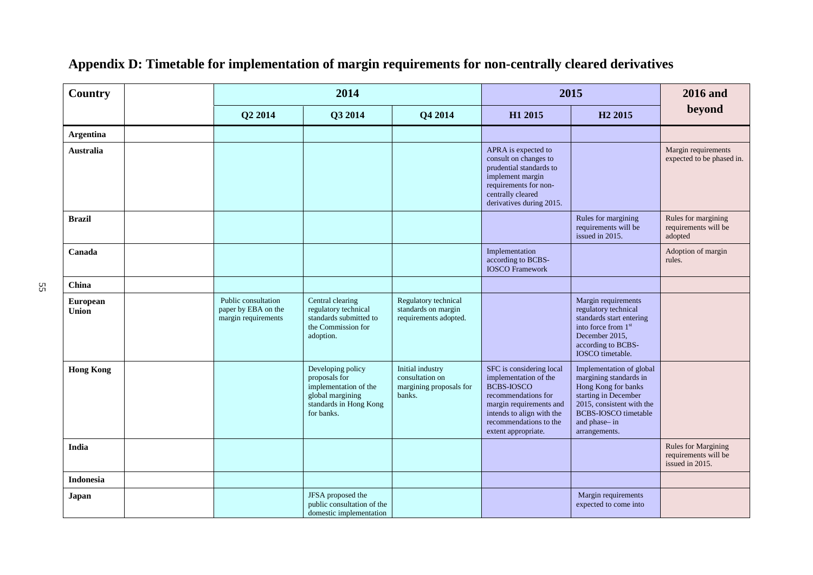| <b>Country</b>    |                                                                   | 2014                                                                                                                    |                                                                          | 2015                                                                                                                                                                                                   |                                                                                                                                                                                                | <b>2016</b> and                                                       |  |
|-------------------|-------------------------------------------------------------------|-------------------------------------------------------------------------------------------------------------------------|--------------------------------------------------------------------------|--------------------------------------------------------------------------------------------------------------------------------------------------------------------------------------------------------|------------------------------------------------------------------------------------------------------------------------------------------------------------------------------------------------|-----------------------------------------------------------------------|--|
|                   | Q2 2014                                                           | Q3 2014                                                                                                                 | Q4 2014                                                                  | H1 2015                                                                                                                                                                                                | H <sub>2</sub> 2015                                                                                                                                                                            | beyond                                                                |  |
| <b>Argentina</b>  |                                                                   |                                                                                                                         |                                                                          |                                                                                                                                                                                                        |                                                                                                                                                                                                |                                                                       |  |
| <b>Australia</b>  |                                                                   |                                                                                                                         |                                                                          | APRA is expected to<br>consult on changes to<br>prudential standards to<br>implement margin<br>requirements for non-<br>centrally cleared<br>derivatives during 2015.                                  |                                                                                                                                                                                                | Margin requirements<br>expected to be phased in.                      |  |
| <b>Brazil</b>     |                                                                   |                                                                                                                         |                                                                          |                                                                                                                                                                                                        | Rules for margining<br>requirements will be<br>issued in 2015.                                                                                                                                 | Rules for margining<br>requirements will be<br>adopted                |  |
| Canada            |                                                                   |                                                                                                                         |                                                                          | Implementation<br>according to BCBS-<br><b>IOSCO</b> Framework                                                                                                                                         |                                                                                                                                                                                                | Adoption of margin<br>rules.                                          |  |
| China             |                                                                   |                                                                                                                         |                                                                          |                                                                                                                                                                                                        |                                                                                                                                                                                                |                                                                       |  |
| European<br>Union | Public consultation<br>paper by EBA on the<br>margin requirements | Central clearing<br>regulatory technical<br>standards submitted to<br>the Commission for<br>adoption.                   | Regulatory technical<br>standards on margin<br>requirements adopted.     |                                                                                                                                                                                                        | Margin requirements<br>regulatory technical<br>standards start entering<br>into force from 1st<br>December 2015,<br>according to BCBS-<br>IOSCO timetable.                                     |                                                                       |  |
| <b>Hong Kong</b>  |                                                                   | Developing policy<br>proposals for<br>implementation of the<br>global margining<br>standards in Hong Kong<br>for banks. | Initial industry<br>consultation on<br>margining proposals for<br>banks. | SFC is considering local<br>implementation of the<br><b>BCBS-IOSCO</b><br>recommendations for<br>margin requirements and<br>intends to align with the<br>recommendations to the<br>extent appropriate. | Implementation of global<br>margining standards in<br>Hong Kong for banks<br>starting in December<br>2015, consistent with the<br><b>BCBS-IOSCO</b> timetable<br>and phase-in<br>arrangements. |                                                                       |  |
| <b>India</b>      |                                                                   |                                                                                                                         |                                                                          |                                                                                                                                                                                                        |                                                                                                                                                                                                | <b>Rules for Margining</b><br>requirements will be<br>issued in 2015. |  |
| <b>Indonesia</b>  |                                                                   |                                                                                                                         |                                                                          |                                                                                                                                                                                                        |                                                                                                                                                                                                |                                                                       |  |
| Japan             |                                                                   | JFSA proposed the<br>public consultation of the<br>domestic implementation                                              |                                                                          |                                                                                                                                                                                                        | Margin requirements<br>expected to come into                                                                                                                                                   |                                                                       |  |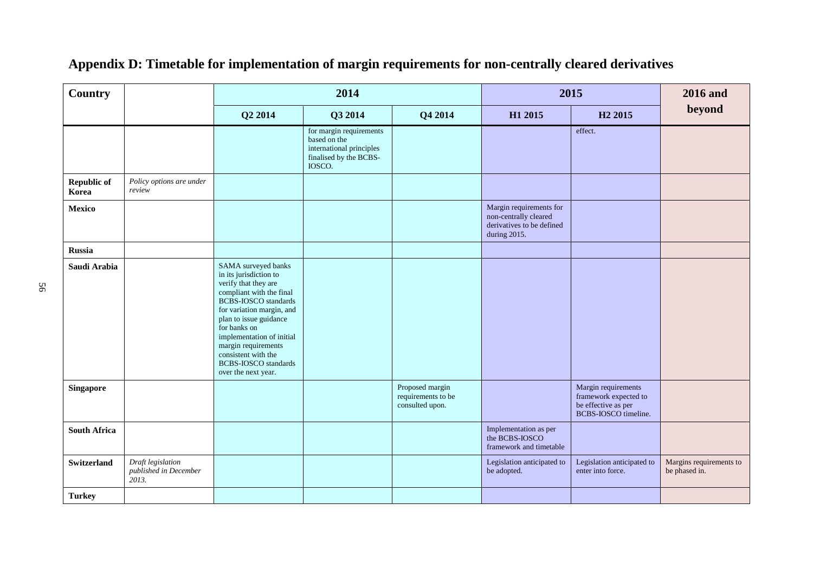| <b>Country</b>              |                                                     |                                                                                                                                                                                                                                                                                                                                          | 2014                                                                                                    |                                                          | 2015                                                                                          | <b>2016</b> and                                                                             |                                          |
|-----------------------------|-----------------------------------------------------|------------------------------------------------------------------------------------------------------------------------------------------------------------------------------------------------------------------------------------------------------------------------------------------------------------------------------------------|---------------------------------------------------------------------------------------------------------|----------------------------------------------------------|-----------------------------------------------------------------------------------------------|---------------------------------------------------------------------------------------------|------------------------------------------|
|                             |                                                     | Q2 2014                                                                                                                                                                                                                                                                                                                                  | Q3 2014                                                                                                 | Q4 2014                                                  | H1 2015                                                                                       | H <sub>2</sub> 2015                                                                         | beyond                                   |
|                             |                                                     |                                                                                                                                                                                                                                                                                                                                          | for margin requirements<br>based on the<br>international principles<br>finalised by the BCBS-<br>IOSCO. |                                                          |                                                                                               | effect.                                                                                     |                                          |
| <b>Republic of</b><br>Korea | Policy options are under<br>review                  |                                                                                                                                                                                                                                                                                                                                          |                                                                                                         |                                                          |                                                                                               |                                                                                             |                                          |
| Mexico                      |                                                     |                                                                                                                                                                                                                                                                                                                                          |                                                                                                         |                                                          | Margin requirements for<br>non-centrally cleared<br>derivatives to be defined<br>during 2015. |                                                                                             |                                          |
| Russia                      |                                                     |                                                                                                                                                                                                                                                                                                                                          |                                                                                                         |                                                          |                                                                                               |                                                                                             |                                          |
| Saudi Arabia                |                                                     | SAMA surveyed banks<br>in its jurisdiction to<br>verify that they are<br>compliant with the final<br><b>BCBS-IOSCO</b> standards<br>for variation margin, and<br>plan to issue guidance<br>for banks on<br>implementation of initial<br>margin requirements<br>consistent with the<br><b>BCBS-IOSCO</b> standards<br>over the next year. |                                                                                                         |                                                          |                                                                                               |                                                                                             |                                          |
| <b>Singapore</b>            |                                                     |                                                                                                                                                                                                                                                                                                                                          |                                                                                                         | Proposed margin<br>requirements to be<br>consulted upon. |                                                                                               | Margin requirements<br>framework expected to<br>be effective as per<br>BCBS-IOSCO timeline. |                                          |
| <b>South Africa</b>         |                                                     |                                                                                                                                                                                                                                                                                                                                          |                                                                                                         |                                                          | Implementation as per<br>the BCBS-IOSCO<br>framework and timetable                            |                                                                                             |                                          |
| <b>Switzerland</b>          | Draft legislation<br>published in December<br>2013. |                                                                                                                                                                                                                                                                                                                                          |                                                                                                         |                                                          | Legislation anticipated to<br>be adopted.                                                     | Legislation anticipated to<br>enter into force.                                             | Margins requirements to<br>be phased in. |
| <b>Turkey</b>               |                                                     |                                                                                                                                                                                                                                                                                                                                          |                                                                                                         |                                                          |                                                                                               |                                                                                             |                                          |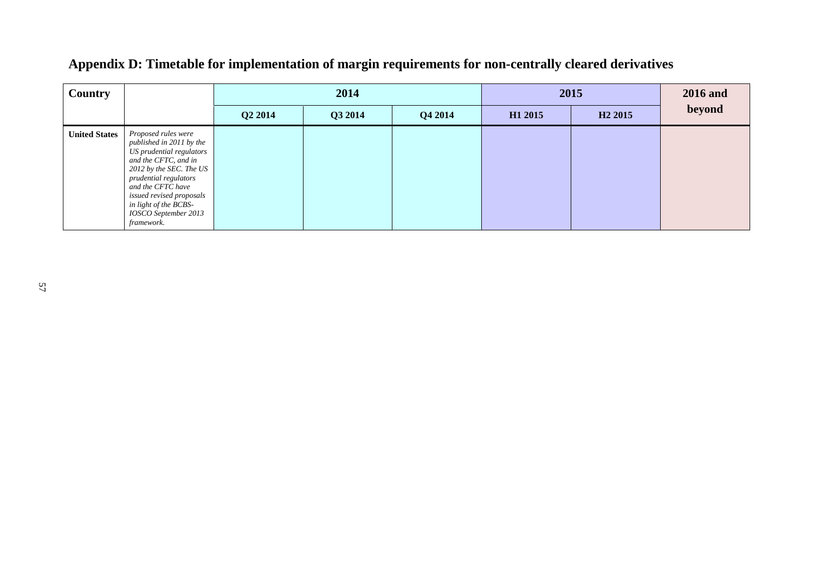| <b>Country</b>       |                                                                                                                                                                                                                                                                         |         | 2014    |         |         | 2015                |        |  |
|----------------------|-------------------------------------------------------------------------------------------------------------------------------------------------------------------------------------------------------------------------------------------------------------------------|---------|---------|---------|---------|---------------------|--------|--|
|                      |                                                                                                                                                                                                                                                                         | Q2 2014 | Q3 2014 | Q4 2014 | H1 2015 | H <sub>2</sub> 2015 | beyond |  |
| <b>United States</b> | Proposed rules were<br>published in 2011 by the<br>US prudential regulators<br>and the CFTC, and in<br>2012 by the SEC. The US<br>prudential regulators<br>and the CFTC have<br>issued revised proposals<br>in light of the BCBS-<br>IOSCO September 2013<br>framework. |         |         |         |         |                     |        |  |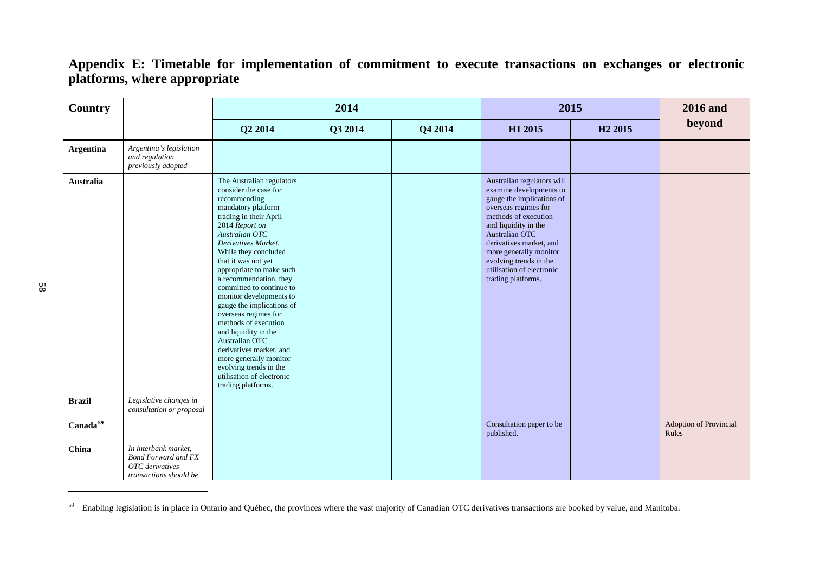<span id="page-60-0"></span>

| <b>Country</b>       |                                                                                                 |                                                                                                                                                                                                                                                                                                                                                                                                                                                                                                                                                                                                    | 2014    |         | 2015                                                                                                                                                                                                                                                                                                           |                     | <b>2016</b> and                 |
|----------------------|-------------------------------------------------------------------------------------------------|----------------------------------------------------------------------------------------------------------------------------------------------------------------------------------------------------------------------------------------------------------------------------------------------------------------------------------------------------------------------------------------------------------------------------------------------------------------------------------------------------------------------------------------------------------------------------------------------------|---------|---------|----------------------------------------------------------------------------------------------------------------------------------------------------------------------------------------------------------------------------------------------------------------------------------------------------------------|---------------------|---------------------------------|
|                      |                                                                                                 | Q2 2014                                                                                                                                                                                                                                                                                                                                                                                                                                                                                                                                                                                            | Q3 2014 | Q4 2014 | H1 2015                                                                                                                                                                                                                                                                                                        | H <sub>2</sub> 2015 | beyond                          |
| <b>Argentina</b>     | Argentina's legislation<br>and regulation<br>previously adopted                                 |                                                                                                                                                                                                                                                                                                                                                                                                                                                                                                                                                                                                    |         |         |                                                                                                                                                                                                                                                                                                                |                     |                                 |
| Australia            |                                                                                                 | The Australian regulators<br>consider the case for<br>recommending<br>mandatory platform<br>trading in their April<br>2014 Report on<br>Australian OTC<br>Derivatives Market.<br>While they concluded<br>that it was not yet<br>appropriate to make such<br>a recommendation, they<br>committed to continue to<br>monitor developments to<br>gauge the implications of<br>overseas regimes for<br>methods of execution<br>and liquidity in the<br>Australian OTC<br>derivatives market, and<br>more generally monitor<br>evolving trends in the<br>utilisation of electronic<br>trading platforms. |         |         | Australian regulators will<br>examine developments to<br>gauge the implications of<br>overseas regimes for<br>methods of execution<br>and liquidity in the<br>Australian OTC<br>derivatives market, and<br>more generally monitor<br>evolving trends in the<br>utilisation of electronic<br>trading platforms. |                     |                                 |
| <b>Brazil</b>        | Legislative changes in<br>consultation or proposal                                              |                                                                                                                                                                                                                                                                                                                                                                                                                                                                                                                                                                                                    |         |         |                                                                                                                                                                                                                                                                                                                |                     |                                 |
| Canada <sup>59</sup> |                                                                                                 |                                                                                                                                                                                                                                                                                                                                                                                                                                                                                                                                                                                                    |         |         | Consultation paper to be<br>published.                                                                                                                                                                                                                                                                         |                     | Adoption of Provincial<br>Rules |
| China                | In interbank market,<br><b>Bond Forward and FX</b><br>OTC derivatives<br>transactions should be |                                                                                                                                                                                                                                                                                                                                                                                                                                                                                                                                                                                                    |         |         |                                                                                                                                                                                                                                                                                                                |                     |                                 |

 $59$  Enabling legislation is in place in Ontario and Québec, the provinces where the vast majority of Canadian OTC derivatives transactions are booked by value, and Manitoba.

<u>.</u>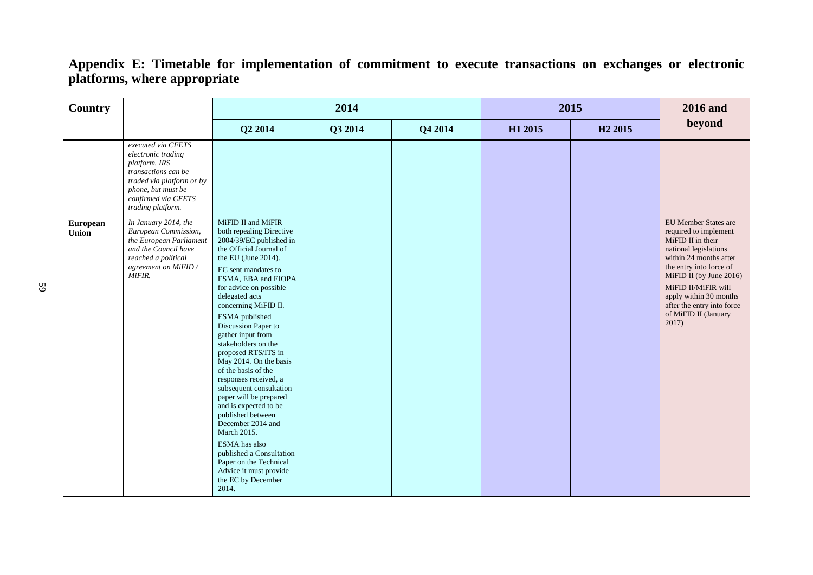| Country                  |                                                                                                                                                                                 |                                                                                                                                                                                                                                                                                                                                                                                                                                                                                                                                                                                                                                                                                                            | 2014    |         | 2015    |                     | <b>2016</b> and                                                                                                                                                                                                                                                                             |
|--------------------------|---------------------------------------------------------------------------------------------------------------------------------------------------------------------------------|------------------------------------------------------------------------------------------------------------------------------------------------------------------------------------------------------------------------------------------------------------------------------------------------------------------------------------------------------------------------------------------------------------------------------------------------------------------------------------------------------------------------------------------------------------------------------------------------------------------------------------------------------------------------------------------------------------|---------|---------|---------|---------------------|---------------------------------------------------------------------------------------------------------------------------------------------------------------------------------------------------------------------------------------------------------------------------------------------|
|                          |                                                                                                                                                                                 | Q2 2014                                                                                                                                                                                                                                                                                                                                                                                                                                                                                                                                                                                                                                                                                                    | Q3 2014 | Q4 2014 | H1 2015 | H <sub>2</sub> 2015 | beyond                                                                                                                                                                                                                                                                                      |
|                          | executed via CFETS<br>electronic trading<br>platform. IRS<br>transactions can be<br>traded via platform or by<br>phone, but must be<br>confirmed via CFETS<br>trading platform. |                                                                                                                                                                                                                                                                                                                                                                                                                                                                                                                                                                                                                                                                                                            |         |         |         |                     |                                                                                                                                                                                                                                                                                             |
| European<br><b>Union</b> | In January 2014, the<br>European Commission,<br>the European Parliament<br>and the Council have<br>reached a political<br>agreement on MiFID /<br>MiFIR.                        | MiFID II and MiFIR<br>both repealing Directive<br>2004/39/EC published in<br>the Official Journal of<br>the EU (June 2014).<br>EC sent mandates to<br>ESMA, EBA and EIOPA<br>for advice on possible<br>delegated acts<br>concerning MiFID II.<br>ESMA published<br>Discussion Paper to<br>gather input from<br>stakeholders on the<br>proposed RTS/ITS in<br>May 2014. On the basis<br>of the basis of the<br>responses received, a<br>subsequent consultation<br>paper will be prepared<br>and is expected to be<br>published between<br>December 2014 and<br>March 2015.<br>ESMA has also<br>published a Consultation<br>Paper on the Technical<br>Advice it must provide<br>the EC by December<br>2014. |         |         |         |                     | EU Member States are<br>required to implement<br>MiFID II in their<br>national legislations<br>within 24 months after<br>the entry into force of<br>MiFID II (by June 2016)<br>MiFID II/MiFIR will<br>apply within 30 months<br>after the entry into force<br>of MiFID II (January<br>2017) |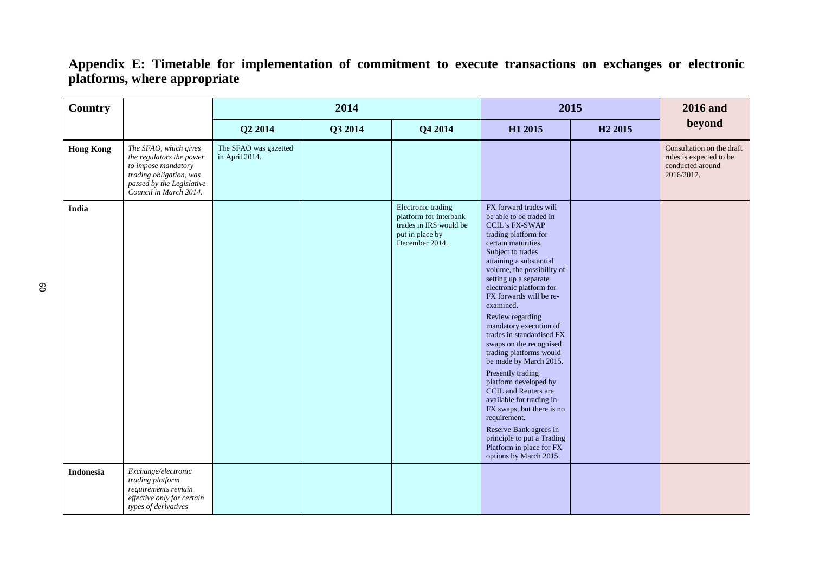| <b>Country</b>   |                                                                                                                                                            |                                         | 2014    |                                                                                                             | 2015                                                                                                                                                                                                                                                                                                                                                                                                                                                                                                                                                                                                                                                                                                                        | <b>2016</b> and     |                                                                                        |
|------------------|------------------------------------------------------------------------------------------------------------------------------------------------------------|-----------------------------------------|---------|-------------------------------------------------------------------------------------------------------------|-----------------------------------------------------------------------------------------------------------------------------------------------------------------------------------------------------------------------------------------------------------------------------------------------------------------------------------------------------------------------------------------------------------------------------------------------------------------------------------------------------------------------------------------------------------------------------------------------------------------------------------------------------------------------------------------------------------------------------|---------------------|----------------------------------------------------------------------------------------|
|                  |                                                                                                                                                            | Q2 2014                                 | Q3 2014 | Q4 2014                                                                                                     | H1 2015                                                                                                                                                                                                                                                                                                                                                                                                                                                                                                                                                                                                                                                                                                                     | H <sub>2</sub> 2015 | beyond                                                                                 |
| <b>Hong Kong</b> | The SFAO, which gives<br>the regulators the power<br>to impose mandatory<br>trading obligation, was<br>passed by the Legislative<br>Council in March 2014. | The SFAO was gazetted<br>in April 2014. |         |                                                                                                             |                                                                                                                                                                                                                                                                                                                                                                                                                                                                                                                                                                                                                                                                                                                             |                     | Consultation on the draft<br>rules is expected to be<br>conducted around<br>2016/2017. |
| India            |                                                                                                                                                            |                                         |         | Electronic trading<br>platform for interbank<br>trades in IRS would be<br>put in place by<br>December 2014. | FX forward trades will<br>be able to be traded in<br><b>CCIL's FX-SWAP</b><br>trading platform for<br>certain maturities.<br>Subject to trades<br>attaining a substantial<br>volume, the possibility of<br>setting up a separate<br>electronic platform for<br>FX forwards will be re-<br>examined.<br>Review regarding<br>mandatory execution of<br>trades in standardised FX<br>swaps on the recognised<br>trading platforms would<br>be made by March 2015.<br>Presently trading<br>platform developed by<br>CCIL and Reuters are<br>available for trading in<br>FX swaps, but there is no<br>requirement.<br>Reserve Bank agrees in<br>principle to put a Trading<br>Platform in place for FX<br>options by March 2015. |                     |                                                                                        |
| <b>Indonesia</b> | Exchange/electronic<br>trading platform<br>requirements remain<br>effective only for certain<br>types of derivatives                                       |                                         |         |                                                                                                             |                                                                                                                                                                                                                                                                                                                                                                                                                                                                                                                                                                                                                                                                                                                             |                     |                                                                                        |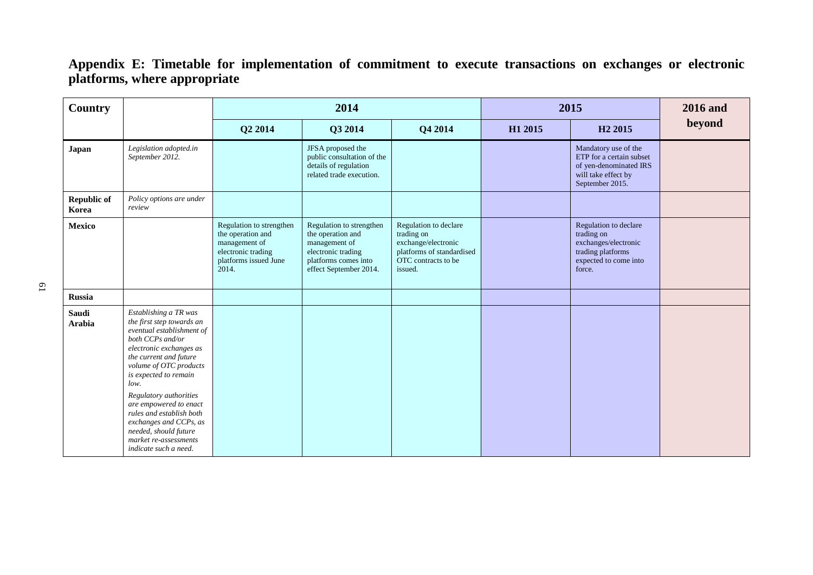| Country                     |                                                                                                                                                                                                                                                                                                                                                                                                          | 2014                                                                                                                   |                                                                                                                                        |                                                                                                                           | 2015    |                                                                                                                      | <b>2016</b> and |
|-----------------------------|----------------------------------------------------------------------------------------------------------------------------------------------------------------------------------------------------------------------------------------------------------------------------------------------------------------------------------------------------------------------------------------------------------|------------------------------------------------------------------------------------------------------------------------|----------------------------------------------------------------------------------------------------------------------------------------|---------------------------------------------------------------------------------------------------------------------------|---------|----------------------------------------------------------------------------------------------------------------------|-----------------|
|                             |                                                                                                                                                                                                                                                                                                                                                                                                          | Q2 2014                                                                                                                | Q3 2014                                                                                                                                | Q4 2014                                                                                                                   | H1 2015 | H <sub>2</sub> 2015                                                                                                  | beyond          |
| Japan                       | Legislation adopted.in<br>September 2012.                                                                                                                                                                                                                                                                                                                                                                |                                                                                                                        | JFSA proposed the<br>public consultation of the<br>details of regulation<br>related trade execution.                                   |                                                                                                                           |         | Mandatory use of the<br>ETP for a certain subset<br>of yen-denominated IRS<br>will take effect by<br>September 2015. |                 |
| <b>Republic of</b><br>Korea | Policy options are under<br>review                                                                                                                                                                                                                                                                                                                                                                       |                                                                                                                        |                                                                                                                                        |                                                                                                                           |         |                                                                                                                      |                 |
| Mexico                      |                                                                                                                                                                                                                                                                                                                                                                                                          | Regulation to strengthen<br>the operation and<br>management of<br>electronic trading<br>platforms issued June<br>2014. | Regulation to strengthen<br>the operation and<br>management of<br>electronic trading<br>platforms comes into<br>effect September 2014. | Regulation to declare<br>trading on<br>exchange/electronic<br>platforms of standardised<br>OTC contracts to be<br>issued. |         | Regulation to declare<br>trading on<br>exchanges/electronic<br>trading platforms<br>expected to come into<br>force.  |                 |
| <b>Russia</b>               |                                                                                                                                                                                                                                                                                                                                                                                                          |                                                                                                                        |                                                                                                                                        |                                                                                                                           |         |                                                                                                                      |                 |
| Saudi<br><b>Arabia</b>      | Establishing a TR was<br>the first step towards an<br>eventual establishment of<br>both CCPs and/or<br>electronic exchanges as<br>the current and future<br>volume of OTC products<br>is expected to remain<br>low.<br>Regulatory authorities<br>are empowered to enact<br>rules and establish both<br>exchanges and CCPs, as<br>needed, should future<br>market re-assessments<br>indicate such a need. |                                                                                                                        |                                                                                                                                        |                                                                                                                           |         |                                                                                                                      |                 |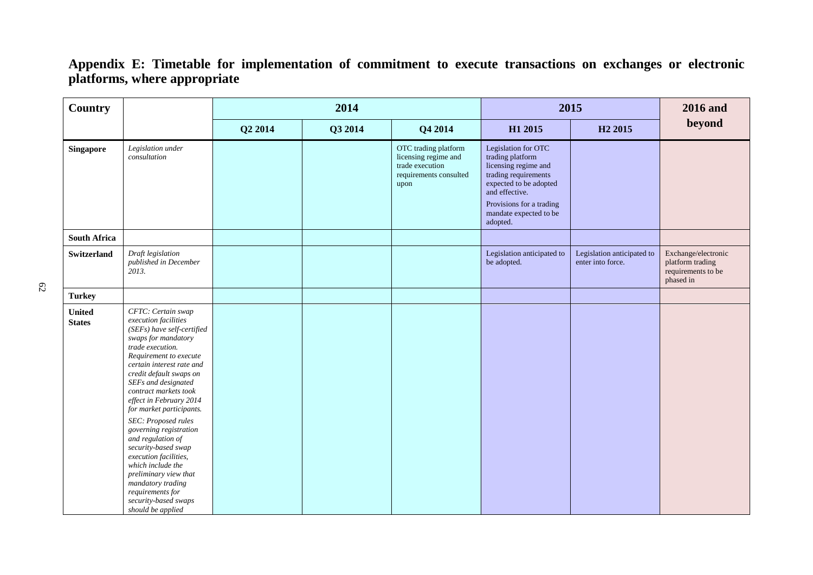| <b>Country</b>                 |                                                                                                                                                                                                                                                                                                                                                                                                                                                                                                                                                                        |         | 2014    |                                                                                                   | 2015                                                                                                                                                                                                  | <b>2016</b> and                                 |                                                                            |
|--------------------------------|------------------------------------------------------------------------------------------------------------------------------------------------------------------------------------------------------------------------------------------------------------------------------------------------------------------------------------------------------------------------------------------------------------------------------------------------------------------------------------------------------------------------------------------------------------------------|---------|---------|---------------------------------------------------------------------------------------------------|-------------------------------------------------------------------------------------------------------------------------------------------------------------------------------------------------------|-------------------------------------------------|----------------------------------------------------------------------------|
|                                |                                                                                                                                                                                                                                                                                                                                                                                                                                                                                                                                                                        | Q2 2014 | Q3 2014 | Q4 2014                                                                                           | H1 2015                                                                                                                                                                                               | H <sub>2</sub> 2015                             | beyond                                                                     |
| <b>Singapore</b>               | Legislation under<br>consultation                                                                                                                                                                                                                                                                                                                                                                                                                                                                                                                                      |         |         | OTC trading platform<br>licensing regime and<br>trade execution<br>requirements consulted<br>upon | Legislation for OTC<br>trading platform<br>licensing regime and<br>trading requirements<br>expected to be adopted<br>and effective.<br>Provisions for a trading<br>mandate expected to be<br>adopted. |                                                 |                                                                            |
| <b>South Africa</b>            |                                                                                                                                                                                                                                                                                                                                                                                                                                                                                                                                                                        |         |         |                                                                                                   |                                                                                                                                                                                                       |                                                 |                                                                            |
| <b>Switzerland</b>             | Draft legislation<br>published in December<br>2013.                                                                                                                                                                                                                                                                                                                                                                                                                                                                                                                    |         |         |                                                                                                   | Legislation anticipated to<br>be adopted.                                                                                                                                                             | Legislation anticipated to<br>enter into force. | Exchange/electronic<br>platform trading<br>requirements to be<br>phased in |
| <b>Turkey</b>                  |                                                                                                                                                                                                                                                                                                                                                                                                                                                                                                                                                                        |         |         |                                                                                                   |                                                                                                                                                                                                       |                                                 |                                                                            |
| <b>United</b><br><b>States</b> | CFTC: Certain swap<br>execution facilities<br>(SEFs) have self-certified<br>swaps for mandatory<br>trade execution.<br>Requirement to execute<br>certain interest rate and<br>credit default swaps on<br>SEFs and designated<br>contract markets took<br>effect in February 2014<br>for market participants.<br>SEC: Proposed rules<br>governing registration<br>and regulation of<br>security-based swap<br>execution facilities,<br>which include the<br>preliminary view that<br>mandatory trading<br>requirements for<br>security-based swaps<br>should be applied |         |         |                                                                                                   |                                                                                                                                                                                                       |                                                 |                                                                            |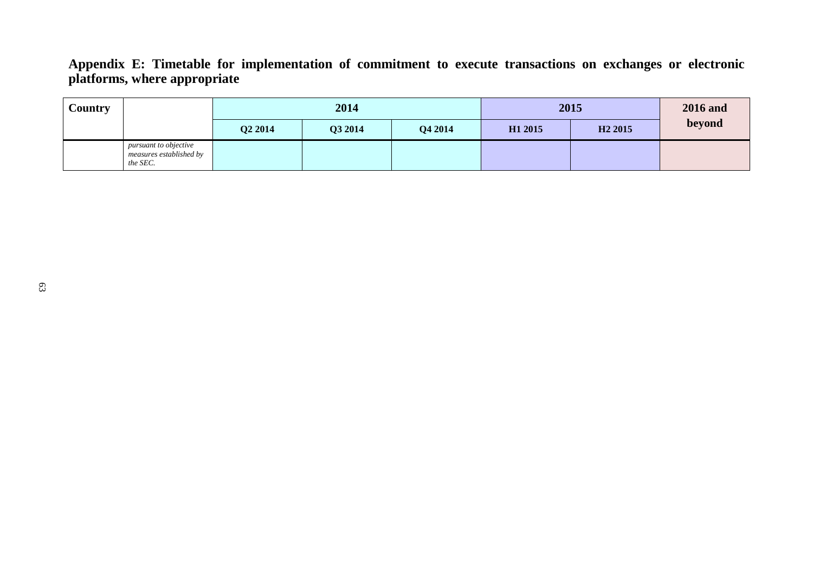| <b>Country</b> |                                                              | 2014                |         |         | 2015                | <b>2016</b> and     |        |
|----------------|--------------------------------------------------------------|---------------------|---------|---------|---------------------|---------------------|--------|
|                |                                                              | Q <sub>2</sub> 2014 | Q3 2014 | Q4 2014 | H <sub>1</sub> 2015 | H <sub>2</sub> 2015 | beyond |
|                | pursuant to objective<br>measures established by<br>the SEC. |                     |         |         |                     |                     |        |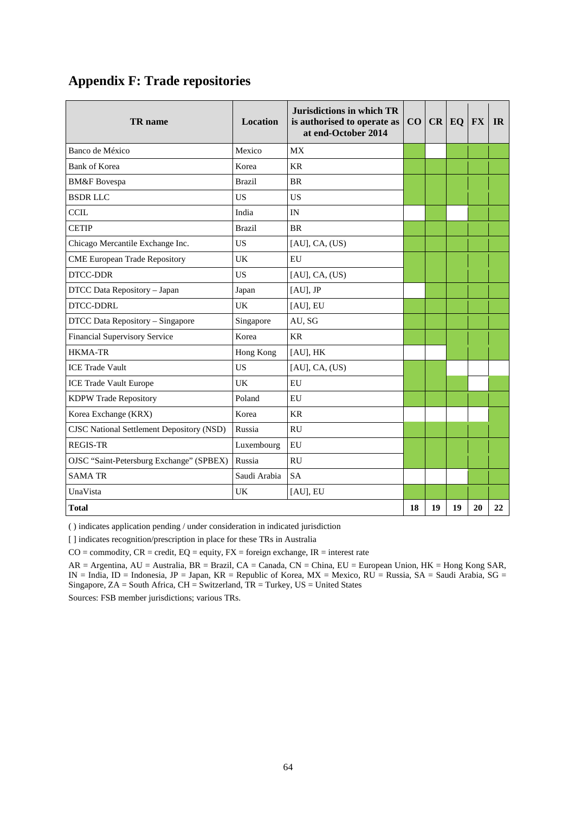## **Appendix F: Trade repositories**

| <b>TR</b> name                                   | Location      | Jurisdictions in which TR<br>is authorised to operate as<br>at end-October 2014 |    |    | $CO$ $CR$ $EQ$ $FX$ |    | <b>IR</b> |
|--------------------------------------------------|---------------|---------------------------------------------------------------------------------|----|----|---------------------|----|-----------|
| Banco de México                                  | Mexico        | <b>MX</b>                                                                       |    |    |                     |    |           |
| <b>Bank of Korea</b>                             | Korea         | <b>KR</b>                                                                       |    |    |                     |    |           |
| <b>BM&amp;F</b> Bovespa                          | <b>Brazil</b> | <b>BR</b>                                                                       |    |    |                     |    |           |
| <b>BSDRLLC</b>                                   | US            | <b>US</b>                                                                       |    |    |                     |    |           |
| <b>CCIL</b>                                      | India         | IN                                                                              |    |    |                     |    |           |
| <b>CETIP</b>                                     | <b>Brazil</b> | <b>BR</b>                                                                       |    |    |                     |    |           |
| Chicago Mercantile Exchange Inc.                 | <b>US</b>     | $[AU]$ , CA, $(US)$                                                             |    |    |                     |    |           |
| <b>CME European Trade Repository</b>             | UK            | EU                                                                              |    |    |                     |    |           |
| DTCC-DDR                                         | <b>US</b>     | [AU], CA, (US)                                                                  |    |    |                     |    |           |
| DTCC Data Repository - Japan                     | Japan         | [AU], JP                                                                        |    |    |                     |    |           |
| DTCC-DDRL                                        | UK            | [AU], EU                                                                        |    |    |                     |    |           |
| DTCC Data Repository - Singapore                 | Singapore     | AU, SG                                                                          |    |    |                     |    |           |
| Financial Supervisory Service                    | Korea         | <b>KR</b>                                                                       |    |    |                     |    |           |
| <b>HKMA-TR</b>                                   | Hong Kong     | [AU], HK                                                                        |    |    |                     |    |           |
| <b>ICE Trade Vault</b>                           | <b>US</b>     | [AU], CA, (US)                                                                  |    |    |                     |    |           |
| <b>ICE Trade Vault Europe</b>                    | UK            | EU                                                                              |    |    |                     |    |           |
| KDPW Trade Repository                            | Poland        | EU                                                                              |    |    |                     |    |           |
| Korea Exchange (KRX)                             | Korea         | <b>KR</b>                                                                       |    |    |                     |    |           |
| <b>CISC National Settlement Depository (NSD)</b> | Russia        | <b>RU</b>                                                                       |    |    |                     |    |           |
| <b>REGIS-TR</b>                                  | Luxembourg    | EU                                                                              |    |    |                     |    |           |
| OJSC "Saint-Petersburg Exchange" (SPBEX)         | Russia        | <b>RU</b>                                                                       |    |    |                     |    |           |
| <b>SAMA TR</b>                                   | Saudi Arabia  | <b>SA</b>                                                                       |    |    |                     |    |           |
| UnaVista                                         | <b>UK</b>     | [AU], EU                                                                        |    |    |                     |    |           |
| <b>Total</b>                                     |               |                                                                                 | 18 | 19 | 19                  | 20 | 22        |

( ) indicates application pending / under consideration in indicated jurisdiction

[ ] indicates recognition/prescription in place for these TRs in Australia

 $CO =$  commodity,  $CR =$  credit,  $EQ =$  equity,  $FX =$  foreign exchange,  $IR =$  interest rate

AR = Argentina, AU = Australia, BR = Brazil, CA = Canada, CN = China, EU = European Union, HK = Hong Kong SAR, IN = India, ID = Indonesia, JP = Japan, KR = Republic of Korea, MX = Mexico, RU = Russia, SA = Saudi Arabia, SG = Singapore, ZA = South Africa, CH = Switzerland, TR = Turkey, US = United States

Sources: FSB member jurisdictions; various TRs.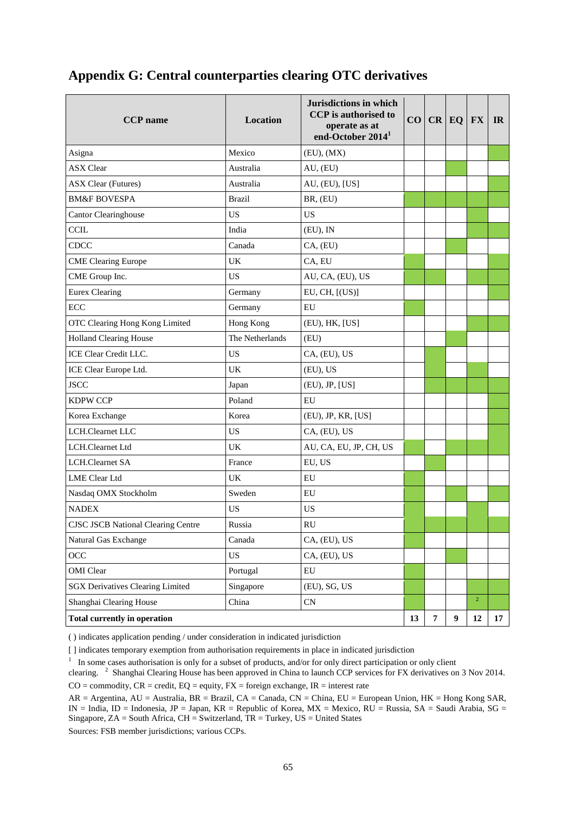## **Appendix G: Central counterparties clearing OTC derivatives**

| <b>CCP</b> name                           | <b>Location</b> | Jurisdictions in which<br><b>CCP</b> is authorised to<br>operate as at<br>end-October 2014 <sup>1</sup> |    |                | $CO$ $CR$ $EQ$ $FX$ |                | IR |
|-------------------------------------------|-----------------|---------------------------------------------------------------------------------------------------------|----|----------------|---------------------|----------------|----|
| Asigna                                    | Mexico          | (EU), (MX)                                                                                              |    |                |                     |                |    |
| <b>ASX Clear</b>                          | Australia       | AU, (EU)                                                                                                |    |                |                     |                |    |
| <b>ASX Clear (Futures)</b>                | Australia       | AU, (EU), [US]                                                                                          |    |                |                     |                |    |
| <b>BM&amp;F BOVESPA</b>                   | <b>Brazil</b>   | BR, (EU)                                                                                                |    |                |                     |                |    |
| Cantor Clearinghouse                      | <b>US</b>       | <b>US</b>                                                                                               |    |                |                     |                |    |
| <b>CCIL</b>                               | India           | (EU), IN                                                                                                |    |                |                     |                |    |
| <b>CDCC</b>                               | Canada          | CA, (EU)                                                                                                |    |                |                     |                |    |
| <b>CME Clearing Europe</b>                | UK              | CA, EU                                                                                                  |    |                |                     |                |    |
| CME Group Inc.                            | <b>US</b>       | AU, CA, (EU), US                                                                                        |    |                |                     |                |    |
| <b>Eurex Clearing</b>                     | Germany         | EU, CH, [(US)]                                                                                          |    |                |                     |                |    |
| ECC                                       | Germany         | EU                                                                                                      |    |                |                     |                |    |
| OTC Clearing Hong Kong Limited            | Hong Kong       | (EU), HK, [US]                                                                                          |    |                |                     |                |    |
| <b>Holland Clearing House</b>             | The Netherlands | (EU)                                                                                                    |    |                |                     |                |    |
| ICE Clear Credit LLC.                     | US              | CA, (EU), US                                                                                            |    |                |                     |                |    |
| ICE Clear Europe Ltd.                     | UK              | (EU), US                                                                                                |    |                |                     |                |    |
| <b>JSCC</b>                               | Japan           | (EU), JP, [US]                                                                                          |    |                |                     |                |    |
| <b>KDPW CCP</b>                           | Poland          | EU                                                                                                      |    |                |                     |                |    |
| Korea Exchange                            | Korea           | (EU), JP, KR, [US]                                                                                      |    |                |                     |                |    |
| LCH.Clearnet LLC                          | <b>US</b>       | CA, (EU), US                                                                                            |    |                |                     |                |    |
| LCH.Clearnet Ltd                          | UK              | AU, CA, EU, JP, CH, US                                                                                  |    |                |                     |                |    |
| LCH.Clearnet SA                           | France          | EU, US                                                                                                  |    |                |                     |                |    |
| <b>LME</b> Clear Ltd                      | UK              | ${\rm EU}$                                                                                              |    |                |                     |                |    |
| Nasdaq OMX Stockholm                      | Sweden          | ${\rm EU}$                                                                                              |    |                |                     |                |    |
| <b>NADEX</b>                              | <b>US</b>       | <b>US</b>                                                                                               |    |                |                     |                |    |
| <b>CJSC JSCB National Clearing Centre</b> | Russia          | RU                                                                                                      |    |                |                     |                |    |
| Natural Gas Exchange                      | Canada          | CA, (EU), US                                                                                            |    |                |                     |                |    |
| OCC                                       | <b>US</b>       | CA, (EU), US                                                                                            |    |                |                     |                |    |
| OMI Clear                                 | Portugal        | EU                                                                                                      |    |                |                     |                |    |
| <b>SGX Derivatives Clearing Limited</b>   | Singapore       | (EU), SG, US                                                                                            |    |                |                     |                |    |
| Shanghai Clearing House                   | China           | CN                                                                                                      |    |                |                     | $\overline{2}$ |    |
| <b>Total currently in operation</b>       |                 |                                                                                                         | 13 | $\overline{7}$ | $\boldsymbol{9}$    | 12             | 17 |

( ) indicates application pending / under consideration in indicated jurisdiction

[ ] indicates temporary exemption from authorisation requirements in place in indicated jurisdiction

<sup>1</sup> In some cases authorisation is only for a subset of products, and/or for only direct participation or only client

clearing. <sup>2</sup> Shanghai Clearing House has been approved in China to launch CCP services for FX derivatives on 3 Nov 2014.

 $CO =$  commodity,  $CR =$  credit,  $EQ =$  equity,  $FX =$  foreign exchange,  $IR =$  interest rate

AR = Argentina, AU = Australia, BR = Brazil, CA = Canada, CN = China, EU = European Union, HK = Hong Kong SAR, IN = India, ID = Indonesia, JP = Japan, KR = Republic of Korea, MX = Mexico, RU = Russia, SA = Saudi Arabia, SG = Singapore,  $ZA =$  South Africa,  $CH =$  Switzerland,  $TR =$  Turkey,  $US =$  United States

Sources: FSB member jurisdictions; various CCPs.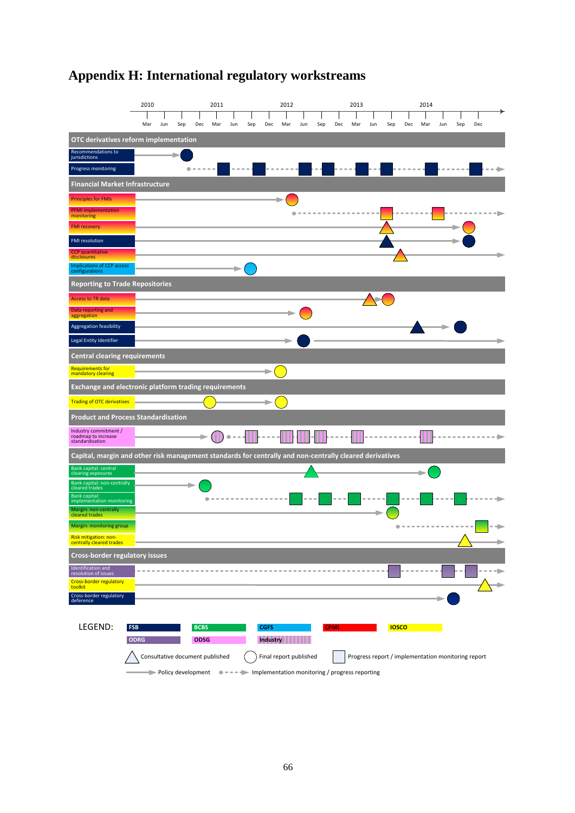## **Appendix H: International regulatory workstreams**

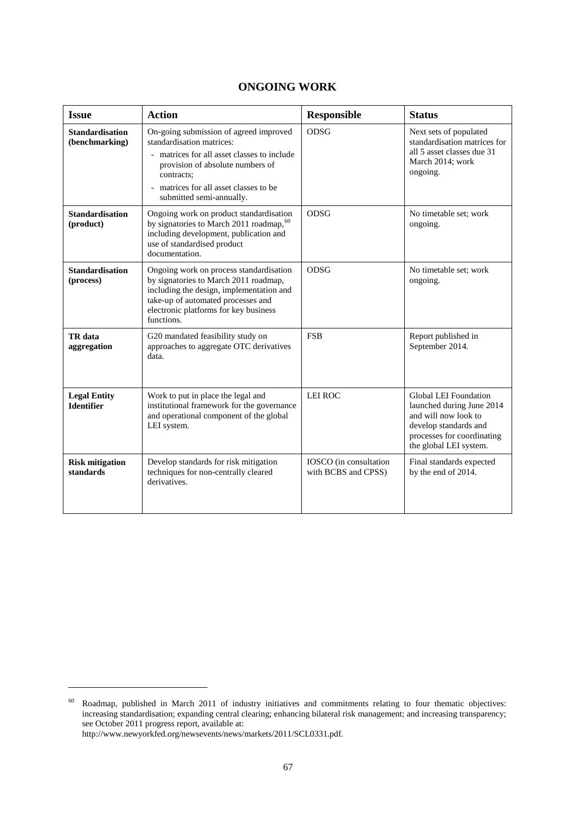| <b>ONGOING WORK</b> |  |
|---------------------|--|
|---------------------|--|

| <b>Issue</b>                             | <b>Action</b>                                                                                                                                                                                                                            | <b>Responsible</b>                            | <b>Status</b>                                                                                                                                               |
|------------------------------------------|------------------------------------------------------------------------------------------------------------------------------------------------------------------------------------------------------------------------------------------|-----------------------------------------------|-------------------------------------------------------------------------------------------------------------------------------------------------------------|
| <b>Standardisation</b><br>(benchmarking) | On-going submission of agreed improved<br>standardisation matrices:<br>- matrices for all asset classes to include<br>provision of absolute numbers of<br>contracts;<br>matrices for all asset classes to be<br>submitted semi-annually. | ODSG                                          | Next sets of populated<br>standardisation matrices for<br>all 5 asset classes due 31<br>March 2014; work<br>ongoing.                                        |
| <b>Standardisation</b><br>(product)      | Ongoing work on product standardisation<br>by signatories to March 2011 roadmap, 60<br>including development, publication and<br>use of standardised product<br>documentation.                                                           | <b>ODSG</b>                                   | No timetable set; work<br>ongoing.                                                                                                                          |
| <b>Standardisation</b><br>(process)      | Ongoing work on process standardisation<br>by signatories to March 2011 roadmap,<br>including the design, implementation and<br>take-up of automated processes and<br>electronic platforms for key business<br>functions.                | <b>ODSG</b>                                   | No timetable set; work<br>ongoing.                                                                                                                          |
| TR data<br>aggregation                   | G20 mandated feasibility study on<br>approaches to aggregate OTC derivatives<br>data.                                                                                                                                                    | <b>FSB</b>                                    | Report published in<br>September 2014.                                                                                                                      |
| <b>Legal Entity</b><br><b>Identifier</b> | Work to put in place the legal and<br>institutional framework for the governance<br>and operational component of the global<br>LEI system.                                                                                               | LEI ROC                                       | Global LEI Foundation<br>launched during June 2014<br>and will now look to<br>develop standards and<br>processes for coordinating<br>the global LEI system. |
| <b>Risk mitigation</b><br>standards      | Develop standards for risk mitigation<br>techniques for non-centrally cleared<br>derivatives.                                                                                                                                            | IOSCO (in consultation<br>with BCBS and CPSS) | Final standards expected<br>by the end of 2014.                                                                                                             |

-

<span id="page-69-0"></span> $60$  Roadmap, published in March 2011 of industry initiatives and commitments relating to four thematic objectives: increasing standardisation; expanding central clearing; enhancing bilateral risk management; and increasing transparency; see October 2011 progress report, available at:

[http://www.newyorkfed.org/newsevents/news/markets/2011/SCL0331.pdf.](http://www.newyorkfed.org/newsevents/news/markets/2011/SCL0331.pdf)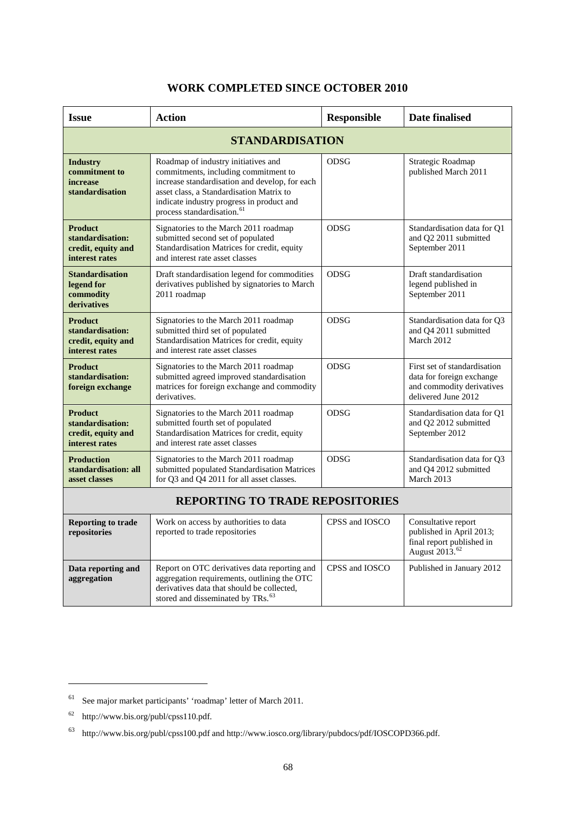| <b>WORK COMPLETED SINCE OCTOBER 2010</b> |  |  |
|------------------------------------------|--|--|
|------------------------------------------|--|--|

| <b>Issue</b>                                                               | <b>Action</b>                                                                                                                                                                                                                                                    | <b>Responsible</b> | <b>Date finalised</b>                                                                                         |  |  |  |  |
|----------------------------------------------------------------------------|------------------------------------------------------------------------------------------------------------------------------------------------------------------------------------------------------------------------------------------------------------------|--------------------|---------------------------------------------------------------------------------------------------------------|--|--|--|--|
| <b>STANDARDISATION</b>                                                     |                                                                                                                                                                                                                                                                  |                    |                                                                                                               |  |  |  |  |
| <b>Industry</b><br>commitment to<br>increase<br>standardisation            | Roadmap of industry initiatives and<br>commitments, including commitment to<br>increase standardisation and develop, for each<br>asset class, a Standardisation Matrix to<br>indicate industry progress in product and<br>process standardisation. <sup>61</sup> | <b>ODSG</b>        | Strategic Roadmap<br>published March 2011                                                                     |  |  |  |  |
| <b>Product</b><br>standardisation:<br>credit, equity and<br>interest rates | Signatories to the March 2011 roadmap<br>submitted second set of populated<br>Standardisation Matrices for credit, equity<br>and interest rate asset classes                                                                                                     | ODSG               | Standardisation data for Q1<br>and Q2 2011 submitted<br>September 2011                                        |  |  |  |  |
| <b>Standardisation</b><br>legend for<br>commodity<br>derivatives           | Draft standardisation legend for commodities<br>derivatives published by signatories to March<br>2011 roadmap                                                                                                                                                    | ODSG               | Draft standardisation<br>legend published in<br>September 2011                                                |  |  |  |  |
| <b>Product</b><br>standardisation:<br>credit, equity and<br>interest rates | Signatories to the March 2011 roadmap<br>submitted third set of populated<br>Standardisation Matrices for credit, equity<br>and interest rate asset classes                                                                                                      | ODSG               | Standardisation data for Q3<br>and Q4 2011 submitted<br>March 2012                                            |  |  |  |  |
| <b>Product</b><br>standardisation:<br>foreign exchange                     | Signatories to the March 2011 roadmap<br>submitted agreed improved standardisation<br>matrices for foreign exchange and commodity<br>derivatives.                                                                                                                | ODSG               | First set of standardisation<br>data for foreign exchange<br>and commodity derivatives<br>delivered June 2012 |  |  |  |  |
| <b>Product</b><br>standardisation:<br>credit, equity and<br>interest rates | Signatories to the March 2011 roadmap<br>submitted fourth set of populated<br>Standardisation Matrices for credit, equity<br>and interest rate asset classes                                                                                                     | <b>ODSG</b>        | Standardisation data for Q1<br>and Q2 2012 submitted<br>September 2012                                        |  |  |  |  |
| <b>Production</b><br>standardisation: all<br>asset classes                 | Signatories to the March 2011 roadmap<br>submitted populated Standardisation Matrices<br>for Q3 and Q4 2011 for all asset classes.                                                                                                                               | <b>ODSG</b>        | Standardisation data for Q3<br>and Q4 2012 submitted<br>March 2013                                            |  |  |  |  |
| <b>REPORTING TO TRADE REPOSITORIES</b>                                     |                                                                                                                                                                                                                                                                  |                    |                                                                                                               |  |  |  |  |
| <b>Reporting to trade</b><br>repositories                                  | Work on access by authorities to data<br>reported to trade repositories                                                                                                                                                                                          | CPSS and IOSCO     | Consultative report<br>published in April 2013;<br>final report published in<br>August 2013. <sup>62</sup>    |  |  |  |  |
| Data reporting and<br>aggregation                                          | Report on OTC derivatives data reporting and<br>aggregation requirements, outlining the OTC<br>derivatives data that should be collected,<br>stored and disseminated by TRs. <sup>63</sup>                                                                       | CPSS and IOSCO     | Published in January 2012                                                                                     |  |  |  |  |

-

<span id="page-70-0"></span> $^{61}\,$  See major market participants' 'roadmap' letter of March 2011.

<span id="page-70-1"></span><sup>62</sup> [http://www.bis.org/publ/cpss110.pdf.](http://www.bis.org/publ/cpss110.pdf)

<span id="page-70-2"></span> $^{63}$ <http://www.bis.org/publ/cpss100.pdf> and [http://www.iosco.org/library/pubdocs/pdf/IOSCOPD366.pdf.](http://www.iosco.org/library/pubdocs/pdf/IOSCOPD366.pdf)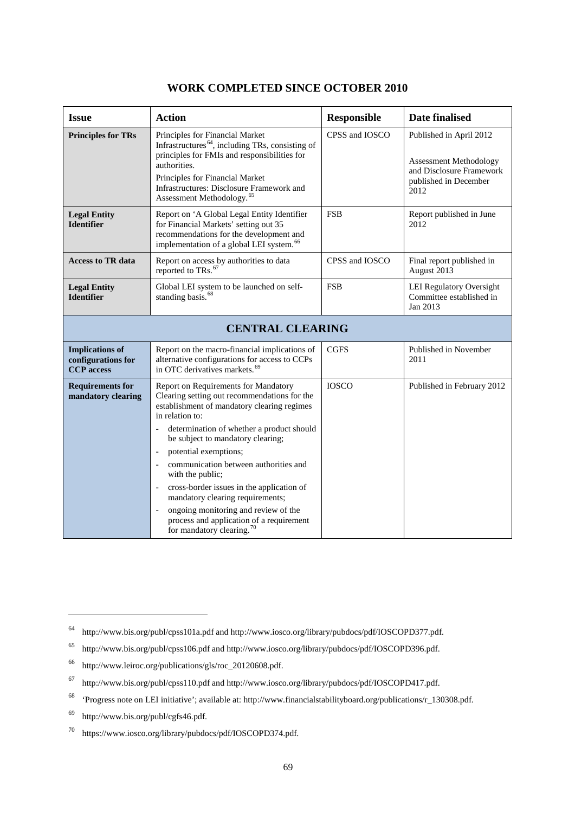| <b>Issue</b>                                                      | <b>Action</b>                                                                                                                                                                                                                                                                                 | <b>Responsible</b> | <b>Date finalised</b>                                                                                                 |
|-------------------------------------------------------------------|-----------------------------------------------------------------------------------------------------------------------------------------------------------------------------------------------------------------------------------------------------------------------------------------------|--------------------|-----------------------------------------------------------------------------------------------------------------------|
| <b>Principles for TRs</b>                                         | Principles for Financial Market<br>Infrastructures <sup>64</sup> , including TRs, consisting of<br>principles for FMIs and responsibilities for<br>authorities.<br>Principles for Financial Market<br>Infrastructures: Disclosure Framework and<br>Assessment Methodology. <sup>65</sup>      | CPSS and IOSCO     | Published in April 2012<br><b>Assessment Methodology</b><br>and Disclosure Framework<br>published in December<br>2012 |
| <b>Legal Entity</b><br><b>Identifier</b>                          | Report on 'A Global Legal Entity Identifier<br>for Financial Markets' setting out 35<br>recommendations for the development and<br>implementation of a global LEI system. <sup>66</sup>                                                                                                       | <b>FSB</b>         | Report published in June<br>2012                                                                                      |
| <b>Access to TR data</b>                                          | Report on access by authorities to data<br>reported to TRs. <sup>67</sup>                                                                                                                                                                                                                     | CPSS and IOSCO     | Final report published in<br>August 2013                                                                              |
| <b>Legal Entity</b><br><b>Identifier</b>                          | Global LEI system to be launched on self-<br>standing basis. <sup>68</sup>                                                                                                                                                                                                                    | <b>FSB</b>         | LEI Regulatory Oversight<br>Committee established in<br>Jan 2013                                                      |
|                                                                   | <b>CENTRAL CLEARING</b>                                                                                                                                                                                                                                                                       |                    |                                                                                                                       |
| <b>Implications of</b><br>configurations for<br><b>CCP</b> access | Report on the macro-financial implications of<br>alternative configurations for access to CCPs<br>in OTC derivatives markets. <sup>69</sup>                                                                                                                                                   | <b>CGFS</b>        | Published in November<br>2011                                                                                         |
| <b>Requirements for</b><br>mandatory clearing                     | Report on Requirements for Mandatory<br>Clearing setting out recommendations for the<br>establishment of mandatory clearing regimes<br>in relation to:<br>determination of whether a product should<br>be subject to mandatory clearing;<br>potential exemptions;<br>$\overline{\phantom{a}}$ | <b>IOSCO</b>       | Published in February 2012                                                                                            |
|                                                                   | communication between authorities and<br>with the public;                                                                                                                                                                                                                                     |                    |                                                                                                                       |
|                                                                   | cross-border issues in the application of<br>mandatory clearing requirements;                                                                                                                                                                                                                 |                    |                                                                                                                       |
|                                                                   | ongoing monitoring and review of the<br>process and application of a requirement<br>for mandatory clearing. <sup>70</sup>                                                                                                                                                                     |                    |                                                                                                                       |

#### **WORK COMPLETED SINCE OCTOBER 2010**

<u>.</u>

<span id="page-71-0"></span><sup>64</sup> <http://www.bis.org/publ/cpss101a.pdf> and [http://www.iosco.org/library/pubdocs/pdf/IOSCOPD377.pdf.](http://www.iosco.org/library/pubdocs/pdf/IOSCOPD377.pdf)

<span id="page-71-1"></span><sup>65</sup> <http://www.bis.org/publ/cpss106.pdf> and [http://www.iosco.org/library/pubdocs/pdf/IOSCOPD396.pdf.](http://www.iosco.org/library/pubdocs/pdf/IOSCOPD396.pdf)

<span id="page-71-2"></span><sup>66</sup> [http://www.leiroc.org/publications/gls/roc\\_20120608.pdf.](http://www.leiroc.org/publications/gls/roc_20120608.pdf)

<span id="page-71-3"></span><sup>67</sup> <http://www.bis.org/publ/cpss110.pdf> and [http://www.iosco.org/library/pubdocs/pdf/IOSCOPD417.pdf.](http://www.iosco.org/library/pubdocs/pdf/IOSCOPD417.pdf)

<span id="page-71-4"></span><sup>68</sup> 'Progress note on LEI initiative'; available at: [http://www.financialstabilityboard.org/publications/r\\_130308.pdf.](http://www.financialstabilityboard.org/publications/r_130308.pdf) 

<span id="page-71-5"></span><sup>69</sup> [http://www.bis.org/publ/cgfs46.pdf.](http://www.bis.org/publ/cgfs46.pdf)

<span id="page-71-6"></span><sup>70</sup> [https://www.iosco.org/library/pubdocs/pdf/IOSCOPD374.pdf.](https://www.iosco.org/library/pubdocs/pdf/IOSCOPD374.pdf)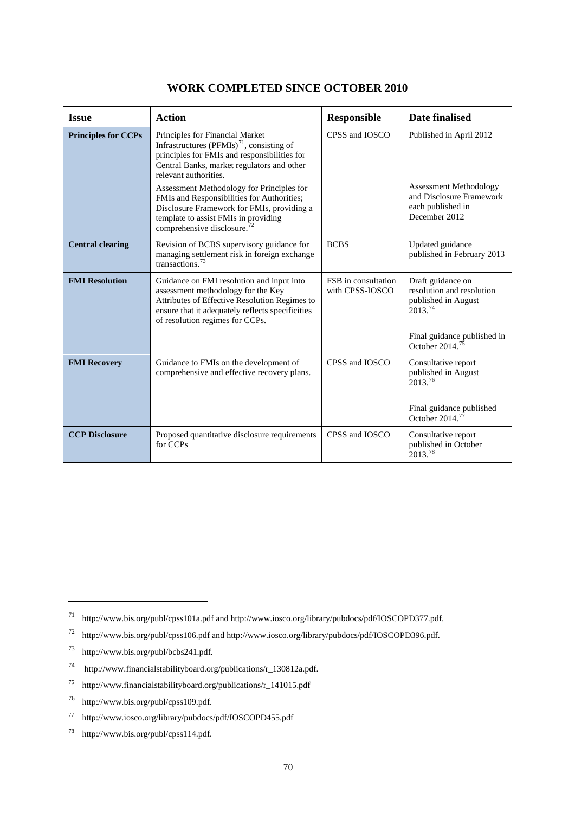| <b>Issue</b>               | <b>Action</b>                                                                                                                                                                                                                                                                                                                                                                                                                               | <b>Responsible</b>                     | Date finalised                                                                                                                                 |
|----------------------------|---------------------------------------------------------------------------------------------------------------------------------------------------------------------------------------------------------------------------------------------------------------------------------------------------------------------------------------------------------------------------------------------------------------------------------------------|----------------------------------------|------------------------------------------------------------------------------------------------------------------------------------------------|
| <b>Principles for CCPs</b> | Principles for Financial Market<br>Infrastructures (PFMIs) <sup>71</sup> , consisting of<br>principles for FMIs and responsibilities for<br>Central Banks, market regulators and other<br>relevant authorities.<br>Assessment Methodology for Principles for<br>FMIs and Responsibilities for Authorities;<br>Disclosure Framework for FMIs, providing a<br>template to assist FMIs in providing<br>comprehensive disclosure. <sup>72</sup> | CPSS and IOSCO                         | Published in April 2012<br><b>Assessment Methodology</b><br>and Disclosure Framework<br>each published in<br>December 2012                     |
| <b>Central clearing</b>    | Revision of BCBS supervisory guidance for<br>managing settlement risk in foreign exchange<br>transactions. <sup>73</sup>                                                                                                                                                                                                                                                                                                                    | <b>BCBS</b>                            | Updated guidance<br>published in February 2013                                                                                                 |
| <b>FMI</b> Resolution      | Guidance on FMI resolution and input into<br>assessment methodology for the Key<br>Attributes of Effective Resolution Regimes to<br>ensure that it adequately reflects specificities<br>of resolution regimes for CCPs.                                                                                                                                                                                                                     | FSB in consultation<br>with CPSS-IOSCO | Draft guidance on<br>resolution and resolution<br>published in August<br>2013.74<br>Final guidance published in<br>October 2014. <sup>75</sup> |
| <b>FMI Recovery</b>        | Guidance to FMIs on the development of<br>comprehensive and effective recovery plans.                                                                                                                                                                                                                                                                                                                                                       | CPSS and IOSCO                         | Consultative report<br>published in August<br>$2013^{76}$<br>Final guidance published<br>October 2014. $^{77}$                                 |
| <b>CCP Disclosure</b>      | Proposed quantitative disclosure requirements<br>for CCPs                                                                                                                                                                                                                                                                                                                                                                                   | CPSS and IOSCO                         | Consultative report<br>published in October<br>2013.78                                                                                         |

### **WORK COMPLETED SINCE OCTOBER 2010**

-

<span id="page-72-0"></span><sup>71</sup> <http://www.bis.org/publ/cpss101a.pdf> and [http://www.iosco.org/library/pubdocs/pdf/IOSCOPD377.pdf.](http://www.iosco.org/library/pubdocs/pdf/IOSCOPD377.pdf)

<span id="page-72-1"></span><sup>72</sup> <http://www.bis.org/publ/cpss106.pdf> and [http://www.iosco.org/library/pubdocs/pdf/IOSCOPD396.pdf.](http://www.iosco.org/library/pubdocs/pdf/IOSCOPD396.pdf)

<span id="page-72-2"></span><sup>73</sup> http://www.bis.org/publ/bcbs241.pdf.

<span id="page-72-3"></span><sup>74</sup> [http://www.financialstabilityboard.org/publications/r\\_130812a.pdf.](http://www.financialstabilityboard.org/publications/r_130812a.pdf)

<span id="page-72-4"></span><sup>75</sup> http://www.financialstabilityboard.org/publications/r\_141015.pdf

<span id="page-72-5"></span><sup>76</sup> [http://www.bis.org/publ/cpss109.pdf.](http://www.bis.org/publ/cpss109.pdf)

<span id="page-72-6"></span><sup>77</sup> http://www.iosco.org/library/pubdocs/pdf/IOSCOPD455.pdf

<span id="page-72-7"></span><sup>78</sup> [http://www.bis.org/publ/cpss114.pdf.](http://www.bis.org/publ/cpss114.pdf)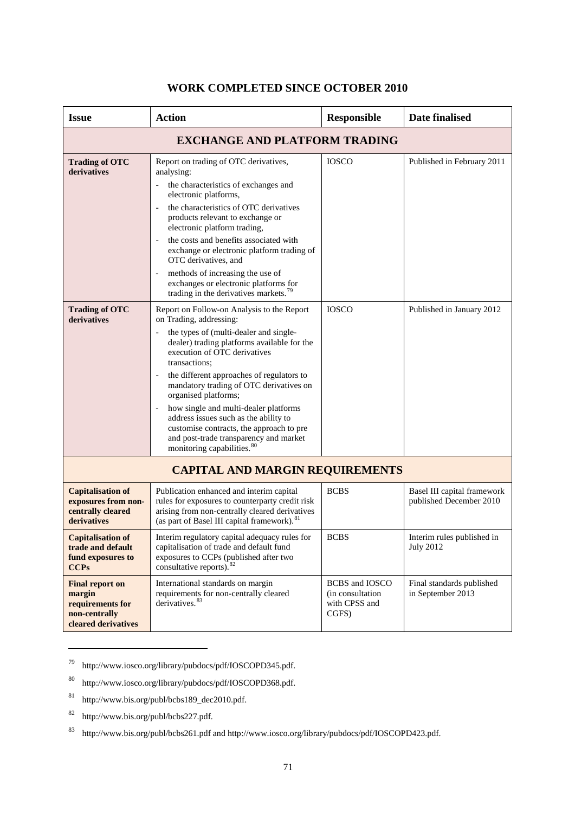#### **Issue Action Responsible Date finalised EXCHANGE AND PLATFORM TRADING Trading of OTC derivatives** Report on trading of OTC derivatives, analysing: the characteristics of exchanges and electronic platforms, - the characteristics of OTC derivatives products relevant to exchange or electronic platform trading, the costs and benefits associated with exchange or electronic platform trading of OTC derivatives, and methods of increasing the use of exchanges or electronic platforms for trading in the derivatives markets. $7$ IOSCO Published in February 2011 **Trading of OTC derivatives**  Report on Follow-on Analysis to the Report on Trading, addressing: the types of (multi-dealer and singledealer) trading platforms available for the execution of OTC derivatives transactions; the different approaches of regulators to mandatory trading of OTC derivatives on organised platforms; how single and multi-dealer platforms address issues such as the ability to customise contracts, the approach to pre and post-trade transparency and market monitoring capabilities.<sup>[80](#page-73-1)</sup> IOSCO Published in January 2012 **CAPITAL AND MARGIN REQUIREMENTS Capitalisation of exposures from noncentrally cleared derivatives** Publication enhanced and interim capital rules for exposures to counterparty credit risk arising from non-centrally cleared derivatives (as part of Basel III capital framework).<sup>8</sup> BCBS Basel III capital framework published December 2010 **Capitalisation of trade and default fund exposures to CCPs** Interim regulatory capital adequacy rules for capitalisation of trade and default fund exposures to CCPs (published after two consultative reports).<sup>[82](#page-73-3)</sup> BCBS Interim rules published in July 2012 **Final report on**  International standards on margin BCBS and IOSCO Final standards published

### **WORK COMPLETED SINCE OCTOBER 2010**

derivatives.<sup>[83](#page-73-4)</sup>

requirements for non-centrally cleared

**margin** 

-

**requirements for non-centrally cleared derivatives** (in consultation with CPSS and CGFS)

in September 2013

<span id="page-73-0"></span><sup>79</sup> [http://www.iosco.org/library/pubdocs/pdf/IOSCOPD345.pdf.](http://www.iosco.org/library/pubdocs/pdf/IOSCOPD345.pdf)

<span id="page-73-1"></span>[http://www.iosco.org/library/pubdocs/pdf/IOSCOPD368.pdf.](http://www.iosco.org/library/pubdocs/pdf/IOSCOPD368.pdf)

<span id="page-73-2"></span>[http://www.bis.org/publ/bcbs189\\_dec2010.pdf.](http://www.bis.org/publ/bcbs189_dec2010.pdf)

<span id="page-73-3"></span><sup>82</sup> [http://www.bis.org/publ/bcbs227.pdf.](http://www.bis.org/publ/bcbs227.pdf)

<span id="page-73-4"></span><sup>83</sup> <http://www.bis.org/publ/bcbs261.pdf> and [http://www.iosco.org/library/pubdocs/pdf/IOSCOPD423.pdf.](http://www.iosco.org/library/pubdocs/pdf/IOSCOPD423.pdf)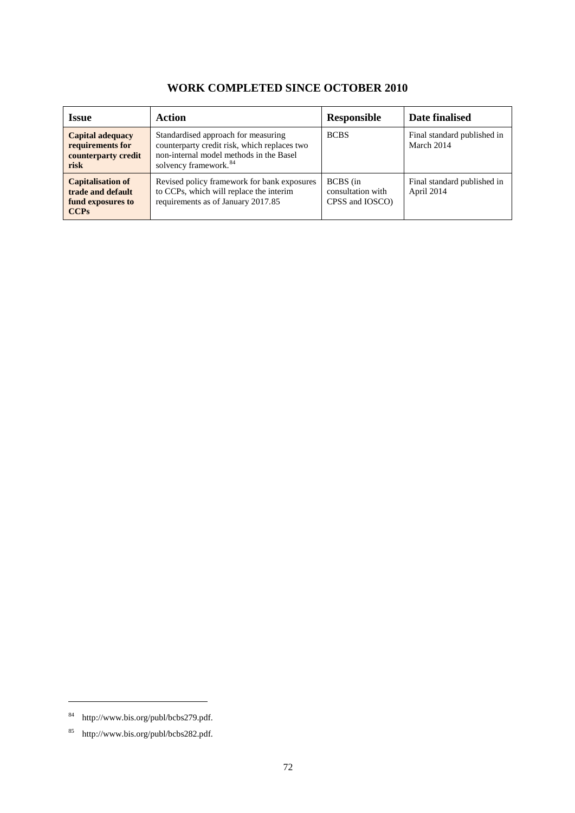## **WORK COMPLETED SINCE OCTOBER 2010**

| <b>Issue</b>                                                                      | Action                                                                                                                                                              | <b>Responsible</b>                               | Date finalised                            |
|-----------------------------------------------------------------------------------|---------------------------------------------------------------------------------------------------------------------------------------------------------------------|--------------------------------------------------|-------------------------------------------|
| <b>Capital adequacy</b><br>requirements for<br>counterparty credit<br>risk        | Standardised approach for measuring<br>counterparty credit risk, which replaces two<br>non-internal model methods in the Basel<br>solvency framework. <sup>84</sup> | <b>BCBS</b>                                      | Final standard published in<br>March 2014 |
| <b>Capitalisation of</b><br>trade and default<br>fund exposures to<br><b>CCPs</b> | Revised policy framework for bank exposures<br>to CCPs, which will replace the interim<br>requirements as of January 2017.85                                        | BCBS (in<br>consultation with<br>CPSS and IOSCO) | Final standard published in<br>April 2014 |

-

<span id="page-74-0"></span><sup>84</sup> http://www.bis.org/publ/bcbs279.pdf.

<span id="page-74-1"></span><sup>85</sup> [http://www.bis.org/publ/bcbs282.pdf.](http://www.bis.org/publ/bcbs282.pdf)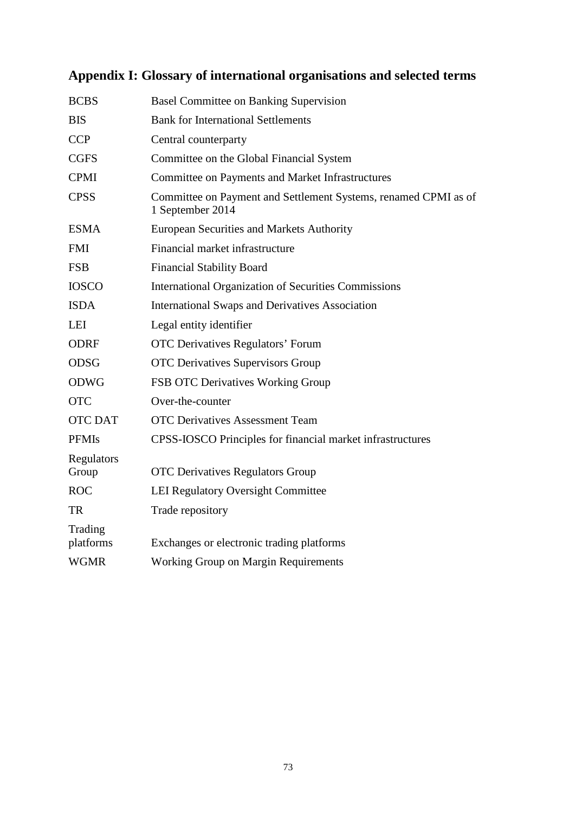# **Appendix I: Glossary of international organisations and selected terms**

| <b>BCBS</b>          | <b>Basel Committee on Banking Supervision</b>                                       |
|----------------------|-------------------------------------------------------------------------------------|
| <b>BIS</b>           | <b>Bank for International Settlements</b>                                           |
| <b>CCP</b>           | Central counterparty                                                                |
| <b>CGFS</b>          | Committee on the Global Financial System                                            |
| <b>CPMI</b>          | Committee on Payments and Market Infrastructures                                    |
| <b>CPSS</b>          | Committee on Payment and Settlement Systems, renamed CPMI as of<br>1 September 2014 |
| <b>ESMA</b>          | <b>European Securities and Markets Authority</b>                                    |
| <b>FMI</b>           | Financial market infrastructure                                                     |
| <b>FSB</b>           | <b>Financial Stability Board</b>                                                    |
| <b>IOSCO</b>         | <b>International Organization of Securities Commissions</b>                         |
| <b>ISDA</b>          | <b>International Swaps and Derivatives Association</b>                              |
| <b>LEI</b>           | Legal entity identifier                                                             |
| <b>ODRF</b>          | <b>OTC Derivatives Regulators' Forum</b>                                            |
| <b>ODSG</b>          | <b>OTC</b> Derivatives Supervisors Group                                            |
| <b>ODWG</b>          | FSB OTC Derivatives Working Group                                                   |
| <b>OTC</b>           | Over-the-counter                                                                    |
| <b>OTC DAT</b>       | <b>OTC</b> Derivatives Assessment Team                                              |
| <b>PFMIs</b>         | CPSS-IOSCO Principles for financial market infrastructures                          |
| Regulators<br>Group  | <b>OTC Derivatives Regulators Group</b>                                             |
| <b>ROC</b>           | <b>LEI Regulatory Oversight Committee</b>                                           |
| <b>TR</b>            | Trade repository                                                                    |
| Trading<br>platforms | Exchanges or electronic trading platforms                                           |
| <b>WGMR</b>          | <b>Working Group on Margin Requirements</b>                                         |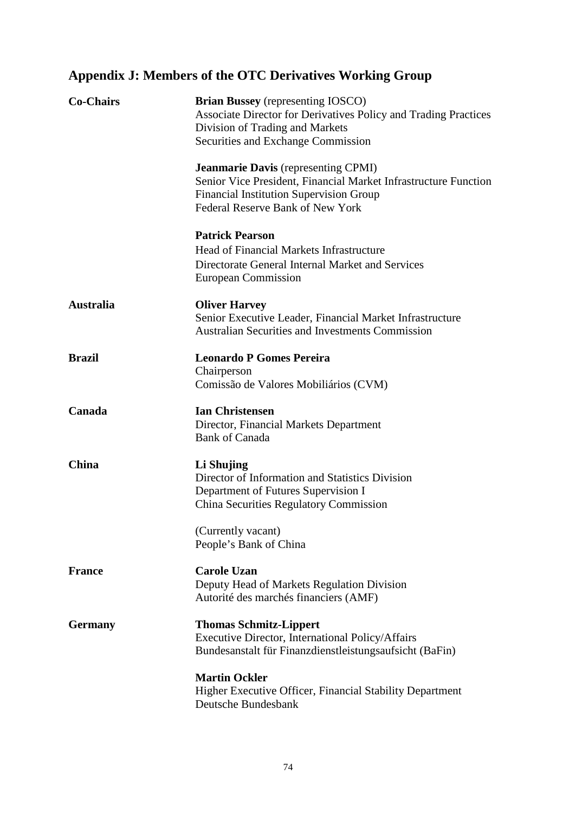# **Appendix J: Members of the OTC Derivatives Working Group**

| <b>Co-Chairs</b> | <b>Brian Bussey</b> (representing IOSCO)<br>Associate Director for Derivatives Policy and Trading Practices<br>Division of Trading and Markets<br>Securities and Exchange Commission                |
|------------------|-----------------------------------------------------------------------------------------------------------------------------------------------------------------------------------------------------|
|                  | <b>Jeanmarie Davis</b> (representing CPMI)<br>Senior Vice President, Financial Market Infrastructure Function<br>Financial Institution Supervision Group<br><b>Federal Reserve Bank of New York</b> |
|                  | <b>Patrick Pearson</b><br>Head of Financial Markets Infrastructure<br>Directorate General Internal Market and Services<br>European Commission                                                       |
| <b>Australia</b> | <b>Oliver Harvey</b><br>Senior Executive Leader, Financial Market Infrastructure<br><b>Australian Securities and Investments Commission</b>                                                         |
| <b>Brazil</b>    | <b>Leonardo P Gomes Pereira</b><br>Chairperson<br>Comissão de Valores Mobiliários (CVM)                                                                                                             |
| Canada           | <b>Ian Christensen</b><br>Director, Financial Markets Department<br><b>Bank of Canada</b>                                                                                                           |
| <b>China</b>     | Li Shujing<br>Director of Information and Statistics Division<br>Department of Futures Supervision I<br>China Securities Regulatory Commission                                                      |
|                  | (Currently vacant)<br>People's Bank of China                                                                                                                                                        |
| <b>France</b>    | <b>Carole Uzan</b><br>Deputy Head of Markets Regulation Division<br>Autorité des marchés financiers (AMF)                                                                                           |
| <b>Germany</b>   | <b>Thomas Schmitz-Lippert</b><br><b>Executive Director, International Policy/Affairs</b><br>Bundesanstalt für Finanzdienstleistungsaufsicht (BaFin)                                                 |
|                  | <b>Martin Ockler</b><br>Higher Executive Officer, Financial Stability Department<br>Deutsche Bundesbank                                                                                             |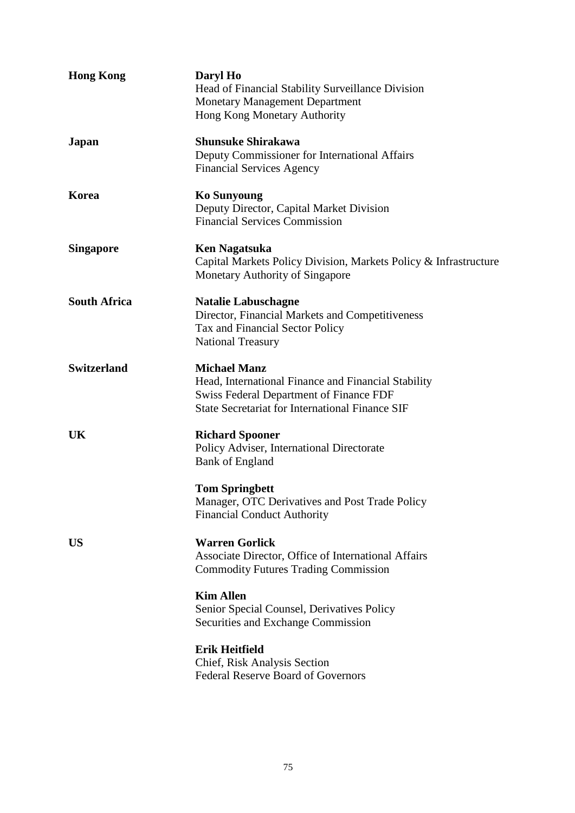| <b>Hong Kong</b>    | Daryl Ho<br>Head of Financial Stability Surveillance Division<br><b>Monetary Management Department</b><br>Hong Kong Monetary Authority                                                 |
|---------------------|----------------------------------------------------------------------------------------------------------------------------------------------------------------------------------------|
| Japan               | <b>Shunsuke Shirakawa</b><br>Deputy Commissioner for International Affairs<br><b>Financial Services Agency</b>                                                                         |
| Korea               | <b>Ko Sunyoung</b><br>Deputy Director, Capital Market Division<br><b>Financial Services Commission</b>                                                                                 |
| <b>Singapore</b>    | <b>Ken Nagatsuka</b><br>Capital Markets Policy Division, Markets Policy & Infrastructure<br>Monetary Authority of Singapore                                                            |
| <b>South Africa</b> | <b>Natalie Labuschagne</b><br>Director, Financial Markets and Competitiveness<br>Tax and Financial Sector Policy<br><b>National Treasury</b>                                           |
| <b>Switzerland</b>  | <b>Michael Manz</b><br>Head, International Finance and Financial Stability<br><b>Swiss Federal Department of Finance FDF</b><br><b>State Secretariat for International Finance SIF</b> |
| UK                  | <b>Richard Spooner</b><br>Policy Adviser, International Directorate<br><b>Bank of England</b>                                                                                          |
|                     | <b>Tom Springbett</b><br>Manager, OTC Derivatives and Post Trade Policy<br><b>Financial Conduct Authority</b>                                                                          |
| <b>US</b>           | <b>Warren Gorlick</b><br>Associate Director, Office of International Affairs<br><b>Commodity Futures Trading Commission</b>                                                            |
|                     | <b>Kim Allen</b><br>Senior Special Counsel, Derivatives Policy<br>Securities and Exchange Commission                                                                                   |
|                     | <b>Erik Heitfield</b><br>Chief, Risk Analysis Section<br><b>Federal Reserve Board of Governors</b>                                                                                     |